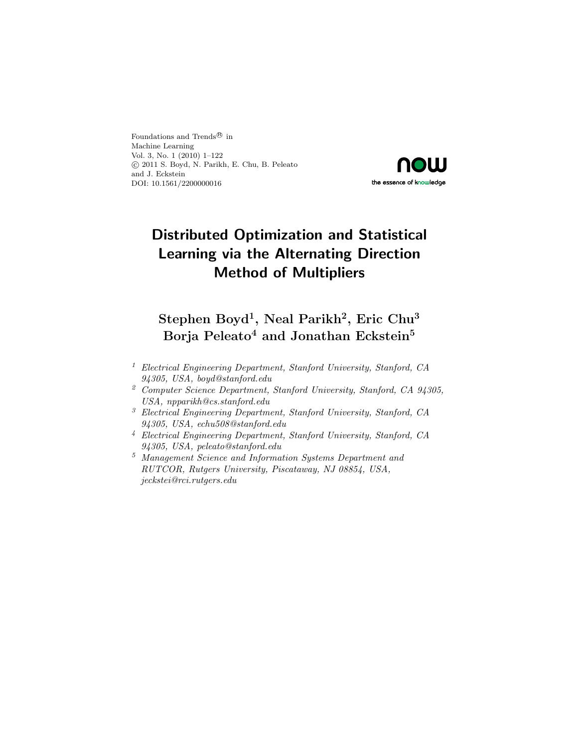Foundations and  $\operatorname{Trends}^{\textcircledR}$  in Machine Learning Vol. 3, No. 1 (2010) 1–122 !c 2011 S. Boyd, N. Parikh, E. Chu, B. Peleato and J. Eckstein DOI: 10.1561/2200000016



## Distributed Optimization and Statistical Learning via the Alternating Direction Method of Multipliers

Stephen Boyd<sup>1</sup>, Neal Parikh<sup>2</sup>, Eric Chu<sup>3</sup> Borja Peleato<sup>4</sup> and Jonathan Eckstein<sup>5</sup>

- <sup>1</sup> Electrical Engineering Department, Stanford University, Stanford, CA 94305, USA, boyd@stanford.edu
- <sup>2</sup> Computer Science Department, Stanford University, Stanford, CA 94305, USA, npparikh@cs.stanford.edu
- <sup>3</sup> Electrical Engineering Department, Stanford University, Stanford, CA 94305, USA, echu508@stanford.edu
- <sup>4</sup> Electrical Engineering Department, Stanford University, Stanford, CA 94305, USA, peleato@stanford.edu
- <sup>5</sup> Management Science and Information Systems Department and RUTCOR, Rutgers University, Piscataway, NJ 08854, USA, jeckstei@rci.rutgers.edu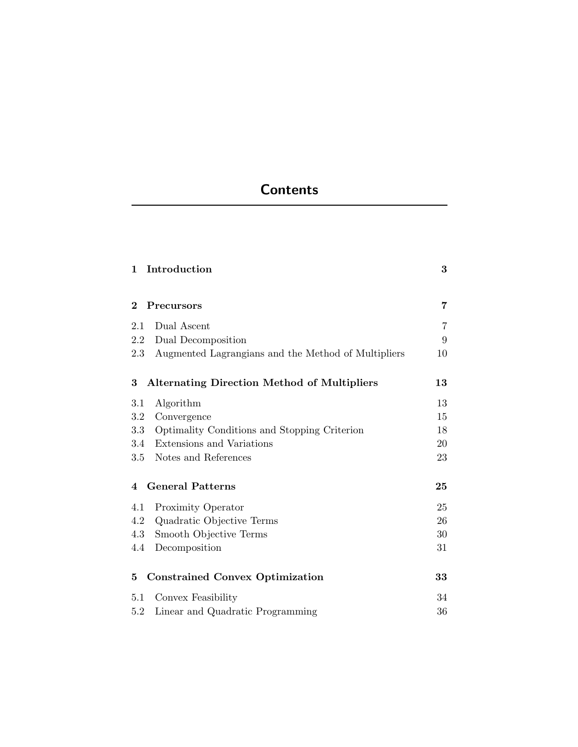## **Contents**

| $\mathbf 1$<br>Introduction                                | 3  |
|------------------------------------------------------------|----|
| $\bf{2}$<br><b>Precursors</b>                              | 7  |
| Dual Ascent<br>2.1                                         | 7  |
| 2.2<br>Dual Decomposition                                  | 9  |
| 2.3<br>Augmented Lagrangians and the Method of Multipliers | 10 |
| 3<br><b>Alternating Direction Method of Multipliers</b>    | 13 |
| 3.1<br>Algorithm                                           | 13 |
| 3.2<br>Convergence                                         | 15 |
| Optimality Conditions and Stopping Criterion<br>3.3        | 18 |
| Extensions and Variations<br>3.4                           | 20 |
| Notes and References<br>3.5                                | 23 |
| <b>General Patterns</b><br>$\overline{\mathbf{4}}$         | 25 |
| Proximity Operator<br>4.1                                  | 25 |
| 4.2<br>Quadratic Objective Terms                           | 26 |
| Smooth Objective Terms<br>4.3                              | 30 |
| Decomposition<br>4.4                                       | 31 |
| <b>Constrained Convex Optimization</b><br>$\bf{5}$         | 33 |
| Convex Feasibility<br>5.1                                  | 34 |
| Linear and Quadratic Programming<br>5.2                    | 36 |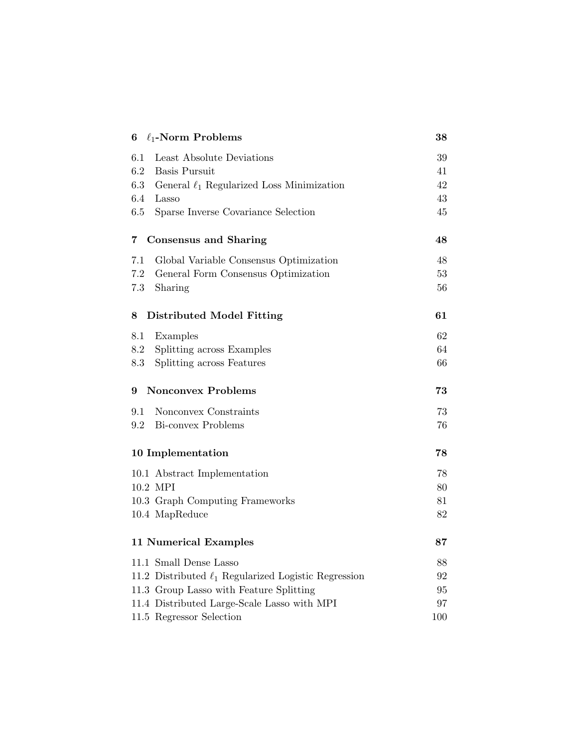| $\ell_1$ -Norm Problems<br>6                              | 38  |
|-----------------------------------------------------------|-----|
| 6.1<br><b>Least Absolute Deviations</b>                   | 39  |
| <b>Basis Pursuit</b><br>6.2                               | 41  |
| 6.3 General $\ell_1$ Regularized Loss Minimization        | 42  |
| $6.4\,$<br>Lasso                                          | 43  |
| $6.5\,$<br>Sparse Inverse Covariance Selection            | 45  |
| <b>Consensus and Sharing</b><br>7                         | 48  |
| 7.1<br>Global Variable Consensus Optimization             | 48  |
| 7.2<br>General Form Consensus Optimization                | 53  |
| 7.3 Sharing                                               | 56  |
| 8<br><b>Distributed Model Fitting</b>                     | 61  |
| 8.1<br>Examples                                           | 62  |
| Splitting across Examples<br>8.2                          | 64  |
| Splitting across Features<br>$8.3\,$                      | 66  |
| <b>Nonconvex Problems</b><br>9                            | 73  |
| Nonconvex Constraints<br>9.1                              | 73  |
| 9.2 Bi-convex Problems                                    | 76  |
| 10 Implementation                                         | 78  |
| 10.1 Abstract Implementation                              | 78  |
| 10.2 MPI                                                  | 80  |
| 10.3 Graph Computing Frameworks                           | 81  |
| 10.4 MapReduce                                            | 82  |
| 11 Numerical Examples                                     | 87  |
| 11.1 Small Dense Lasso                                    | 88  |
| 11.2 Distributed $\ell_1$ Regularized Logistic Regression | 92  |
| 11.3 Group Lasso with Feature Splitting                   | 95  |
| 11.4 Distributed Large-Scale Lasso with MPI               | 97  |
| 11.5 Regressor Selection                                  | 100 |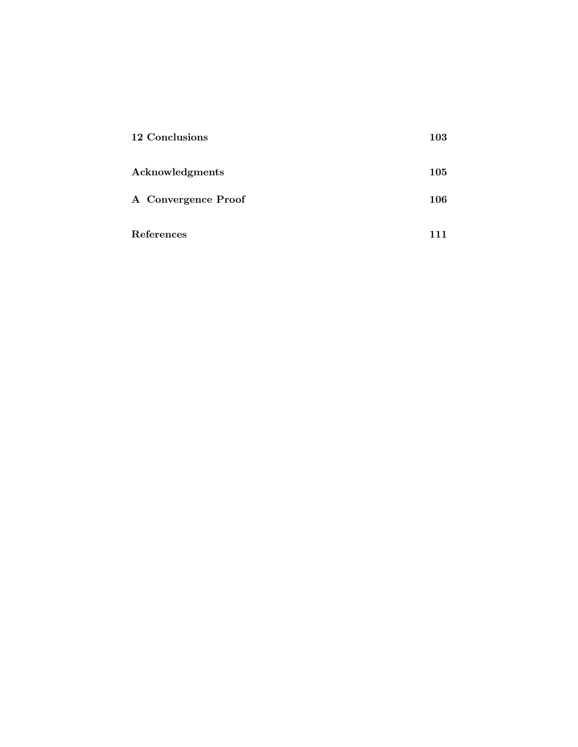| 12 Conclusions      | 103 |
|---------------------|-----|
| Acknowledgments     | 105 |
| A Convergence Proof | 106 |
| References          | 111 |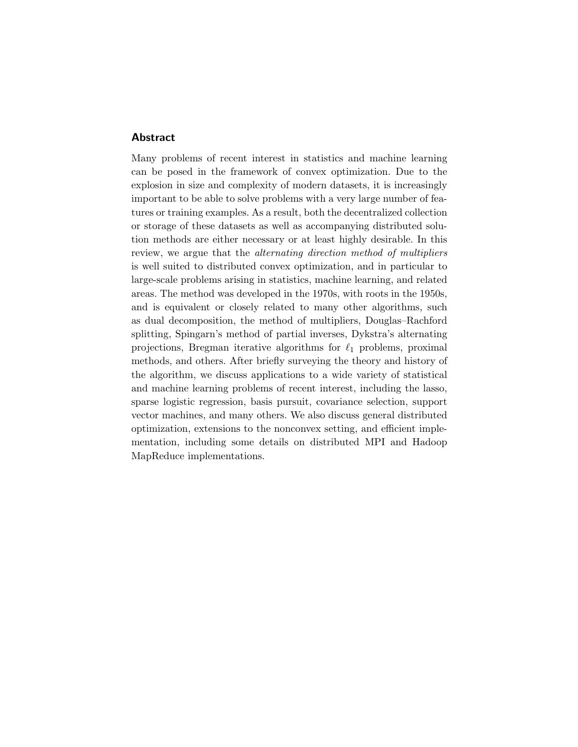#### Abstract

Many problems of recent interest in statistics and machine learning can be posed in the framework of convex optimization. Due to the explosion in size and complexity of modern datasets, it is increasingly important to be able to solve problems with a very large number of features or training examples. As a result, both the decentralized collection or storage of these datasets as well as accompanying distributed solution methods are either necessary or at least highly desirable. In this review, we argue that the *alternating direction method of multipliers* is well suited to distributed convex optimization, and in particular to large-scale problems arising in statistics, machine learning, and related areas. The method was developed in the 1970s, with roots in the 1950s, and is equivalent or closely related to many other algorithms, such as dual decomposition, the method of multipliers, Douglas–Rachford splitting, Spingarn's method of partial inverses, Dykstra's alternating projections, Bregman iterative algorithms for  $\ell_1$  problems, proximal methods, and others. After briefly surveying the theory and history of the algorithm, we discuss applications to a wide variety of statistical and machine learning problems of recent interest, including the lasso, sparse logistic regression, basis pursuit, covariance selection, support vector machines, and many others. We also discuss general distributed optimization, extensions to the nonconvex setting, and efficient implementation, including some details on distributed MPI and Hadoop MapReduce implementations.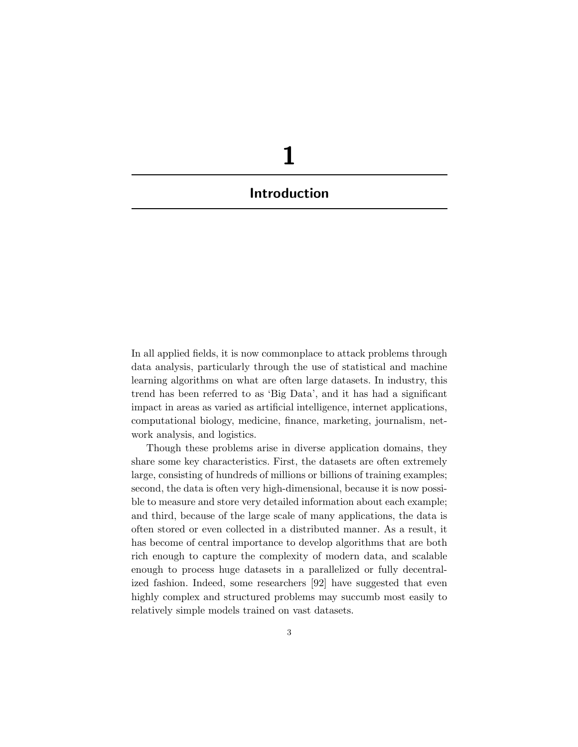# 1 Introduction

In all applied fields, it is now commonplace to attack problems through data analysis, particularly through the use of statistical and machine learning algorithms on what are often large datasets. In industry, this trend has been referred to as 'Big Data', and it has had a significant impact in areas as varied as artificial intelligence, internet applications, computational biology, medicine, finance, marketing, journalism, network analysis, and logistics.

Though these problems arise in diverse application domains, they share some key characteristics. First, the datasets are often extremely large, consisting of hundreds of millions or billions of training examples; second, the data is often very high-dimensional, because it is now possible to measure and store very detailed information about each example; and third, because of the large scale of many applications, the data is often stored or even collected in a distributed manner. As a result, it has become of central importance to develop algorithms that are both rich enough to capture the complexity of modern data, and scalable enough to process huge datasets in a parallelized or fully decentralized fashion. Indeed, some researchers [92] have suggested that even highly complex and structured problems may succumb most easily to relatively simple models trained on vast datasets.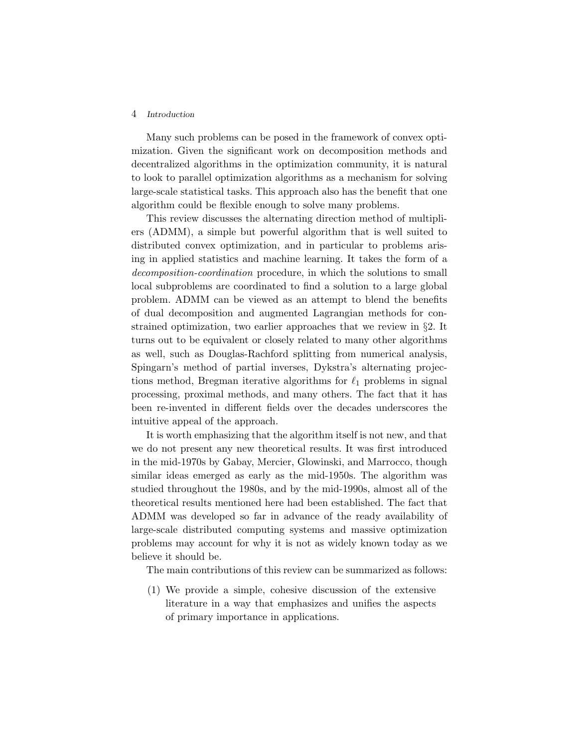#### 4 Introduction

Many such problems can be posed in the framework of convex optimization. Given the significant work on decomposition methods and decentralized algorithms in the optimization community, it is natural to look to parallel optimization algorithms as a mechanism for solving large-scale statistical tasks. This approach also has the benefit that one algorithm could be flexible enough to solve many problems.

This review discusses the alternating direction method of multipliers (ADMM), a simple but powerful algorithm that is well suited to distributed convex optimization, and in particular to problems arising in applied statistics and machine learning. It takes the form of a decomposition-coordination procedure, in which the solutions to small local subproblems are coordinated to find a solution to a large global problem. ADMM can be viewed as an attempt to blend the benefits of dual decomposition and augmented Lagrangian methods for constrained optimization, two earlier approaches that we review in §2. It turns out to be equivalent or closely related to many other algorithms as well, such as Douglas-Rachford splitting from numerical analysis, Spingarn's method of partial inverses, Dykstra's alternating projections method, Bregman iterative algorithms for  $\ell_1$  problems in signal processing, proximal methods, and many others. The fact that it has been re-invented in different fields over the decades underscores the intuitive appeal of the approach.

It is worth emphasizing that the algorithm itself is not new, and that we do not present any new theoretical results. It was first introduced in the mid-1970s by Gabay, Mercier, Glowinski, and Marrocco, though similar ideas emerged as early as the mid-1950s. The algorithm was studied throughout the 1980s, and by the mid-1990s, almost all of the theoretical results mentioned here had been established. The fact that ADMM was developed so far in advance of the ready availability of large-scale distributed computing systems and massive optimization problems may account for why it is not as widely known today as we believe it should be.

The main contributions of this review can be summarized as follows:

(1) We provide a simple, cohesive discussion of the extensive literature in a way that emphasizes and unifies the aspects of primary importance in applications.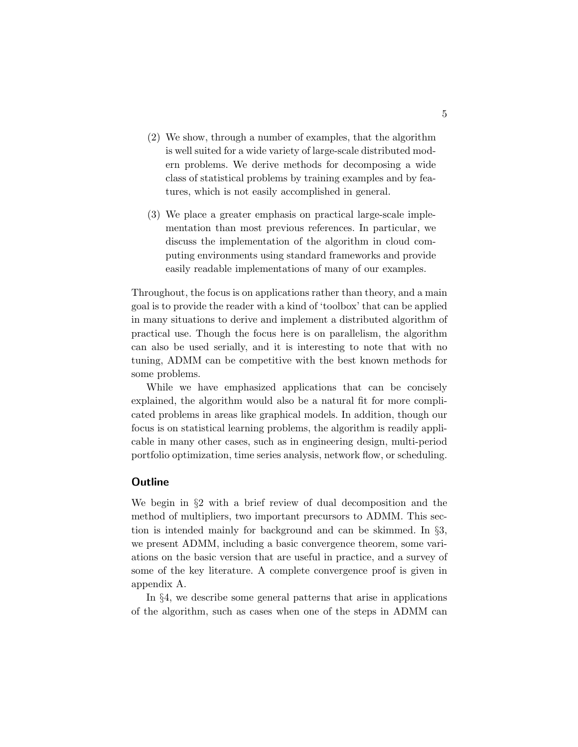- (2) We show, through a number of examples, that the algorithm is well suited for a wide variety of large-scale distributed modern problems. We derive methods for decomposing a wide class of statistical problems by training examples and by features, which is not easily accomplished in general.
- (3) We place a greater emphasis on practical large-scale implementation than most previous references. In particular, we discuss the implementation of the algorithm in cloud computing environments using standard frameworks and provide easily readable implementations of many of our examples.

Throughout, the focus is on applications rather than theory, and a main goal is to provide the reader with a kind of 'toolbox' that can be applied in many situations to derive and implement a distributed algorithm of practical use. Though the focus here is on parallelism, the algorithm can also be used serially, and it is interesting to note that with no tuning, ADMM can be competitive with the best known methods for some problems.

While we have emphasized applications that can be concisely explained, the algorithm would also be a natural fit for more complicated problems in areas like graphical models. In addition, though our focus is on statistical learning problems, the algorithm is readily applicable in many other cases, such as in engineering design, multi-period portfolio optimization, time series analysis, network flow, or scheduling.

#### **Outline**

We begin in §2 with a brief review of dual decomposition and the method of multipliers, two important precursors to ADMM. This section is intended mainly for background and can be skimmed. In §3, we present ADMM, including a basic convergence theorem, some variations on the basic version that are useful in practice, and a survey of some of the key literature. A complete convergence proof is given in appendix A.

In §4, we describe some general patterns that arise in applications of the algorithm, such as cases when one of the steps in ADMM can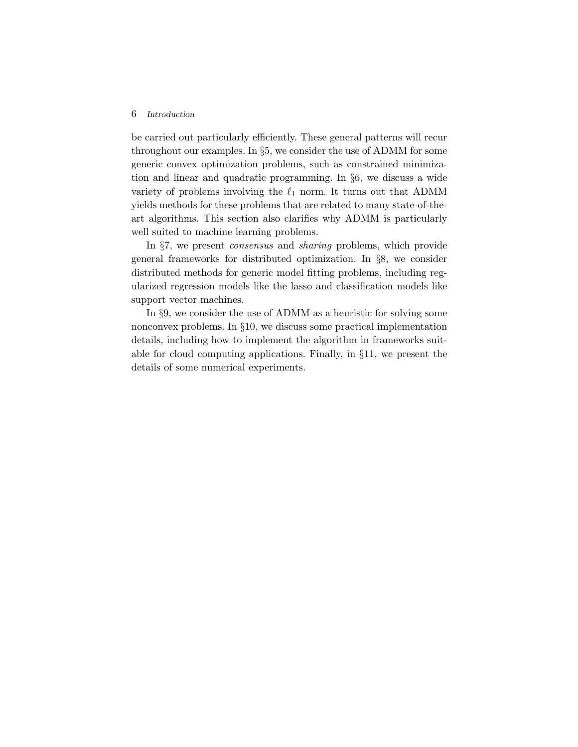#### 6 Introduction

be carried out particularly efficiently. These general patterns will recur throughout our examples. In §5, we consider the use of ADMM for some generic convex optimization problems, such as constrained minimization and linear and quadratic programming. In §6, we discuss a wide variety of problems involving the  $\ell_1$  norm. It turns out that ADMM yields methods for these problems that are related to many state-of-theart algorithms. This section also clarifies why ADMM is particularly well suited to machine learning problems.

In §7, we present *consensus* and *sharing* problems, which provide general frameworks for distributed optimization. In §8, we consider distributed methods for generic model fitting problems, including regularized regression models like the lasso and classification models like support vector machines.

In §9, we consider the use of ADMM as a heuristic for solving some nonconvex problems. In §10, we discuss some practical implementation details, including how to implement the algorithm in frameworks suitable for cloud computing applications. Finally, in §11, we present the details of some numerical experiments.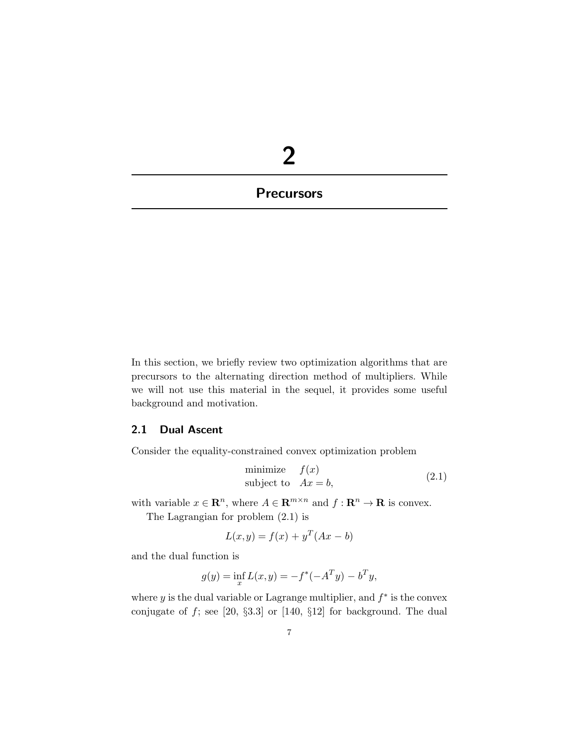# 2

### **Precursors**

In this section, we briefly review two optimization algorithms that are precursors to the alternating direction method of multipliers. While we will not use this material in the sequel, it provides some useful background and motivation.

#### 2.1 Dual Ascent

Consider the equality-constrained convex optimization problem

$$
\begin{array}{ll}\text{minimize} & f(x) \\ \text{subject to} & Ax = b, \end{array} \tag{2.1}
$$

with variable  $x \in \mathbb{R}^n$ , where  $A \in \mathbb{R}^{m \times n}$  and  $f : \mathbb{R}^n \to \mathbb{R}$  is convex.

The Lagrangian for problem (2.1) is

$$
L(x, y) = f(x) + y^T (Ax - b)
$$

and the dual function is

$$
g(y) = \inf_{x} L(x, y) = -f^*(-A^T y) - b^T y,
$$

where  $y$  is the dual variable or Lagrange multiplier, and  $f^*$  is the convex conjugate of  $f$ ; see [20, §3.3] or [140, §12] for background. The dual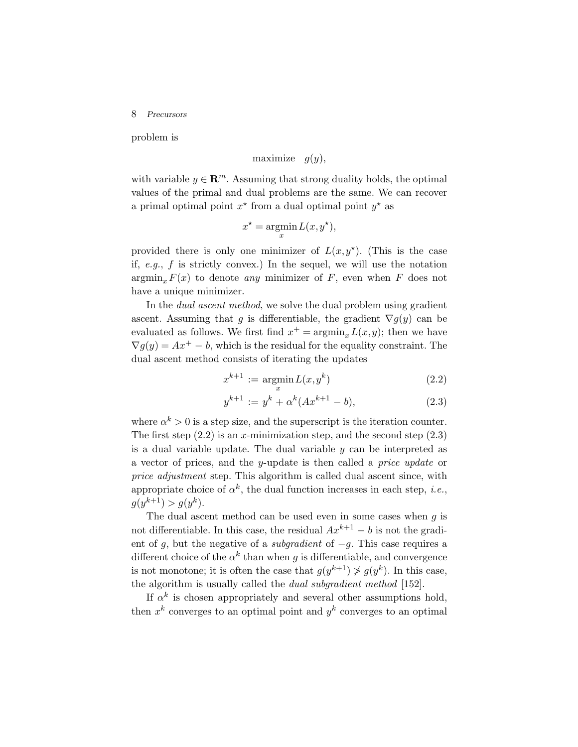8 Precursors

problem is

maximize  $g(y)$ ,

with variable  $y \in \mathbb{R}^m$ . Assuming that strong duality holds, the optimal values of the primal and dual problems are the same. We can recover a primal optimal point  $x^*$  from a dual optimal point  $y^*$  as

$$
x^* = \operatorname*{argmin}_x L(x, y^*),
$$

provided there is only one minimizer of  $L(x,y^*)$ . (This is the case if, e.g.,  $f$  is strictly convex.) In the sequel, we will use the notation  $\operatorname{argmin}_x F(x)$  to denote any minimizer of F, even when F does not have a unique minimizer.

In the *dual ascent method*, we solve the dual problem using gradient ascent. Assuming that g is differentiable, the gradient  $\nabla g(y)$  can be evaluated as follows. We first find  $x^+ = \operatorname{argmin}_x L(x, y)$ ; then we have  $\nabla q(y) = Ax^{+} - b$ , which is the residual for the equality constraint. The dual ascent method consists of iterating the updates

$$
x^{k+1} := \underset{x}{\operatorname{argmin}} L(x, y^k) \tag{2.2}
$$

$$
y^{k+1} := y^k + \alpha^k (Ax^{k+1} - b), \tag{2.3}
$$

where  $\alpha^k > 0$  is a step size, and the superscript is the iteration counter. The first step  $(2.2)$  is an x-minimization step, and the second step  $(2.3)$ is a dual variable update. The dual variable  $y$  can be interpreted as a vector of prices, and the y-update is then called a price update or price adjustment step. This algorithm is called dual ascent since, with appropriate choice of  $\alpha^k$ , the dual function increases in each step, *i.e.*,  $g(y^{k+1}) > g(y^k)$ .

The dual ascent method can be used even in some cases when  $q$  is not differentiable. In this case, the residual  $Ax^{k+1} - b$  is not the gradient of g, but the negative of a *subgradient* of  $-g$ . This case requires a different choice of the  $\alpha^{k}$  than when q is differentiable, and convergence is not monotone; it is often the case that  $q(y^{k+1}) \not> q(y^k)$ . In this case, the algorithm is usually called the dual subgradient method [152].

If  $\alpha^k$  is chosen appropriately and several other assumptions hold, then  $x^k$  converges to an optimal point and  $y^k$  converges to an optimal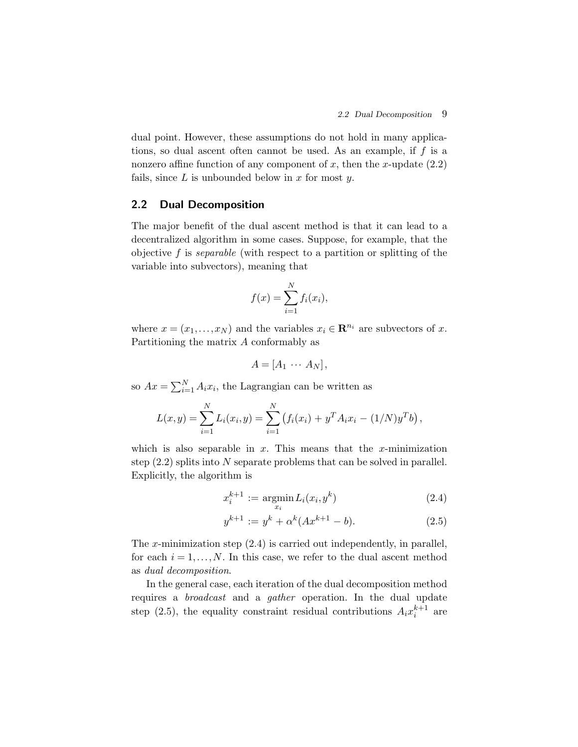dual point. However, these assumptions do not hold in many applications, so dual ascent often cannot be used. As an example, if  $f$  is a nonzero affine function of any component of x, then the x-update  $(2.2)$ fails, since  $L$  is unbounded below in  $x$  for most  $y$ .

#### 2.2 Dual Decomposition

The major benefit of the dual ascent method is that it can lead to a decentralized algorithm in some cases. Suppose, for example, that the objective f is *separable* (with respect to a partition or splitting of the variable into subvectors), meaning that

$$
f(x) = \sum_{i=1}^{N} f_i(x_i),
$$

where  $x = (x_1, \ldots, x_N)$  and the variables  $x_i \in \mathbb{R}^{n_i}$  are subvectors of x. Partitioning the matrix A conformably as

$$
A=[A_1 \cdots A_N],
$$

so  $Ax = \sum_{i=1}^{N} A_i x_i$ , the Lagrangian can be written as

$$
L(x,y) = \sum_{i=1}^{N} L_i(x_i, y) = \sum_{i=1}^{N} (f_i(x_i) + y^T A_i x_i - (1/N) y^T b),
$$

which is also separable in  $x$ . This means that the  $x$ -minimization step  $(2.2)$  splits into N separate problems that can be solved in parallel. Explicitly, the algorithm is

$$
x_i^{k+1} := \underset{x_i}{\operatorname{argmin}} L_i(x_i, y^k) \tag{2.4}
$$

$$
y^{k+1} := y^k + \alpha^k (Ax^{k+1} - b). \tag{2.5}
$$

The x-minimization step  $(2.4)$  is carried out independently, in parallel, for each  $i = 1, \ldots, N$ . In this case, we refer to the dual ascent method as dual decomposition.

In the general case, each iteration of the dual decomposition method requires a broadcast and a gather operation. In the dual update step (2.5), the equality constraint residual contributions  $A_i x_i^{k+1}$  are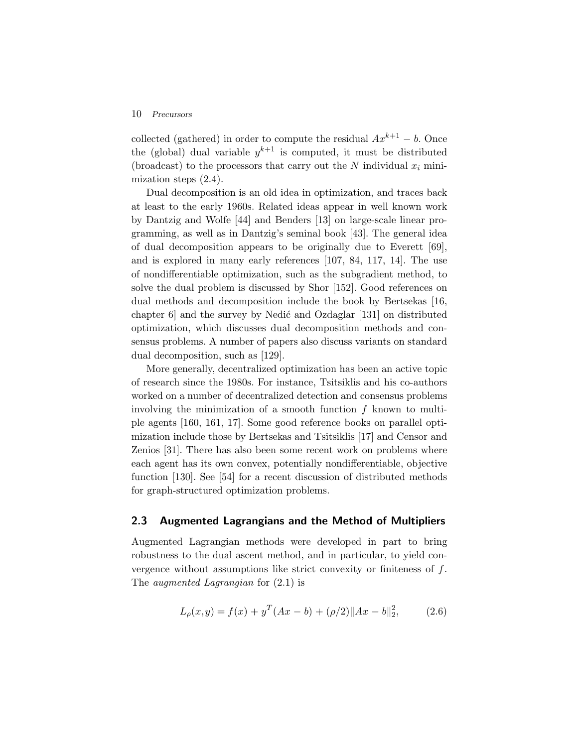#### 10 Precursors

collected (gathered) in order to compute the residual  $Ax^{k+1} - b$ . Once the (global) dual variable  $y^{k+1}$  is computed, it must be distributed (broadcast) to the processors that carry out the  $N$  individual  $x_i$  minimization steps (2.4).

Dual decomposition is an old idea in optimization, and traces back at least to the early 1960s. Related ideas appear in well known work by Dantzig and Wolfe [44] and Benders [13] on large-scale linear programming, as well as in Dantzig's seminal book [43]. The general idea of dual decomposition appears to be originally due to Everett [69], and is explored in many early references [107, 84, 117, 14]. The use of nondifferentiable optimization, such as the subgradient method, to solve the dual problem is discussed by Shor [152]. Good references on dual methods and decomposition include the book by Bertsekas [16, chapter  $6$  and the survey by Nedic and Ozdaglar [131] on distributed optimization, which discusses dual decomposition methods and consensus problems. A number of papers also discuss variants on standard dual decomposition, such as [129].

More generally, decentralized optimization has been an active topic of research since the 1980s. For instance, Tsitsiklis and his co-authors worked on a number of decentralized detection and consensus problems involving the minimization of a smooth function  $f$  known to multiple agents [160, 161, 17]. Some good reference books on parallel optimization include those by Bertsekas and Tsitsiklis [17] and Censor and Zenios [31]. There has also been some recent work on problems where each agent has its own convex, potentially nondifferentiable, objective function [130]. See [54] for a recent discussion of distributed methods for graph-structured optimization problems.

#### 2.3 Augmented Lagrangians and the Method of Multipliers

Augmented Lagrangian methods were developed in part to bring robustness to the dual ascent method, and in particular, to yield convergence without assumptions like strict convexity or finiteness of f. The *augmented Lagrangian* for  $(2.1)$  is

$$
L_{\rho}(x,y) = f(x) + y^{T}(Ax - b) + (\rho/2)||Ax - b||_{2}^{2},
$$
 (2.6)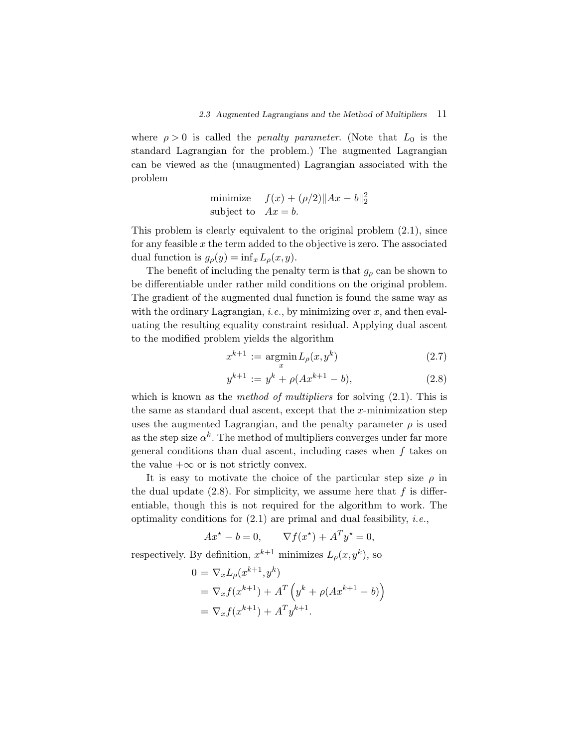where  $\rho > 0$  is called the *penalty parameter*. (Note that  $L_0$  is the standard Lagrangian for the problem.) The augmented Lagrangian can be viewed as the (unaugmented) Lagrangian associated with the problem

minimize 
$$
f(x) + (\rho/2) ||Ax - b||_2^2
$$
  
subject to  $Ax = b$ .

This problem is clearly equivalent to the original problem (2.1), since for any feasible  $x$  the term added to the objective is zero. The associated dual function is  $g_{\rho}(y) = \inf_{x} L_{\rho}(x, y)$ .

The benefit of including the penalty term is that  $g_{\rho}$  can be shown to be differentiable under rather mild conditions on the original problem. The gradient of the augmented dual function is found the same way as with the ordinary Lagrangian, *i.e.*, by minimizing over  $x$ , and then evaluating the resulting equality constraint residual. Applying dual ascent to the modified problem yields the algorithm

$$
x^{k+1} := \underset{x}{\operatorname{argmin}} L_{\rho}(x, y^k) \tag{2.7}
$$

$$
y^{k+1} := y^k + \rho(Ax^{k+1} - b), \tag{2.8}
$$

which is known as the *method of multipliers* for solving  $(2.1)$ . This is the same as standard dual ascent, except that the x-minimization step uses the augmented Lagrangian, and the penalty parameter  $\rho$  is used as the step size  $\alpha^k$ . The method of multipliers converges under far more general conditions than dual ascent, including cases when  $f$  takes on the value  $+\infty$  or is not strictly convex.

It is easy to motivate the choice of the particular step size  $\rho$  in the dual update  $(2.8)$ . For simplicity, we assume here that f is differentiable, though this is not required for the algorithm to work. The optimality conditions for  $(2.1)$  are primal and dual feasibility, *i.e.*,

$$
Ax^* - b = 0, \qquad \nabla f(x^*) + A^T y^* = 0,
$$

respectively. By definition,  $x^{k+1}$  minimizes  $L_{\rho}(x, y^k)$ , so

$$
0 = \nabla_x L_\rho(x^{k+1}, y^k)
$$
  
=  $\nabla_x f(x^{k+1}) + A^T (y^k + \rho(Ax^{k+1} - b))$   
=  $\nabla_x f(x^{k+1}) + A^T y^{k+1}.$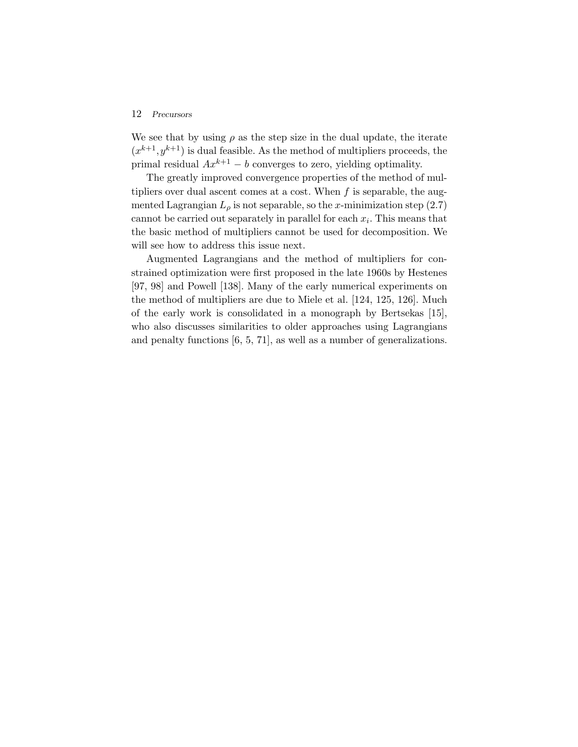#### 12 Precursors

We see that by using  $\rho$  as the step size in the dual update, the iterate  $(x^{k+1},y^{k+1})$  is dual feasible. As the method of multipliers proceeds, the primal residual  $Ax^{k+1} - b$  converges to zero, yielding optimality.

The greatly improved convergence properties of the method of multipliers over dual ascent comes at a cost. When  $f$  is separable, the augmented Lagrangian  $L_{\rho}$  is not separable, so the x-minimization step (2.7) cannot be carried out separately in parallel for each  $x_i$ . This means that the basic method of multipliers cannot be used for decomposition. We will see how to address this issue next.

Augmented Lagrangians and the method of multipliers for constrained optimization were first proposed in the late 1960s by Hestenes [97, 98] and Powell [138]. Many of the early numerical experiments on the method of multipliers are due to Miele et al. [124, 125, 126]. Much of the early work is consolidated in a monograph by Bertsekas [15], who also discusses similarities to older approaches using Lagrangians and penalty functions [6, 5, 71], as well as a number of generalizations.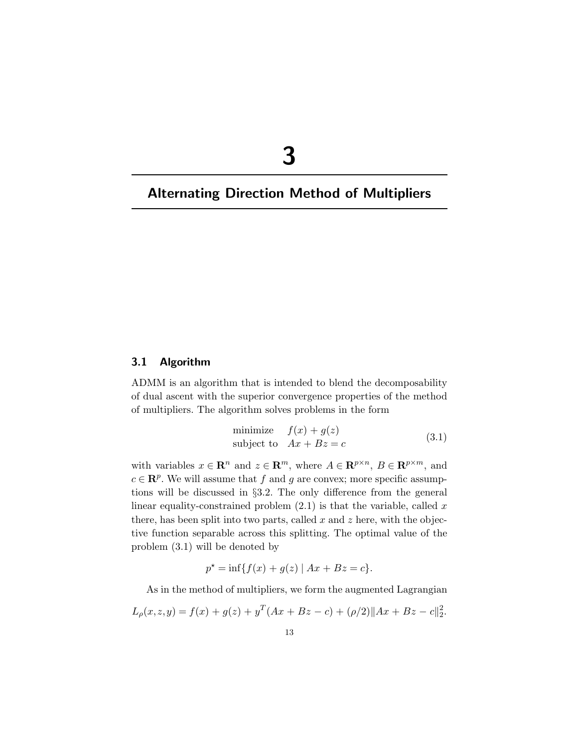## 3

### Alternating Direction Method of Multipliers

#### 3.1 Algorithm

ADMM is an algorithm that is intended to blend the decomposability of dual ascent with the superior convergence properties of the method of multipliers. The algorithm solves problems in the form

$$
\begin{array}{ll}\text{minimize} & f(x) + g(z) \\ \text{subject to} & Ax + Bz = c \end{array} \tag{3.1}
$$

with variables  $x \in \mathbb{R}^n$  and  $z \in \mathbb{R}^m$ , where  $A \in \mathbb{R}^{p \times n}$ ,  $B \in \mathbb{R}^{p \times m}$ , and  $c \in \mathbb{R}^p$ . We will assume that f and g are convex; more specific assumptions will be discussed in §3.2. The only difference from the general linear equality-constrained problem  $(2.1)$  is that the variable, called x there, has been split into two parts, called  $x$  and  $z$  here, with the objective function separable across this splitting. The optimal value of the problem (3.1) will be denoted by

$$
p^* = \inf\{f(x) + g(z) | Ax + Bz = c\}.
$$

As in the method of multipliers, we form the augmented Lagrangian

$$
L_{\rho}(x, z, y) = f(x) + g(z) + y^{T}(Ax + Bz - c) + (\rho/2)||Ax + Bz - c||_{2}^{2}.
$$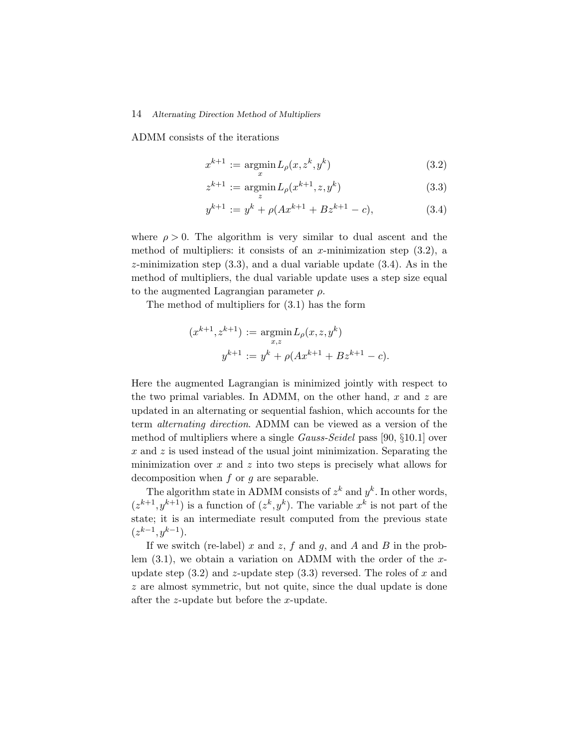#### 14 Alternating Direction Method of Multipliers

ADMM consists of the iterations

$$
x^{k+1} := \underset{x}{\operatorname{argmin}} L_{\rho}(x, z^k, y^k) \tag{3.2}
$$

$$
z^{k+1} := \underset{z}{\text{argmin}} L_{\rho}(x^{k+1}, z, y^k)
$$
\n(3.3)

$$
y^{k+1} := y^k + \rho(Ax^{k+1} + Bz^{k+1} - c), \tag{3.4}
$$

where  $\rho > 0$ . The algorithm is very similar to dual ascent and the method of multipliers: it consists of an x-minimization step  $(3.2)$ , a  $z$ -minimization step  $(3.3)$ , and a dual variable update  $(3.4)$ . As in the method of multipliers, the dual variable update uses a step size equal to the augmented Lagrangian parameter  $\rho$ .

The method of multipliers for (3.1) has the form

$$
(x^{k+1}, z^{k+1}) := \underset{x,z}{\text{argmin}} L_{\rho}(x, z, y^k)
$$

$$
y^{k+1} := y^k + \rho(Ax^{k+1} + Bz^{k+1} - c).
$$

Here the augmented Lagrangian is minimized jointly with respect to the two primal variables. In ADMM, on the other hand,  $x$  and  $z$  are updated in an alternating or sequential fashion, which accounts for the term alternating direction. ADMM can be viewed as a version of the method of multipliers where a single Gauss-Seidel pass [90, §10.1] over  $x$  and  $z$  is used instead of the usual joint minimization. Separating the minimization over x and z into two steps is precisely what allows for decomposition when  $f$  or  $g$  are separable.

The algorithm state in ADMM consists of  $z^k$  and  $y^k$ . In other words,  $(z^{k+1},y^{k+1})$  is a function of  $(z^k,y^k)$ . The variable  $x^k$  is not part of the state; it is an intermediate result computed from the previous state  $(z^{k-1}, y^{k-1}).$ 

If we switch (re-label) x and z, f and g, and A and B in the problem  $(3.1)$ , we obtain a variation on ADMM with the order of the xupdate step  $(3.2)$  and z-update step  $(3.3)$  reversed. The roles of x and z are almost symmetric, but not quite, since the dual update is done after the z-update but before the x-update.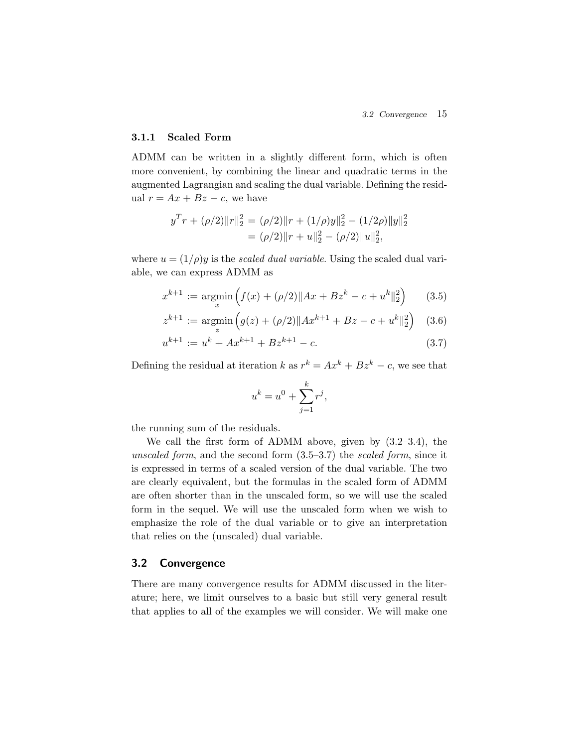#### 3.1.1 Scaled Form

ADMM can be written in a slightly different form, which is often more convenient, by combining the linear and quadratic terms in the augmented Lagrangian and scaling the dual variable. Defining the residual  $r = Ax + Bz - c$ , we have

$$
y^T r + (\rho/2) ||r||_2^2 = (\rho/2) ||r + (1/\rho)y||_2^2 - (1/2\rho) ||y||_2^2
$$
  
=  $(\rho/2) ||r + u||_2^2 - (\rho/2) ||u||_2^2$ ,

where  $u = (1/\rho)y$  is the scaled dual variable. Using the scaled dual variable, we can express ADMM as

$$
x^{k+1} := \underset{x}{\text{argmin}} \left( f(x) + (\rho/2) \|Ax + Bz^k - c + u^k\|_2^2 \right) \tag{3.5}
$$

$$
z^{k+1} := \underset{z}{\text{argmin}} \left( g(z) + (\rho/2) \|Ax^{k+1} + Bz - c + u^k\|_2^2 \right) \tag{3.6}
$$

$$
u^{k+1} := u^k + Ax^{k+1} + Bz^{k+1} - c.
$$
 (3.7)

Defining the residual at iteration k as  $r^k = Ax^k + Bz^k - c$ , we see that

$$
u^k = u^0 + \sum_{j=1}^k r^j,
$$

the running sum of the residuals.

We call the first form of ADMM above, given by (3.2–3.4), the unscaled form, and the second form  $(3.5-3.7)$  the scaled form, since it is expressed in terms of a scaled version of the dual variable. The two are clearly equivalent, but the formulas in the scaled form of ADMM are often shorter than in the unscaled form, so we will use the scaled form in the sequel. We will use the unscaled form when we wish to emphasize the role of the dual variable or to give an interpretation that relies on the (unscaled) dual variable.

#### 3.2 Convergence

There are many convergence results for ADMM discussed in the literature; here, we limit ourselves to a basic but still very general result that applies to all of the examples we will consider. We will make one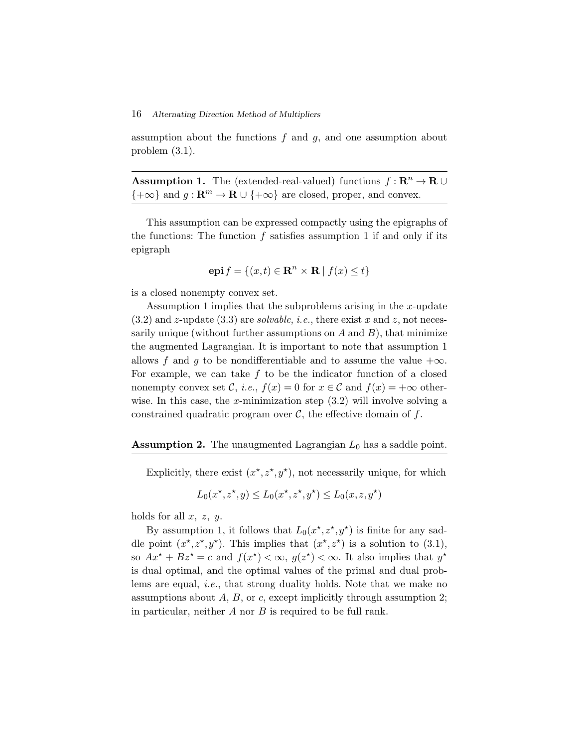#### 16 Alternating Direction Method of Multipliers

assumption about the functions  $f$  and  $g$ , and one assumption about problem (3.1).

**Assumption 1.** The (extended-real-valued) functions  $f: \mathbb{R}^n \to \mathbb{R} \cup \mathbb{R}$  $\{+\infty\}$  and  $g : \mathbf{R}^m \to \mathbf{R} \cup \{+\infty\}$  are closed, proper, and convex.

This assumption can be expressed compactly using the epigraphs of the functions: The function f satisfies assumption 1 if and only if its epigraph

$$
epi f = \{(x, t) \in \mathbf{R}^n \times \mathbf{R} \mid f(x) \le t\}
$$

is a closed nonempty convex set.

Assumption 1 implies that the subproblems arising in the x-update  $(3.2)$  and z-update  $(3.3)$  are *solvable*, *i.e.*, there exist x and z, not necessarily unique (without further assumptions on  $A$  and  $B$ ), that minimize the augmented Lagrangian. It is important to note that assumption 1 allows f and q to be nondifferentiable and to assume the value  $+\infty$ . For example, we can take  $f$  to be the indicator function of a closed nonempty convex set C, *i.e.*,  $f(x) = 0$  for  $x \in \mathcal{C}$  and  $f(x) = +\infty$  otherwise. In this case, the x-minimization step  $(3.2)$  will involve solving a constrained quadratic program over  $\mathcal{C}$ , the effective domain of  $f$ .

#### **Assumption 2.** The unaugmented Lagrangian  $L_0$  has a saddle point.

Explicitly, there exist  $(x^*, z^*, y^*)$ , not necessarily unique, for which

$$
L_0(x^\star, z^\star, y) \le L_0(x^\star, z^\star, y^\star) \le L_0(x, z, y^\star)
$$

holds for all  $x, z, y$ .

By assumption 1, it follows that  $L_0(x^*,z^*,y^*)$  is finite for any saddle point  $(x^*, z^*, y^*)$ . This implies that  $(x^*, z^*)$  is a solution to (3.1), so  $Ax^* + Bz^* = c$  and  $f(x^*) < \infty$ ,  $g(z^*) < \infty$ . It also implies that  $y^*$ is dual optimal, and the optimal values of the primal and dual problems are equal, *i.e.*, that strong duality holds. Note that we make no assumptions about  $A, B$ , or c, except implicitly through assumption 2; in particular, neither  $A$  nor  $B$  is required to be full rank.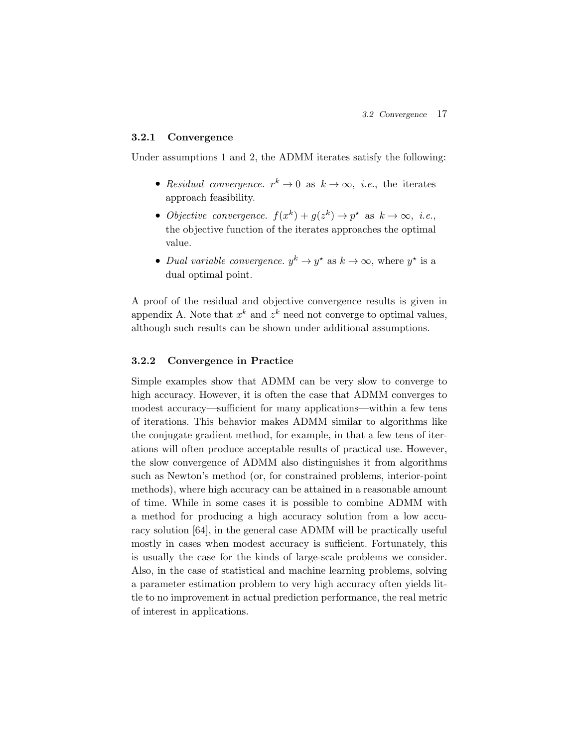#### 3.2.1 Convergence

Under assumptions 1 and 2, the ADMM iterates satisfy the following:

- Residual convergence.  $r^k \to 0$  as  $k \to \infty$ , *i.e.*, the iterates approach feasibility.
- Objective convergence.  $f(x^k) + g(z^k) \rightarrow p^*$  as  $k \rightarrow \infty$ , i.e., the objective function of the iterates approaches the optimal value.
- Dual variable convergence.  $y^k \to y^*$  as  $k \to \infty$ , where  $y^*$  is a dual optimal point.

A proof of the residual and objective convergence results is given in appendix A. Note that  $x^k$  and  $z^k$  need not converge to optimal values, although such results can be shown under additional assumptions.

#### 3.2.2 Convergence in Practice

Simple examples show that ADMM can be very slow to converge to high accuracy. However, it is often the case that ADMM converges to modest accuracy—sufficient for many applications—within a few tens of iterations. This behavior makes ADMM similar to algorithms like the conjugate gradient method, for example, in that a few tens of iterations will often produce acceptable results of practical use. However, the slow convergence of ADMM also distinguishes it from algorithms such as Newton's method (or, for constrained problems, interior-point methods), where high accuracy can be attained in a reasonable amount of time. While in some cases it is possible to combine ADMM with a method for producing a high accuracy solution from a low accuracy solution [64], in the general case ADMM will be practically useful mostly in cases when modest accuracy is sufficient. Fortunately, this is usually the case for the kinds of large-scale problems we consider. Also, in the case of statistical and machine learning problems, solving a parameter estimation problem to very high accuracy often yields little to no improvement in actual prediction performance, the real metric of interest in applications.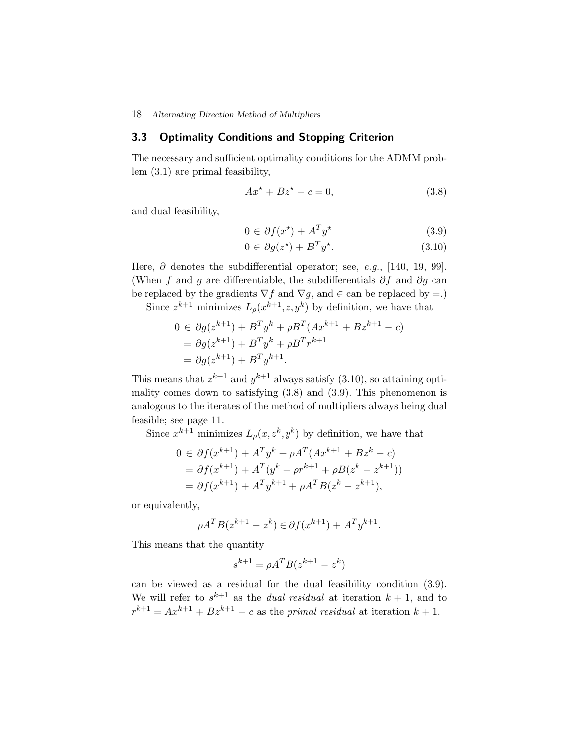#### 18 Alternating Direction Method of Multipliers

#### 3.3 Optimality Conditions and Stopping Criterion

The necessary and sufficient optimality conditions for the ADMM problem (3.1) are primal feasibility,

$$
Ax^* + Bz^* - c = 0,\t\t(3.8)
$$

and dual feasibility,

$$
0 \in \partial f(x^*) + A^T y^* \tag{3.9}
$$

$$
0 \in \partial g(z^*) + B^T y^*.
$$
 (3.10)

Here,  $\partial$  denotes the subdifferential operator; see, e.g., [140, 19, 99]. (When f and g are differentiable, the subdifferentials  $\partial f$  and  $\partial g$  can be replaced by the gradients  $\nabla f$  and  $\nabla g$ , and  $\in$  can be replaced by =.)

Since  $z^{k+1}$  minimizes  $L_{\rho}(x^{k+1},z,y^k)$  by definition, we have that

$$
0 \in \partial g(z^{k+1}) + B^T y^k + \rho B^T (Ax^{k+1} + Bz^{k+1} - c)
$$
  
=  $\partial g(z^{k+1}) + B^T y^k + \rho B^T r^{k+1}$   
=  $\partial g(z^{k+1}) + B^T y^{k+1}$ .

This means that  $z^{k+1}$  and  $y^{k+1}$  always satisfy (3.10), so attaining optimality comes down to satisfying (3.8) and (3.9). This phenomenon is analogous to the iterates of the method of multipliers always being dual feasible; see page 11.

Since  $x^{k+1}$  minimizes  $L_{\rho}(x, z^k, y^k)$  by definition, we have that

$$
0 \in \partial f(x^{k+1}) + A^T y^k + \rho A^T (Ax^{k+1} + Bz^k - c)
$$
  
=  $\partial f(x^{k+1}) + A^T (y^k + \rho r^{k+1} + \rho B(z^k - z^{k+1}))$   
=  $\partial f(x^{k+1}) + A^T y^{k+1} + \rho A^T B(z^k - z^{k+1}),$ 

or equivalently,

$$
\rho A^T B(z^{k+1} - z^k) \in \partial f(x^{k+1}) + A^T y^{k+1}.
$$

This means that the quantity

$$
s^{k+1} = \rho A^T B (z^{k+1} - z^k)
$$

can be viewed as a residual for the dual feasibility condition (3.9). We will refer to  $s^{k+1}$  as the *dual residual* at iteration  $k + 1$ , and to  $r^{k+1} = Ax^{k+1} + Bz^{k+1} - c$  as the primal residual at iteration  $k+1$ .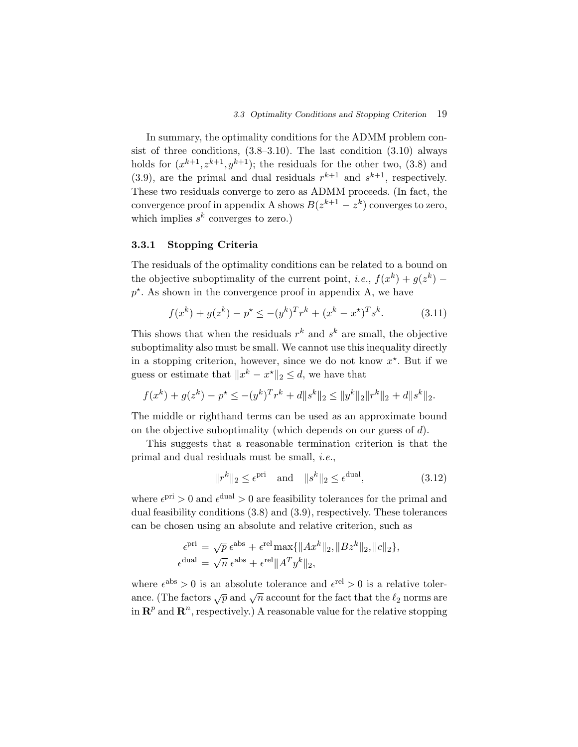In summary, the optimality conditions for the ADMM problem consist of three conditions,  $(3.8-3.10)$ . The last condition  $(3.10)$  always holds for  $(x^{k+1}, z^{k+1}, y^{k+1})$ ; the residuals for the other two, (3.8) and (3.9), are the primal and dual residuals  $r^{k+1}$  and  $s^{k+1}$ , respectively. These two residuals converge to zero as ADMM proceeds. (In fact, the convergence proof in appendix A shows  $B(z^{k+1} - z^k)$  converges to zero, which implies  $s^k$  converges to zero.)

#### 3.3.1 Stopping Criteria

The residuals of the optimality conditions can be related to a bound on the objective suboptimality of the current point, *i.e.*,  $f(x^k) + g(z^k)$  –  $p^*$ . As shown in the convergence proof in appendix A, we have

$$
f(x^{k}) + g(z^{k}) - p^{\star} \le -(y^{k})^{T} r^{k} + (x^{k} - x^{\star})^{T} s^{k}.
$$
 (3.11)

This shows that when the residuals  $r^k$  and  $s^k$  are small, the objective suboptimality also must be small. We cannot use this inequality directly in a stopping criterion, however, since we do not know  $x^*$ . But if we guess or estimate that  $||x^k - x^*||_2 \le d$ , we have that

$$
f(x^{k}) + g(z^{k}) - p^* \leq -(y^k)^T r^k + d||s^k||_2 \leq ||y^k||_2 ||r^k||_2 + d||s^k||_2.
$$

The middle or righthand terms can be used as an approximate bound on the objective suboptimality (which depends on our guess of  $d$ ).

This suggests that a reasonable termination criterion is that the primal and dual residuals must be small, i.e.,

$$
||r^k||_2 \le \epsilon^{\text{pri}} \quad \text{and} \quad ||s^k||_2 \le \epsilon^{\text{dual}}, \tag{3.12}
$$

where  $\epsilon^{\text{pri}} > 0$  and  $\epsilon^{\text{dual}} > 0$  are feasibility tolerances for the primal and dual feasibility conditions (3.8) and (3.9), respectively. These tolerances can be chosen using an absolute and relative criterion, such as

$$
\epsilon^{\text{pri}} = \sqrt{p} \epsilon^{\text{abs}} + \epsilon^{\text{rel}} \max \{ \|Ax^k\|_2, \|Bz^k\|_2, \|c\|_2 \},
$$
  

$$
\epsilon^{\text{dual}} = \sqrt{n} \epsilon^{\text{abs}} + \epsilon^{\text{rel}} \|A^T y^k\|_2,
$$

where  $\epsilon^{abs} > 0$  is an absolute tolerance and  $\epsilon^{rel} > 0$  is a relative tolerance. (The factors  $\sqrt{p}$  and  $\sqrt{n}$  account for the fact that the  $\ell_2$  norms are in  $\mathbb{R}^p$  and  $\mathbb{R}^n$ , respectively.) A reasonable value for the relative stopping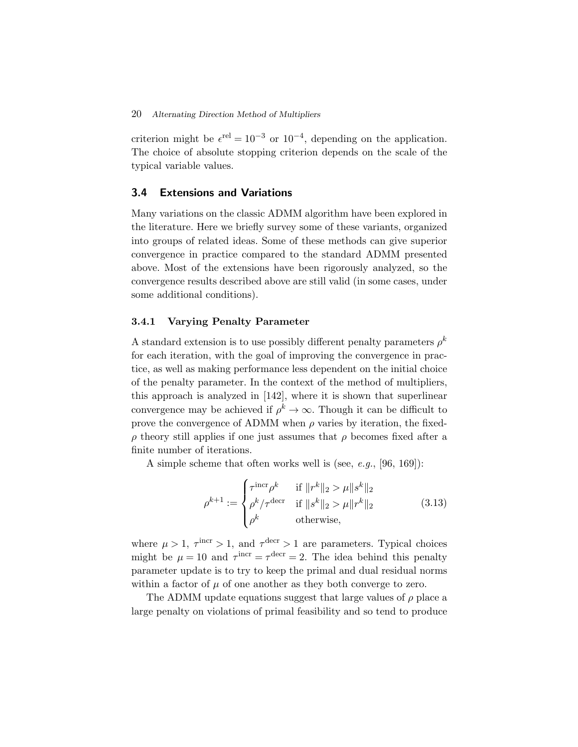criterion might be  $\epsilon^{rel} = 10^{-3}$  or  $10^{-4}$ , depending on the application. The choice of absolute stopping criterion depends on the scale of the typical variable values.

#### 3.4 Extensions and Variations

Many variations on the classic ADMM algorithm have been explored in the literature. Here we briefly survey some of these variants, organized into groups of related ideas. Some of these methods can give superior convergence in practice compared to the standard ADMM presented above. Most of the extensions have been rigorously analyzed, so the convergence results described above are still valid (in some cases, under some additional conditions).

#### 3.4.1 Varying Penalty Parameter

A standard extension is to use possibly different penalty parameters  $\rho^k$ for each iteration, with the goal of improving the convergence in practice, as well as making performance less dependent on the initial choice of the penalty parameter. In the context of the method of multipliers, this approach is analyzed in [142], where it is shown that superlinear convergence may be achieved if  $\rho^k \to \infty$ . Though it can be difficult to prove the convergence of ADMM when  $\rho$  varies by iteration, the fixedρ theory still applies if one just assumes that ρ becomes fixed after a finite number of iterations.

A simple scheme that often works well is (see, e.g.,  $[96, 169]$ ):

$$
\rho^{k+1} := \begin{cases} \tau^{\text{incr}} \rho^k & \text{if } \|r^k\|_2 > \mu \|s^k\|_2 \\ \rho^k / \tau^{\text{decr}} & \text{if } \|s^k\|_2 > \mu \|r^k\|_2 \\ \rho^k & \text{otherwise,} \end{cases} \tag{3.13}
$$

where  $\mu > 1$ ,  $\tau^{\text{incr}} > 1$ , and  $\tau^{\text{decr}} > 1$  are parameters. Typical choices might be  $\mu = 10$  and  $\tau^{\text{incr}} = \tau^{\text{decr}} = 2$ . The idea behind this penalty parameter update is to try to keep the primal and dual residual norms within a factor of  $\mu$  of one another as they both converge to zero.

The ADMM update equations suggest that large values of  $\rho$  place a large penalty on violations of primal feasibility and so tend to produce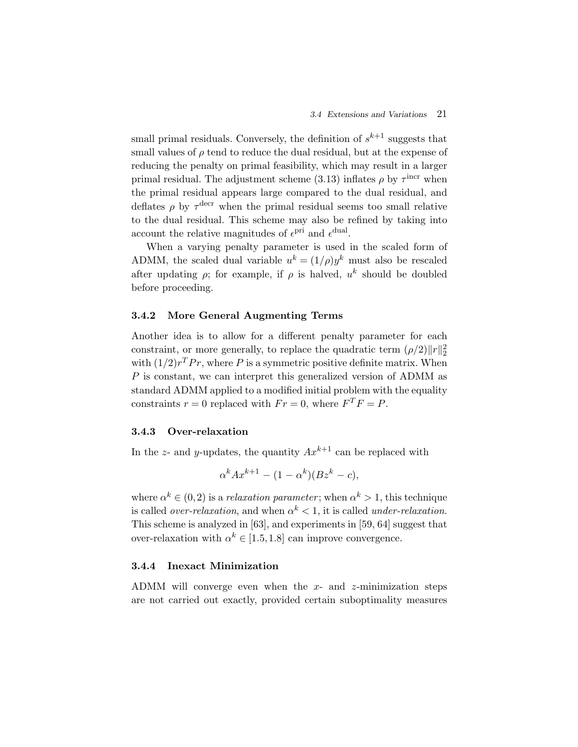small primal residuals. Conversely, the definition of  $s^{k+1}$  suggests that small values of  $\rho$  tend to reduce the dual residual, but at the expense of reducing the penalty on primal feasibility, which may result in a larger primal residual. The adjustment scheme (3.13) inflates  $\rho$  by  $\tau^{\text{incr}}$  when the primal residual appears large compared to the dual residual, and deflates  $\rho$  by  $\tau^{\text{decr}}$  when the primal residual seems too small relative to the dual residual. This scheme may also be refined by taking into account the relative magnitudes of  $\epsilon^{\text{pri}}$  and  $\epsilon^{\text{dual}}$ .

When a varying penalty parameter is used in the scaled form of ADMM, the scaled dual variable  $u^k = (1/\rho)y^k$  must also be rescaled after updating  $\rho$ ; for example, if  $\rho$  is halved,  $u^k$  should be doubled before proceeding.

#### 3.4.2 More General Augmenting Terms

Another idea is to allow for a different penalty parameter for each constraint, or more generally, to replace the quadratic term  $(\rho/2)$  $||r||_2^2$ with  $(1/2)r<sup>T</sup>Pr$ , where P is a symmetric positive definite matrix. When P is constant, we can interpret this generalized version of ADMM as standard ADMM applied to a modified initial problem with the equality constraints  $r = 0$  replaced with  $Fr = 0$ , where  $F^T F = P$ .

#### 3.4.3 Over-relaxation

In the z- and y-updates, the quantity  $Ax^{k+1}$  can be replaced with

$$
\alpha^k A x^{k+1} - (1 - \alpha^k)(Bz^k - c),
$$

where  $\alpha^{k} \in (0, 2)$  is a relaxation parameter; when  $\alpha^{k} > 1$ , this technique is called *over-relaxation*, and when  $\alpha^{k} < 1$ , it is called *under-relaxation*. This scheme is analyzed in [63], and experiments in [59, 64] suggest that over-relaxation with  $\alpha^k \in [1.5, 1.8]$  can improve convergence.

#### 3.4.4 Inexact Minimization

ADMM will converge even when the  $x$ - and  $z$ -minimization steps are not carried out exactly, provided certain suboptimality measures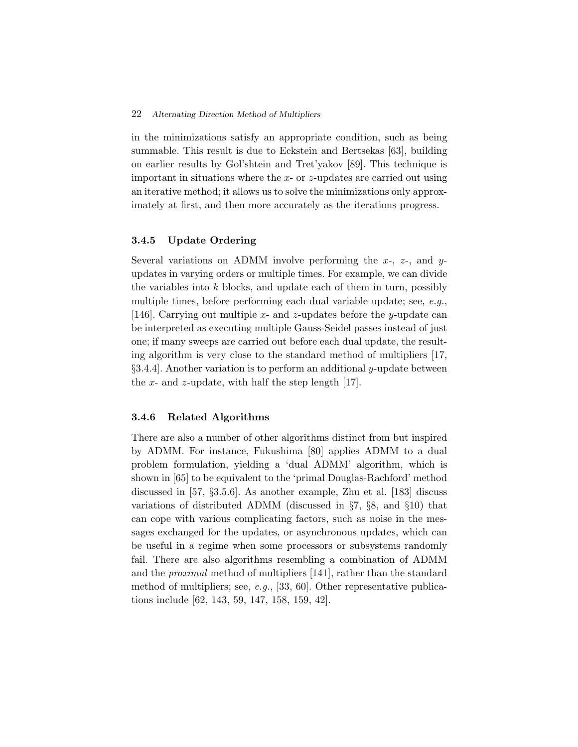#### 22 Alternating Direction Method of Multipliers

in the minimizations satisfy an appropriate condition, such as being summable. This result is due to Eckstein and Bertsekas [63], building on earlier results by Gol'shtein and Tret'yakov [89]. This technique is important in situations where the  $x$ - or  $z$ -updates are carried out using an iterative method; it allows us to solve the minimizations only approximately at first, and then more accurately as the iterations progress.

#### 3.4.5 Update Ordering

Several variations on ADMM involve performing the x-, z-, and yupdates in varying orders or multiple times. For example, we can divide the variables into  $k$  blocks, and update each of them in turn, possibly multiple times, before performing each dual variable update; see, e.g., [146]. Carrying out multiple x- and z-updates before the y-update can be interpreted as executing multiple Gauss-Seidel passes instead of just one; if many sweeps are carried out before each dual update, the resulting algorithm is very close to the standard method of multipliers [17,  $\S3.4.4$ ]. Another variation is to perform an additional y-update between the x- and z-update, with half the step length  $[17]$ .

#### 3.4.6 Related Algorithms

There are also a number of other algorithms distinct from but inspired by ADMM. For instance, Fukushima [80] applies ADMM to a dual problem formulation, yielding a 'dual ADMM' algorithm, which is shown in [65] to be equivalent to the 'primal Douglas-Rachford' method discussed in [57, §3.5.6]. As another example, Zhu et al. [183] discuss variations of distributed ADMM (discussed in §7, §8, and §10) that can cope with various complicating factors, such as noise in the messages exchanged for the updates, or asynchronous updates, which can be useful in a regime when some processors or subsystems randomly fail. There are also algorithms resembling a combination of ADMM and the proximal method of multipliers [141], rather than the standard method of multipliers; see, e.g., [33, 60]. Other representative publications include [62, 143, 59, 147, 158, 159, 42].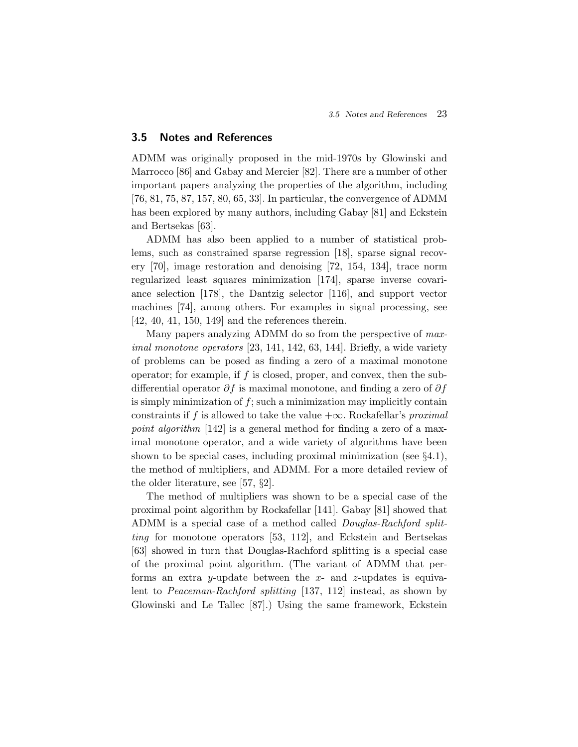#### 3.5 Notes and References

ADMM was originally proposed in the mid-1970s by Glowinski and Marrocco [86] and Gabay and Mercier [82]. There are a number of other important papers analyzing the properties of the algorithm, including [76, 81, 75, 87, 157, 80, 65, 33]. In particular, the convergence of ADMM has been explored by many authors, including Gabay [81] and Eckstein and Bertsekas [63].

ADMM has also been applied to a number of statistical problems, such as constrained sparse regression [18], sparse signal recovery [70], image restoration and denoising [72, 154, 134], trace norm regularized least squares minimization [174], sparse inverse covariance selection [178], the Dantzig selector [116], and support vector machines [74], among others. For examples in signal processing, see [42, 40, 41, 150, 149] and the references therein.

Many papers analyzing ADMM do so from the perspective of maximal monotone operators [23, 141, 142, 63, 144]. Briefly, a wide variety of problems can be posed as finding a zero of a maximal monotone operator; for example, if  $f$  is closed, proper, and convex, then the subdifferential operator  $\partial f$  is maximal monotone, and finding a zero of  $\partial f$ is simply minimization of  $f$ ; such a minimization may implicitly contain constraints if f is allowed to take the value  $+\infty$ . Rockafellar's proximal point algorithm [142] is a general method for finding a zero of a maximal monotone operator, and a wide variety of algorithms have been shown to be special cases, including proximal minimization (see §4.1), the method of multipliers, and ADMM. For a more detailed review of the older literature, see [57, §2].

The method of multipliers was shown to be a special case of the proximal point algorithm by Rockafellar [141]. Gabay [81] showed that ADMM is a special case of a method called Douglas-Rachford splitting for monotone operators [53, 112], and Eckstein and Bertsekas [63] showed in turn that Douglas-Rachford splitting is a special case of the proximal point algorithm. (The variant of ADMM that performs an extra y-update between the x- and z-updates is equivalent to Peaceman-Rachford splitting [137, 112] instead, as shown by Glowinski and Le Tallec [87].) Using the same framework, Eckstein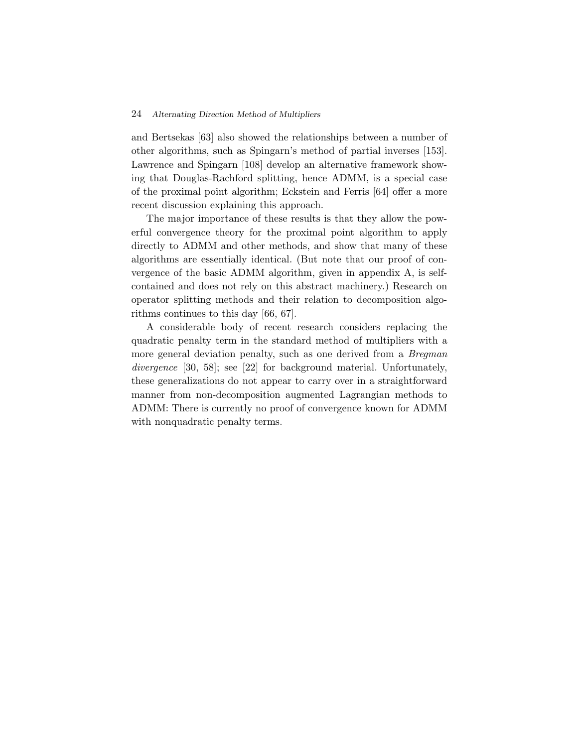#### 24 Alternating Direction Method of Multipliers

and Bertsekas [63] also showed the relationships between a number of other algorithms, such as Spingarn's method of partial inverses [153]. Lawrence and Spingarn [108] develop an alternative framework showing that Douglas-Rachford splitting, hence ADMM, is a special case of the proximal point algorithm; Eckstein and Ferris [64] offer a more recent discussion explaining this approach.

The major importance of these results is that they allow the powerful convergence theory for the proximal point algorithm to apply directly to ADMM and other methods, and show that many of these algorithms are essentially identical. (But note that our proof of convergence of the basic ADMM algorithm, given in appendix A, is selfcontained and does not rely on this abstract machinery.) Research on operator splitting methods and their relation to decomposition algorithms continues to this day [66, 67].

A considerable body of recent research considers replacing the quadratic penalty term in the standard method of multipliers with a more general deviation penalty, such as one derived from a Bregman divergence [30, 58]; see [22] for background material. Unfortunately, these generalizations do not appear to carry over in a straightforward manner from non-decomposition augmented Lagrangian methods to ADMM: There is currently no proof of convergence known for ADMM with nonquadratic penalty terms.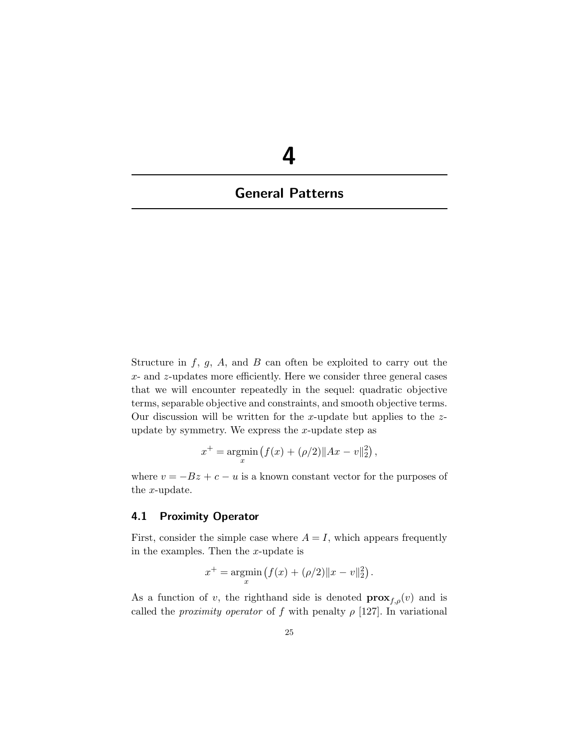## 4

### General Patterns

Structure in  $f, g, A$ , and  $B$  can often be exploited to carry out the x- and z-updates more efficiently. Here we consider three general cases that we will encounter repeatedly in the sequel: quadratic objective terms, separable objective and constraints, and smooth objective terms. Our discussion will be written for the x-update but applies to the  $z$ update by symmetry. We express the  $x$ -update step as

$$
x^{+} = \underset{x}{\text{argmin}} (f(x) + (\rho/2) \|Ax - v\|_{2}^{2}),
$$

where  $v = -Bz + c - u$  is a known constant vector for the purposes of the x-update.

#### 4.1 Proximity Operator

First, consider the simple case where  $A = I$ , which appears frequently in the examples. Then the  $x$ -update is

$$
x^{+} = \underset{x}{\text{argmin}} (f(x) + (\rho/2) \|x - v\|_2^2).
$$

As a function of v, the righthand side is denoted  $\mathbf{prox}_{f,\rho}(v)$  and is called the *proximity operator* of f with penalty  $\rho$  [127]. In variational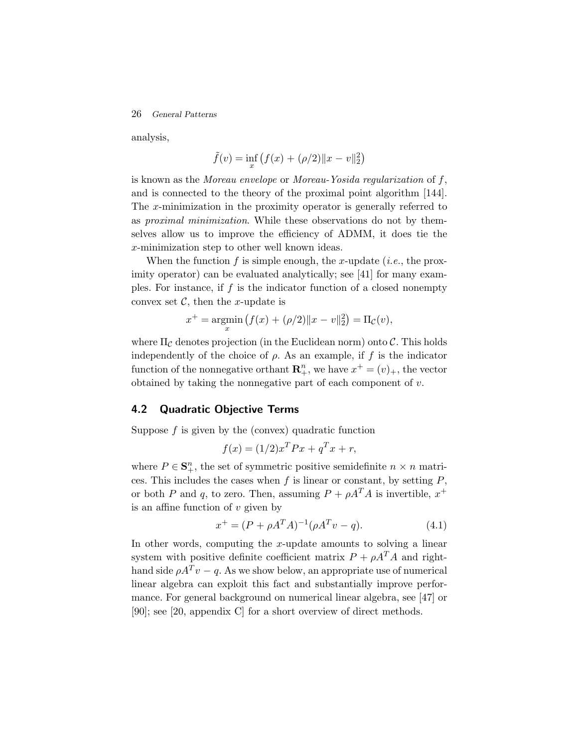26 General Patterns

analysis,

$$
\tilde{f}(v) = \inf_{x} (f(x) + (\rho/2) ||x - v||_2^2)
$$

is known as the Moreau envelope or Moreau-Yosida regularization of f, and is connected to the theory of the proximal point algorithm [144]. The x-minimization in the proximity operator is generally referred to as proximal minimization. While these observations do not by themselves allow us to improve the efficiency of ADMM, it does tie the x-minimization step to other well known ideas.

When the function f is simple enough, the x-update (*i.e.*, the proximity operator) can be evaluated analytically; see [41] for many examples. For instance, if  $f$  is the indicator function of a closed nonempty convex set  $\mathcal{C}$ , then the *x*-update is

$$
x^{+} = \underset{x}{\text{argmin}} (f(x) + (\rho/2) \|x - v\|_2^2) = \Pi_{\mathcal{C}}(v),
$$

where  $\Pi_{\mathcal{C}}$  denotes projection (in the Euclidean norm) onto  $\mathcal{C}$ . This holds independently of the choice of  $\rho$ . As an example, if f is the indicator function of the nonnegative orthant  $\mathbb{R}^n_+$ , we have  $x^+ = (v)_+$ , the vector obtained by taking the nonnegative part of each component of v.

#### 4.2 Quadratic Objective Terms

Suppose  $f$  is given by the (convex) quadratic function

$$
f(x) = (1/2)x^T P x + q^T x + r,
$$

where  $P \in \mathbf{S}_{+}^n$ , the set of symmetric positive semidefinite  $n \times n$  matrices. This includes the cases when  $f$  is linear or constant, by setting  $P$ , or both P and q, to zero. Then, assuming  $P + \rho A^T A$  is invertible,  $x^+$ is an affine function of  $v$  given by

$$
x^{+} = (P + \rho A^{T} A)^{-1} (\rho A^{T} v - q). \tag{4.1}
$$

In other words, computing the  $x$ -update amounts to solving a linear system with positive definite coefficient matrix  $P + \rho A^T A$  and righthand side  $\rho A^T v - q$ . As we show below, an appropriate use of numerical linear algebra can exploit this fact and substantially improve performance. For general background on numerical linear algebra, see [47] or [90]; see [20, appendix C] for a short overview of direct methods.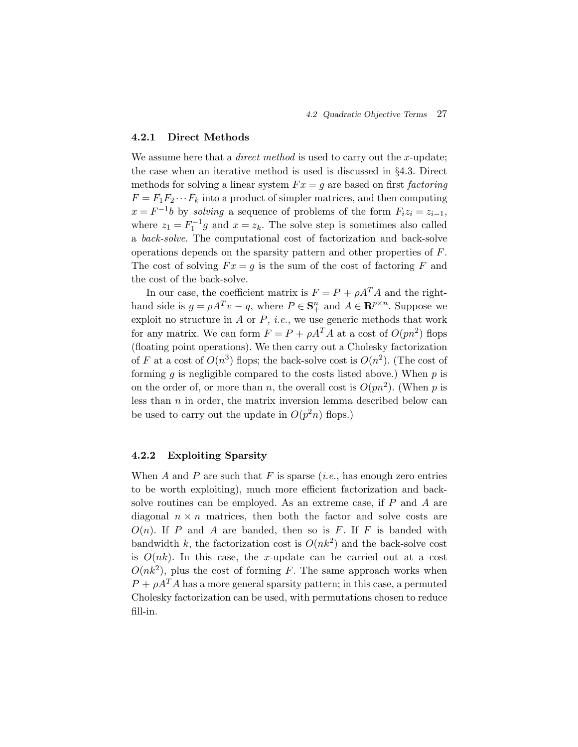#### 4.2.1 Direct Methods

We assume here that a *direct method* is used to carry out the x-update; the case when an iterative method is used is discussed in §4.3. Direct methods for solving a linear system  $Fx = g$  are based on first *factoring*  $F = F_1F_2\cdots F_k$  into a product of simpler matrices, and then computing  $x = F^{-1}b$  by solving a sequence of problems of the form  $F_i z_i = z_{i-1}$ , where  $z_1 = F_1^{-1}g$  and  $x = z_k$ . The solve step is sometimes also called a back-solve. The computational cost of factorization and back-solve operations depends on the sparsity pattern and other properties of F. The cost of solving  $Fx = g$  is the sum of the cost of factoring F and the cost of the back-solve.

In our case, the coefficient matrix is  $F = P + \rho A^T A$  and the righthand side is  $g = \rho A^T v - q$ , where  $P \in \mathbf{S}_{+}^n$  and  $A \in \mathbf{R}^{p \times n}$ . Suppose we exploit no structure in  $A$  or  $P$ , *i.e.*, we use generic methods that work for any matrix. We can form  $F = P + \rho A^T A$  at a cost of  $O(pn^2)$  flops (floating point operations). We then carry out a Cholesky factorization of F at a cost of  $O(n^3)$  flops; the back-solve cost is  $O(n^2)$ . (The cost of forming  $q$  is negligible compared to the costs listed above.) When  $p$  is on the order of, or more than n, the overall cost is  $O(pn^2)$ . (When p is less than  $n$  in order, the matrix inversion lemma described below can be used to carry out the update in  $O(p^2n)$  flops.)

#### 4.2.2 Exploiting Sparsity

When A and P are such that F is sparse (*i.e.*, has enough zero entries to be worth exploiting), much more efficient factorization and backsolve routines can be employed. As an extreme case, if P and A are diagonal  $n \times n$  matrices, then both the factor and solve costs are  $O(n)$ . If P and A are banded, then so is F. If F is banded with bandwidth k, the factorization cost is  $O(nk^2)$  and the back-solve cost is  $O(nk)$ . In this case, the x-update can be carried out at a cost  $O(nk^2)$ , plus the cost of forming F. The same approach works when  $P + \rho A^T A$  has a more general sparsity pattern; in this case, a permuted Cholesky factorization can be used, with permutations chosen to reduce fill-in.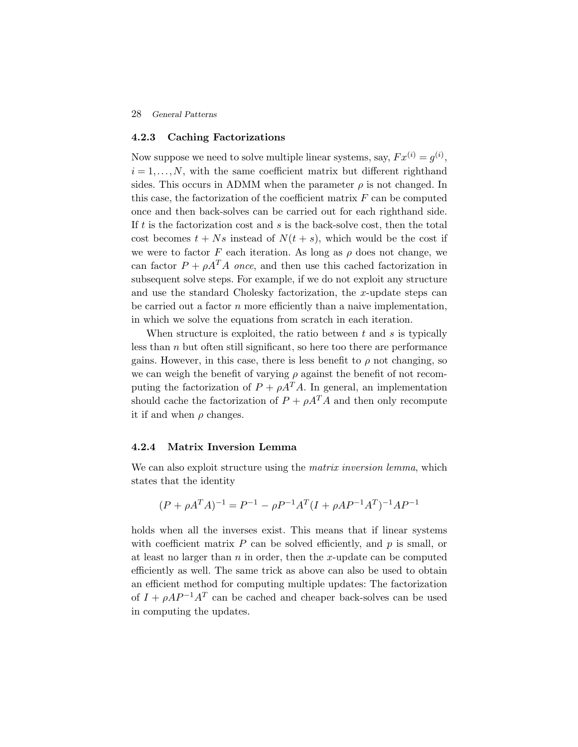#### 28 General Patterns

#### 4.2.3 Caching Factorizations

Now suppose we need to solve multiple linear systems, say,  $Fx^{(i)} = g^{(i)}$ ,  $i = 1, \ldots, N$ , with the same coefficient matrix but different righthand sides. This occurs in ADMM when the parameter  $\rho$  is not changed. In this case, the factorization of the coefficient matrix  $F$  can be computed once and then back-solves can be carried out for each righthand side. If t is the factorization cost and s is the back-solve cost, then the total cost becomes  $t + Ns$  instead of  $N(t + s)$ , which would be the cost if we were to factor F each iteration. As long as  $\rho$  does not change, we can factor  $P + \rho A^T A$  once, and then use this cached factorization in subsequent solve steps. For example, if we do not exploit any structure and use the standard Cholesky factorization, the x-update steps can be carried out a factor  $n$  more efficiently than a naive implementation, in which we solve the equations from scratch in each iteration.

When structure is exploited, the ratio between  $t$  and  $s$  is typically less than  $n$  but often still significant, so here too there are performance gains. However, in this case, there is less benefit to  $\rho$  not changing, so we can weigh the benefit of varying  $\rho$  against the benefit of not recomputing the factorization of  $P + \rho A^T A$ . In general, an implementation should cache the factorization of  $P + \rho A^T A$  and then only recompute it if and when  $\rho$  changes.

#### 4.2.4 Matrix Inversion Lemma

We can also exploit structure using the *matrix inversion lemma*, which states that the identity

$$
(P + \rho A^T A)^{-1} = P^{-1} - \rho P^{-1} A^T (I + \rho A P^{-1} A^T)^{-1} A P^{-1}
$$

holds when all the inverses exist. This means that if linear systems with coefficient matrix  $P$  can be solved efficiently, and  $p$  is small, or at least no larger than  $n$  in order, then the x-update can be computed efficiently as well. The same trick as above can also be used to obtain an efficient method for computing multiple updates: The factorization of  $I + \rho A P^{-1} A^T$  can be cached and cheaper back-solves can be used in computing the updates.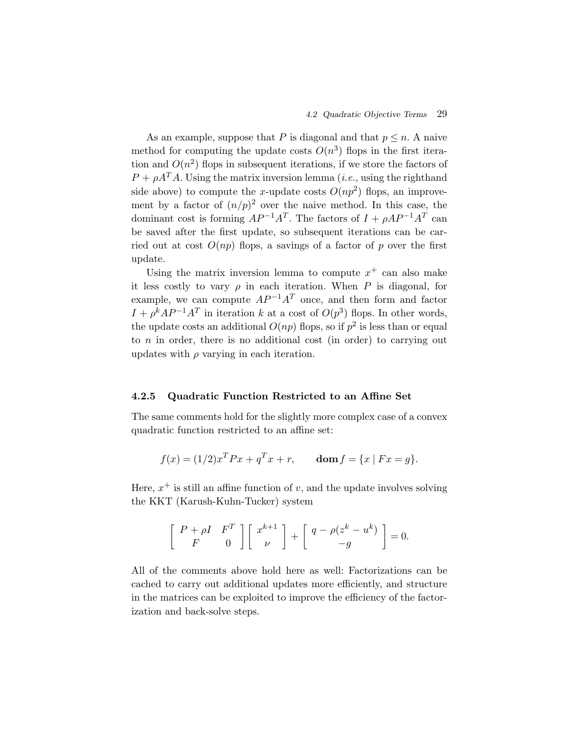As an example, suppose that P is diagonal and that  $p \leq n$ . A naive method for computing the update costs  $O(n^3)$  flops in the first iteration and  $O(n^2)$  flops in subsequent iterations, if we store the factors of  $P + \rho A^T A$ . Using the matrix inversion lemma (*i.e.*, using the righthand side above) to compute the x-update costs  $O(np^2)$  flops, an improvement by a factor of  $(n/p)^2$  over the naive method. In this case, the dominant cost is forming  $AP^{-1}A^T$ . The factors of  $I + \rho AP^{-1}A^T$  can be saved after the first update, so subsequent iterations can be carried out at cost  $O(np)$  flops, a savings of a factor of p over the first update.

Using the matrix inversion lemma to compute  $x^+$  can also make it less costly to vary  $\rho$  in each iteration. When P is diagonal, for example, we can compute  $AP^{-1}A^T$  once, and then form and factor  $I + \rho^k A P^{-1} A^T$  in iteration k at a cost of  $O(p^3)$  flops. In other words, the update costs an additional  $O(np)$  flops, so if  $p^2$  is less than or equal to n in order, there is no additional cost (in order) to carrying out updates with  $\rho$  varying in each iteration.

#### 4.2.5 Quadratic Function Restricted to an Affine Set

The same comments hold for the slightly more complex case of a convex quadratic function restricted to an affine set:

$$
f(x) = (1/2)x^{T}Px + q^{T}x + r, \qquad \text{dom } f = \{x \mid Fx = g\}.
$$

Here,  $x^+$  is still an affine function of v, and the update involves solving the KKT (Karush-Kuhn-Tucker) system

$$
\left[\begin{array}{cc} P+\rho I & F^T \\ F & 0 \end{array}\right] \left[\begin{array}{c} x^{k+1} \\ \nu \end{array}\right] + \left[\begin{array}{c} q-\rho(z^k-u^k) \\ -g \end{array}\right] = 0.
$$

All of the comments above hold here as well: Factorizations can be cached to carry out additional updates more efficiently, and structure in the matrices can be exploited to improve the efficiency of the factorization and back-solve steps.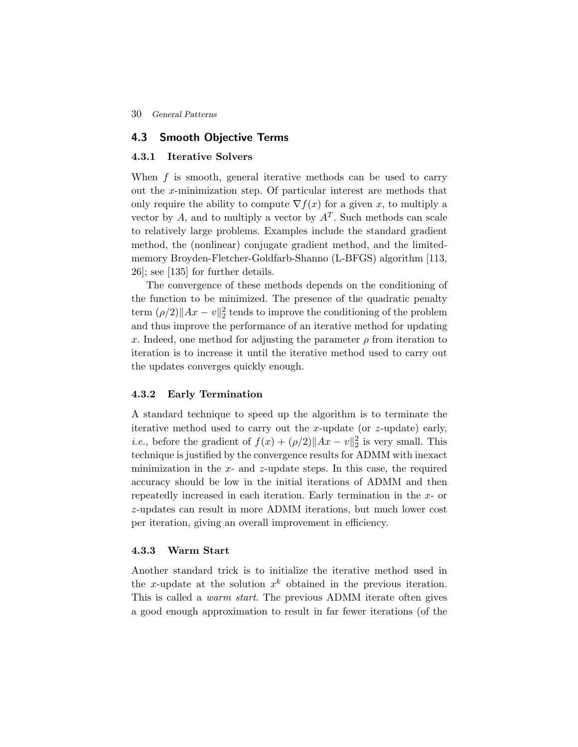#### 30 General Patterns

#### 4.3 Smooth Objective Terms

#### 4.3.1 Iterative Solvers

When  $f$  is smooth, general iterative methods can be used to carry out the x-minimization step. Of particular interest are methods that only require the ability to compute  $\nabla f(x)$  for a given x, to multiply a vector by A, and to multiply a vector by  $A<sup>T</sup>$ . Such methods can scale to relatively large problems. Examples include the standard gradient method, the (nonlinear) conjugate gradient method, and the limitedmemory Broyden-Fletcher-Goldfarb-Shanno (L-BFGS) algorithm [113, 26]; see [135] for further details.

The convergence of these methods depends on the conditioning of the function to be minimized. The presence of the quadratic penalty term  $(\rho/2)$   $||Ax - v||_2^2$  tends to improve the conditioning of the problem and thus improve the performance of an iterative method for updating x. Indeed, one method for adjusting the parameter  $\rho$  from iteration to iteration is to increase it until the iterative method used to carry out the updates converges quickly enough.

#### 4.3.2 Early Termination

A standard technique to speed up the algorithm is to terminate the iterative method used to carry out the x-update (or z-update) early, *i.e.*, before the gradient of  $f(x) + (\rho/2) \|Ax - v\|_2^2$  is very small. This technique is justified by the convergence results for ADMM with inexact minimization in the  $x$ - and  $z$ -update steps. In this case, the required accuracy should be low in the initial iterations of ADMM and then repeatedly increased in each iteration. Early termination in the  $x$ - or z-updates can result in more ADMM iterations, but much lower cost per iteration, giving an overall improvement in efficiency.

#### 4.3.3 Warm Start

Another standard trick is to initialize the iterative method used in the x-update at the solution  $x^k$  obtained in the previous iteration. This is called a warm start. The previous ADMM iterate often gives a good enough approximation to result in far fewer iterations (of the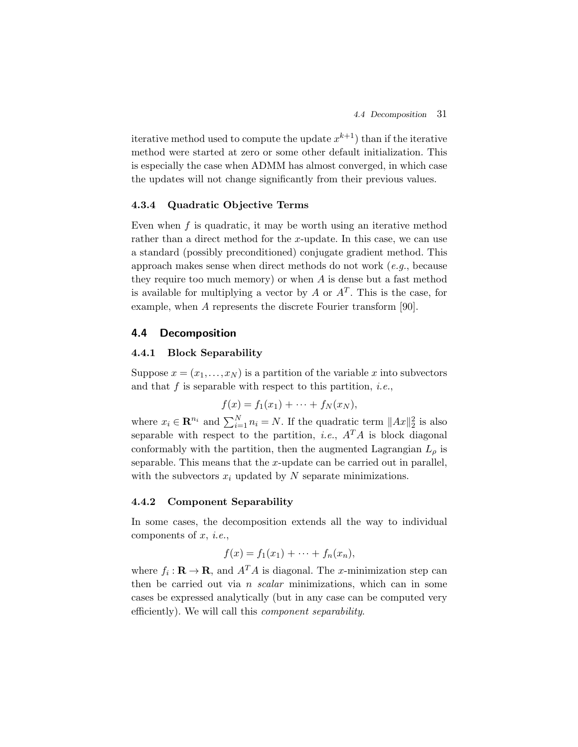iterative method used to compute the update  $x^{k+1}$  than if the iterative method were started at zero or some other default initialization. This is especially the case when ADMM has almost converged, in which case the updates will not change significantly from their previous values.

#### 4.3.4 Quadratic Objective Terms

Even when  $f$  is quadratic, it may be worth using an iterative method rather than a direct method for the  $x$ -update. In this case, we can use a standard (possibly preconditioned) conjugate gradient method. This approach makes sense when direct methods do not work (e.g., because they require too much memory) or when  $A$  is dense but a fast method is available for multiplying a vector by A or  $A<sup>T</sup>$ . This is the case, for example, when A represents the discrete Fourier transform [90].

#### 4.4 Decomposition

#### 4.4.1 Block Separability

Suppose  $x = (x_1, \ldots, x_N)$  is a partition of the variable x into subvectors and that  $f$  is separable with respect to this partition, *i.e.*,

$$
f(x) = f_1(x_1) + \cdots + f_N(x_N),
$$

where  $x_i \in \mathbf{R}^{n_i}$  and  $\sum_{i=1}^{N} n_i = N$ . If the quadratic term  $||Ax||_2^2$  is also separable with respect to the partition, *i.e.*,  $A<sup>T</sup>A$  is block diagonal conformably with the partition, then the augmented Lagrangian  $L<sub>o</sub>$  is separable. This means that the  $x$ -update can be carried out in parallel, with the subvectors  $x_i$  updated by N separate minimizations.

#### 4.4.2 Component Separability

In some cases, the decomposition extends all the way to individual components of  $x, i.e.,$ 

$$
f(x) = f_1(x_1) + \cdots + f_n(x_n),
$$

where  $f_i : \mathbf{R} \to \mathbf{R}$ , and  $A^T A$  is diagonal. The *x*-minimization step can then be carried out via  $n$  scalar minimizations, which can in some cases be expressed analytically (but in any case can be computed very efficiently). We will call this component separability.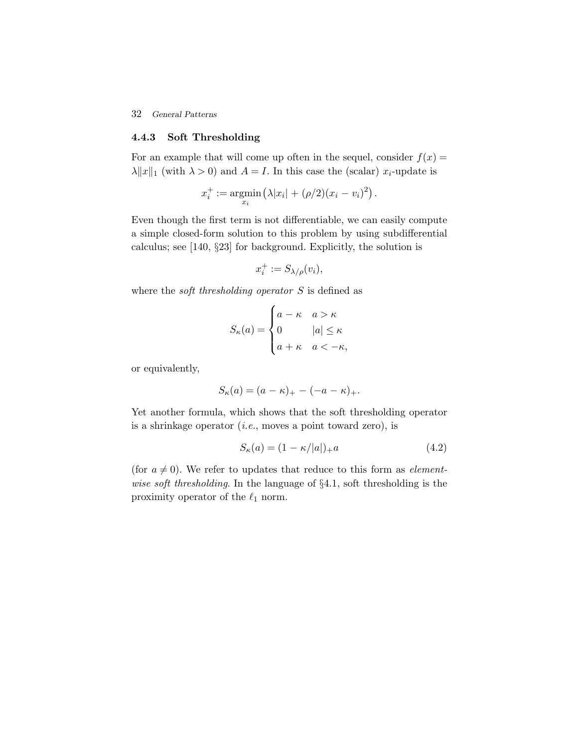#### 32 General Patterns

#### 4.4.3 Soft Thresholding

For an example that will come up often in the sequel, consider  $f(x) =$  $\lambda \|x\|_1$  (with  $\lambda > 0$ ) and  $A = I$ . In this case the (scalar)  $x_i$ -update is

$$
x_i^+ := \underset{x_i}{\text{argmin}} (\lambda |x_i| + (\rho/2)(x_i - v_i)^2).
$$

Even though the first term is not differentiable, we can easily compute a simple closed-form solution to this problem by using subdifferential calculus; see [140, §23] for background. Explicitly, the solution is

$$
x_i^+ := S_{\lambda/\rho}(v_i),
$$

where the *soft thresholding operator*  $S$  is defined as

$$
S_{\kappa}(a) = \begin{cases} a - \kappa & a > \kappa \\ 0 & |a| \leq \kappa \\ a + \kappa & a < -\kappa, \end{cases}
$$

or equivalently,

$$
S_{\kappa}(a) = (a - \kappa)_{+} - (-a - \kappa)_{+}.
$$

Yet another formula, which shows that the soft thresholding operator is a shrinkage operator  $(i.e.,$  moves a point toward zero), is

$$
S_{\kappa}(a) = (1 - \kappa/|a|)_{+}a \tag{4.2}
$$

(for  $a \neq 0$ ). We refer to updates that reduce to this form as *element*wise soft thresholding. In the language of §4.1, soft thresholding is the proximity operator of the  $\ell_1$  norm.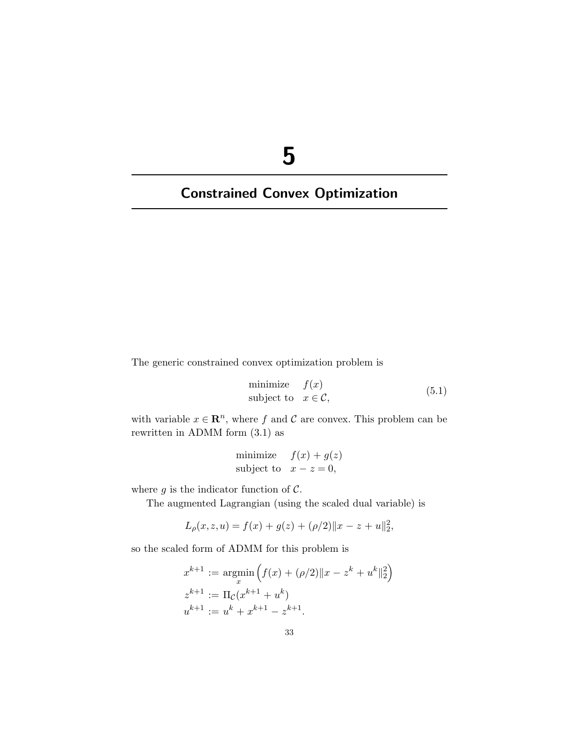## 5

## Constrained Convex Optimization

The generic constrained convex optimization problem is

$$
\begin{array}{ll}\text{minimize} & f(x) \\ \text{subject to} & x \in \mathcal{C}, \end{array} \tag{5.1}
$$

with variable  $x \in \mathbb{R}^n$ , where f and C are convex. This problem can be rewritten in ADMM form (3.1) as

minimize 
$$
f(x) + g(z)
$$
  
subject to  $x - z = 0$ ,

where  $g$  is the indicator function of  $\mathcal{C}$ .

The augmented Lagrangian (using the scaled dual variable) is

$$
L_{\rho}(x, z, u) = f(x) + g(z) + (\rho/2) ||x - z + u||_2^2,
$$

so the scaled form of ADMM for this problem is

$$
x^{k+1} := \underset{x}{\operatorname{argmin}} \left( f(x) + (\rho/2) \|x - z^k + u^k\|_2^2 \right)
$$
  

$$
z^{k+1} := \Pi_{\mathcal{C}}(x^{k+1} + u^k)
$$
  

$$
u^{k+1} := u^k + x^{k+1} - z^{k+1}.
$$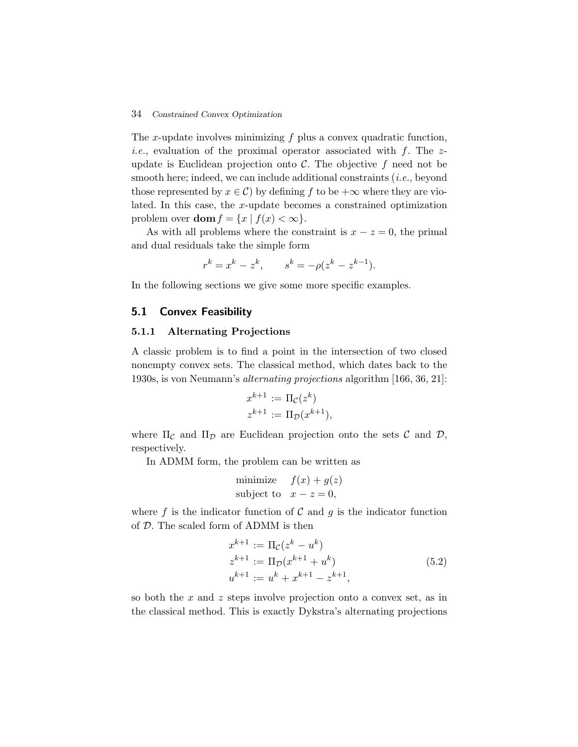#### 34 Constrained Convex Optimization

The x-update involves minimizing  $f$  plus a convex quadratic function, *i.e.*, evaluation of the proximal operator associated with  $f$ . The  $z$ update is Euclidean projection onto  $\mathcal{C}$ . The objective f need not be smooth here; indeed, we can include additional constraints  $(i.e.,$  beyond those represented by  $x \in C$ ) by defining f to be  $+\infty$  where they are violated. In this case, the x-update becomes a constrained optimization problem over  $\text{dom } f = \{x \mid f(x) < \infty\}.$ 

As with all problems where the constraint is  $x - z = 0$ , the primal and dual residuals take the simple form

$$
r^k = x^k - z^k
$$
,  $s^k = -\rho(z^k - z^{k-1})$ .

In the following sections we give some more specific examples.

# 5.1 Convex Feasibility

# 5.1.1 Alternating Projections

A classic problem is to find a point in the intersection of two closed nonempty convex sets. The classical method, which dates back to the 1930s, is von Neumann's alternating projections algorithm [166, 36, 21]:

$$
x^{k+1} := \Pi_{\mathcal{C}}(z^k)
$$
  

$$
z^{k+1} := \Pi_{\mathcal{D}}(x^{k+1}),
$$

where  $\Pi_{\mathcal{C}}$  and  $\Pi_{\mathcal{D}}$  are Euclidean projection onto the sets  $\mathcal{C}$  and  $\mathcal{D}$ , respectively.

In ADMM form, the problem can be written as

minimize 
$$
f(x) + g(z)
$$
  
subject to  $x - z = 0$ ,

where f is the indicator function of C and g is the indicator function of D. The scaled form of ADMM is then

$$
x^{k+1} := \Pi_{\mathcal{C}}(z^k - u^k)
$$
  
\n
$$
z^{k+1} := \Pi_{\mathcal{D}}(x^{k+1} + u^k)
$$
  
\n
$$
u^{k+1} := u^k + x^{k+1} - z^{k+1},
$$
\n(5.2)

so both the x and z steps involve projection onto a convex set, as in the classical method. This is exactly Dykstra's alternating projections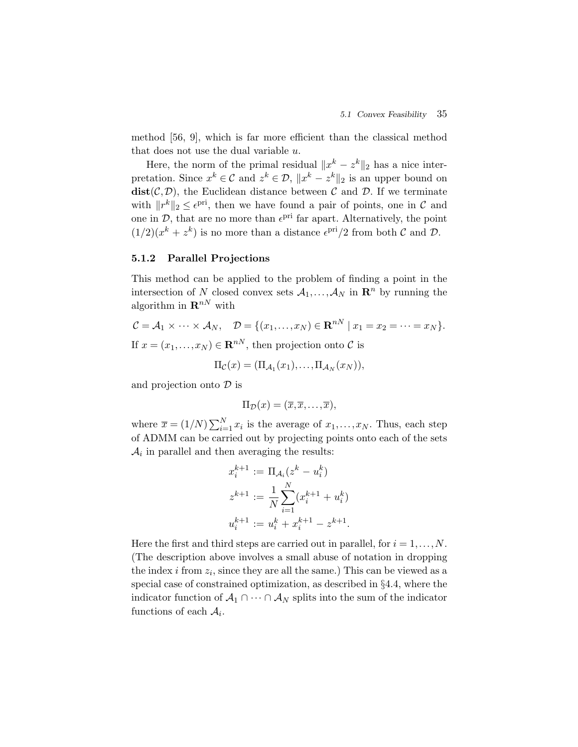method [56, 9], which is far more efficient than the classical method that does not use the dual variable  $u$ .

Here, the norm of the primal residual  $||x^k - z^k||_2$  has a nice interpretation. Since  $x^k \in \mathcal{C}$  and  $z^k \in \mathcal{D}$ ,  $||x^k - z^k||_2$  is an upper bound on  $dist(C, D)$ , the Euclidean distance between C and D. If we terminate with  $||r^k||_2 \leq \epsilon^{\text{pri}}$ , then we have found a pair of points, one in C and one in  $\mathcal{D}$ , that are no more than  $\epsilon^{\text{pri}}$  far apart. Alternatively, the point  $(1/2)(x^{k} + z^{k})$  is no more than a distance  $\epsilon^{\text{pri}}/2$  from both C and D.

# 5.1.2 Parallel Projections

This method can be applied to the problem of finding a point in the intersection of N closed convex sets  $A_1, \ldots, A_N$  in  $\mathbb{R}^n$  by running the algorithm in  $\mathbf{R}^{nN}$  with

$$
C = A_1 \times \cdots \times A_N, \quad D = \{(x_1, \ldots, x_N) \in \mathbf{R}^{nN} \mid x_1 = x_2 = \cdots = x_N\}.
$$
  
If  $x = (x_1, \ldots, x_N) \in \mathbf{R}^{nN}$ , then projection onto C is

$$
\Pi_{\mathcal{C}}(x) = (\Pi_{\mathcal{A}_1}(x_1), \ldots, \Pi_{\mathcal{A}_N}(x_N)),
$$

and projection onto  $\mathcal{D}$  is

$$
\Pi_{\mathcal{D}}(x)=(\overline{x},\overline{x},\ldots,\overline{x}),
$$

where  $\bar{x} = (1/N) \sum_{i=1}^{N} x_i$  is the average of  $x_1, \ldots, x_N$ . Thus, each step of ADMM can be carried out by projecting points onto each of the sets  $A_i$  in parallel and then averaging the results:

$$
x_i^{k+1} := \Pi_{\mathcal{A}_i}(z^k - u_i^k)
$$
  

$$
z^{k+1} := \frac{1}{N} \sum_{i=1}^N (x_i^{k+1} + u_i^k)
$$
  

$$
u_i^{k+1} := u_i^k + x_i^{k+1} - z^{k+1}.
$$

Here the first and third steps are carried out in parallel, for  $i = 1, \ldots, N$ . (The description above involves a small abuse of notation in dropping the index i from  $z_i$ , since they are all the same.) This can be viewed as a special case of constrained optimization, as described in §4.4, where the indicator function of  $\mathcal{A}_1 \cap \cdots \cap \mathcal{A}_N$  splits into the sum of the indicator functions of each  $A_i$ .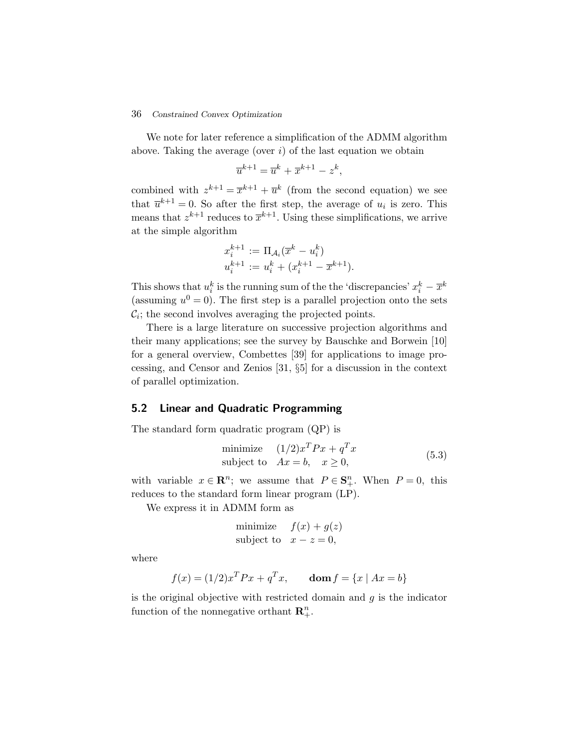#### 36 Constrained Convex Optimization

We note for later reference a simplification of the ADMM algorithm above. Taking the average (over  $i$ ) of the last equation we obtain

$$
\overline{u}^{k+1} = \overline{u}^k + \overline{x}^{k+1} - z^k,
$$

combined with  $z^{k+1} = \overline{x}^{k+1} + \overline{u}^k$  (from the second equation) we see that  $\overline{u}^{k+1} = 0$ . So after the first step, the average of  $u_i$  is zero. This means that  $z^{k+1}$  reduces to  $\overline{x}^{k+1}$ . Using these simplifications, we arrive at the simple algorithm

$$
x_i^{k+1} := \Pi_{\mathcal{A}_i}(\overline{x}^k - u_i^k)
$$
  

$$
u_i^{k+1} := u_i^k + (x_i^{k+1} - \overline{x}^{k+1}).
$$

This shows that  $u_i^k$  is the running sum of the the 'discrepancies'  $x_i^k - \overline{x}^k$ (assuming  $u^0 = 0$ ). The first step is a parallel projection onto the sets  $\mathcal{C}_i$ ; the second involves averaging the projected points.

There is a large literature on successive projection algorithms and their many applications; see the survey by Bauschke and Borwein [10] for a general overview, Combettes [39] for applications to image processing, and Censor and Zenios [31, §5] for a discussion in the context of parallel optimization.

# 5.2 Linear and Quadratic Programming

The standard form quadratic program (QP) is

$$
\begin{array}{ll}\text{minimize} & (1/2)x^T P x + q^T x\\ \text{subject to} & Ax = b, \quad x \ge 0, \end{array} \tag{5.3}
$$

with variable  $x \in \mathbb{R}^n$ ; we assume that  $P \in \mathbb{S}^n_+$ . When  $P = 0$ , this reduces to the standard form linear program (LP).

We express it in ADMM form as

minimize 
$$
f(x) + g(z)
$$
  
subject to  $x - z = 0$ ,

where

$$
f(x) = (1/2)x^{T}Px + q^{T}x, \quad \text{dom } f = \{x \mid Ax = b\}
$$

is the original objective with restricted domain and  $g$  is the indicator function of the nonnegative orthant  $\mathbf{R}_{+}^{n}$ .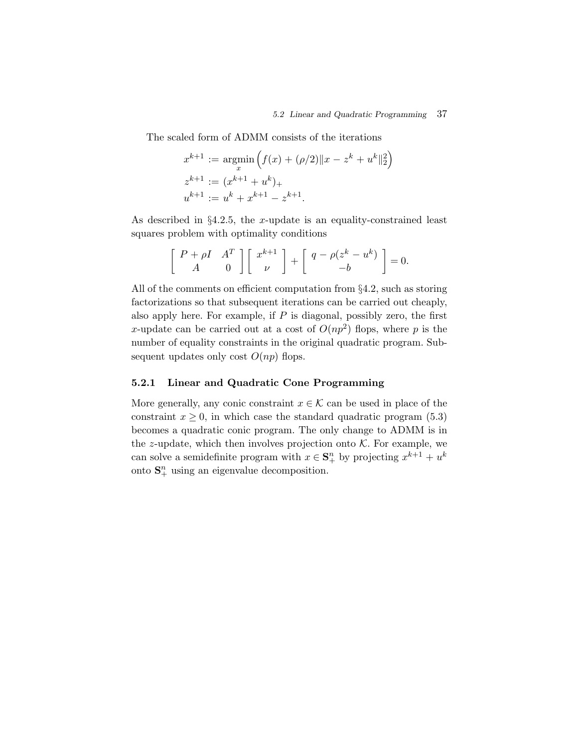The scaled form of ADMM consists of the iterations

$$
x^{k+1} := \underset{x}{\operatorname{argmin}} \left( f(x) + (\rho/2) \|x - z^k + u^k\|_2^2 \right)
$$
  

$$
z^{k+1} := (x^{k+1} + u^k)_+
$$
  

$$
u^{k+1} := u^k + x^{k+1} - z^{k+1}.
$$

As described in  $\S 4.2.5$ , the x-update is an equality-constrained least squares problem with optimality conditions

$$
\left[\begin{array}{cc} P+\rho I & A^T \\ A & 0 \end{array}\right] \left[\begin{array}{c} x^{k+1} \\ \nu \end{array}\right] + \left[\begin{array}{c} q-\rho(z^k-u^k) \\ -b \end{array}\right] = 0.
$$

All of the comments on efficient computation from §4.2, such as storing factorizations so that subsequent iterations can be carried out cheaply, also apply here. For example, if  $P$  is diagonal, possibly zero, the first x-update can be carried out at a cost of  $O(np^2)$  flops, where p is the number of equality constraints in the original quadratic program. Subsequent updates only cost  $O(np)$  flops.

# 5.2.1 Linear and Quadratic Cone Programming

More generally, any conic constraint  $x \in \mathcal{K}$  can be used in place of the constraint  $x \geq 0$ , in which case the standard quadratic program (5.3) becomes a quadratic conic program. The only change to ADMM is in the z-update, which then involves projection onto  $K$ . For example, we can solve a semidefinite program with  $x \in \mathbf{S}_{+}^{n}$  by projecting  $x^{k+1} + u^{k}$ onto  $S_{+}^{n}$  using an eigenvalue decomposition.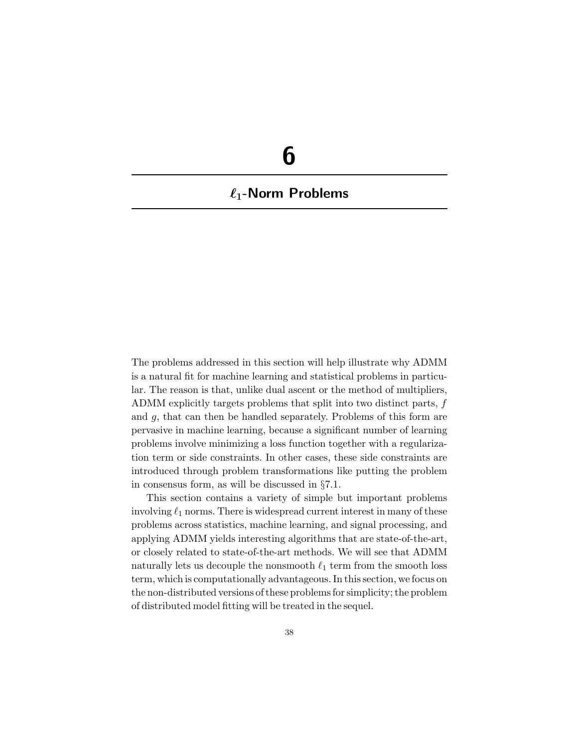# 6

# $\ell_1$ -Norm Problems

The problems addressed in this section will help illustrate why ADMM is a natural fit for machine learning and statistical problems in particular. The reason is that, unlike dual ascent or the method of multipliers, ADMM explicitly targets problems that split into two distinct parts, f and g, that can then be handled separately. Problems of this form are pervasive in machine learning, because a significant number of learning problems involve minimizing a loss function together with a regularization term or side constraints. In other cases, these side constraints are introduced through problem transformations like putting the problem in consensus form, as will be discussed in §7.1.

This section contains a variety of simple but important problems involving  $\ell_1$  norms. There is widespread current interest in many of these problems across statistics, machine learning, and signal processing, and applying ADMM yields interesting algorithms that are state-of-the-art, or closely related to state-of-the-art methods. We will see that ADMM naturally lets us decouple the nonsmooth  $\ell_1$  term from the smooth loss term, which is computationally advantageous. In this section, we focus on the non-distributed versions of these problems for simplicity; the problem of distributed model fitting will be treated in the sequel.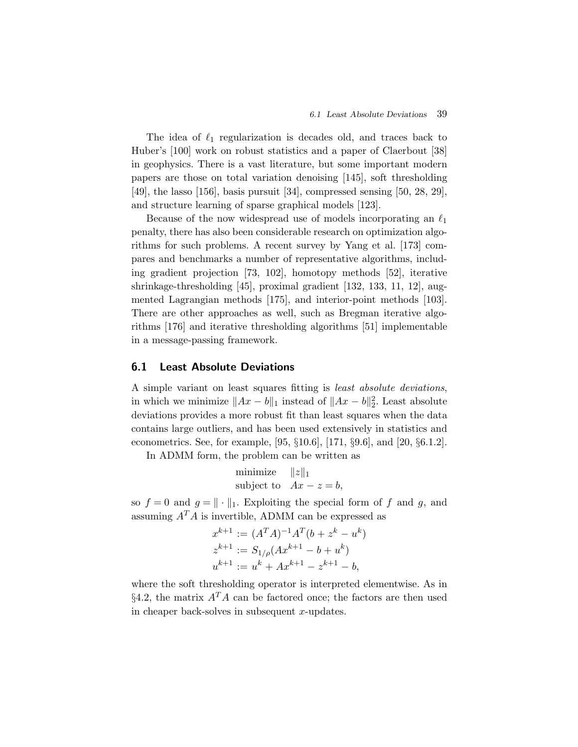The idea of  $\ell_1$  regularization is decades old, and traces back to Huber's [100] work on robust statistics and a paper of Claerbout [38] in geophysics. There is a vast literature, but some important modern papers are those on total variation denoising [145], soft thresholding [49], the lasso [156], basis pursuit [34], compressed sensing [50, 28, 29], and structure learning of sparse graphical models [123].

Because of the now widespread use of models incorporating an  $\ell_1$ penalty, there has also been considerable research on optimization algorithms for such problems. A recent survey by Yang et al. [173] compares and benchmarks a number of representative algorithms, including gradient projection [73, 102], homotopy methods [52], iterative shrinkage-thresholding [45], proximal gradient [132, 133, 11, 12], augmented Lagrangian methods [175], and interior-point methods [103]. There are other approaches as well, such as Bregman iterative algorithms [176] and iterative thresholding algorithms [51] implementable in a message-passing framework.

# 6.1 Least Absolute Deviations

A simple variant on least squares fitting is least absolute deviations, in which we minimize  $||Ax - b||_1$  instead of  $||Ax - b||_2^2$ . Least absolute deviations provides a more robust fit than least squares when the data contains large outliers, and has been used extensively in statistics and econometrics. See, for example, [95, §10.6], [171, §9.6], and [20, §6.1.2].

In ADMM form, the problem can be written as

$$
\begin{array}{ll}\text{minimize} & \|z\|_1\\ \text{subject to} & Ax - z = b, \end{array}
$$

so  $f = 0$  and  $g = || \cdot ||_1$ . Exploiting the special form of f and g, and assuming  $A<sup>T</sup>A$  is invertible, ADMM can be expressed as

$$
x^{k+1} := (A^T A)^{-1} A^T (b + z^k - u^k)
$$
  
\n
$$
z^{k+1} := S_{1/\rho} (Ax^{k+1} - b + u^k)
$$
  
\n
$$
u^{k+1} := u^k + Ax^{k+1} - z^{k+1} - b,
$$

where the soft thresholding operator is interpreted elementwise. As in §4.2, the matrix  $A^T A$  can be factored once; the factors are then used in cheaper back-solves in subsequent  $x$ -updates.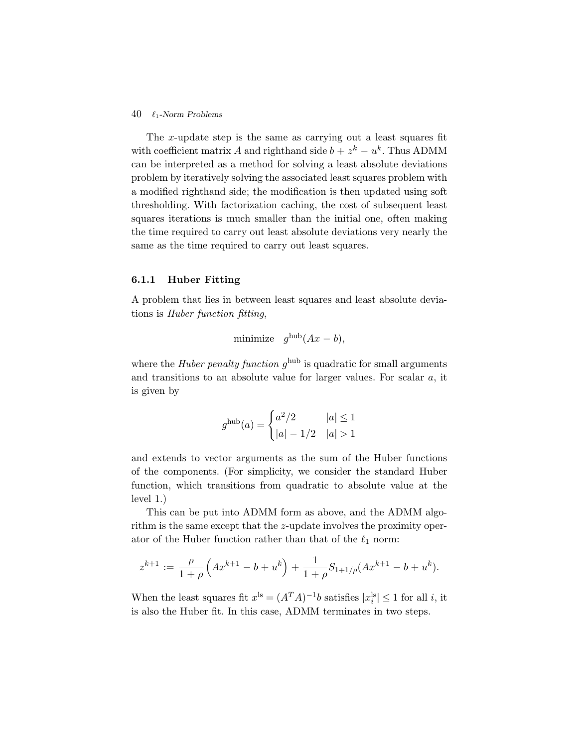#### 40  $\ell_1$ -Norm Problems

The x-update step is the same as carrying out a least squares fit with coefficient matrix A and righthand side  $b + z^k - u^k$ . Thus ADMM can be interpreted as a method for solving a least absolute deviations problem by iteratively solving the associated least squares problem with a modified righthand side; the modification is then updated using soft thresholding. With factorization caching, the cost of subsequent least squares iterations is much smaller than the initial one, often making the time required to carry out least absolute deviations very nearly the same as the time required to carry out least squares.

# 6.1.1 Huber Fitting

A problem that lies in between least squares and least absolute deviations is Huber function fitting,

$$
minimize \t g^{hub}(Ax - b),
$$

where the *Huber penalty function*  $q^{\text{hub}}$  is quadratic for small arguments and transitions to an absolute value for larger values. For scalar a, it is given by

$$
g^{\rm hub}(a) = \begin{cases} a^2/2 & |a| \le 1\\ |a| - 1/2 & |a| > 1 \end{cases}
$$

and extends to vector arguments as the sum of the Huber functions of the components. (For simplicity, we consider the standard Huber function, which transitions from quadratic to absolute value at the level 1.)

This can be put into ADMM form as above, and the ADMM algorithm is the same except that the z-update involves the proximity operator of the Huber function rather than that of the  $\ell_1$  norm:

$$
z^{k+1} := \frac{\rho}{1+\rho} \left( Ax^{k+1} - b + u^k \right) + \frac{1}{1+\rho} S_{1+1/\rho}(Ax^{k+1} - b + u^k).
$$

When the least squares fit  $x^{\text{ls}} = (A^T A)^{-1}b$  satisfies  $|x_i^{\text{ls}}| \leq 1$  for all *i*, it is also the Huber fit. In this case, ADMM terminates in two steps.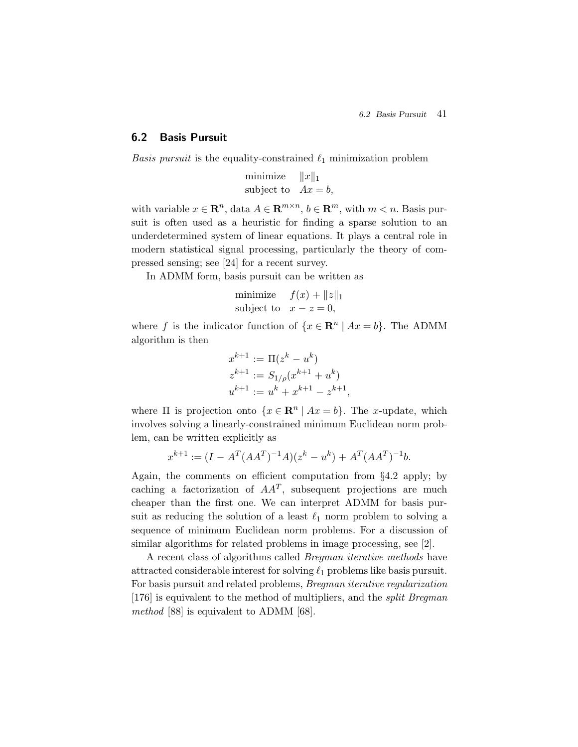# 6.2 Basis Pursuit

Basis pursuit is the equality-constrained  $\ell_1$  minimization problem

$$
\begin{array}{ll}\text{minimize} & \|x\|_1\\ \text{subject to} & Ax = b, \end{array}
$$

with variable  $x \in \mathbb{R}^n$ , data  $A \in \mathbb{R}^{m \times n}$ ,  $b \in \mathbb{R}^m$ , with  $m < n$ . Basis pursuit is often used as a heuristic for finding a sparse solution to an underdetermined system of linear equations. It plays a central role in modern statistical signal processing, particularly the theory of compressed sensing; see [24] for a recent survey.

In ADMM form, basis pursuit can be written as

minimize 
$$
f(x) + ||z||_1
$$
  
subject to  $x - z = 0$ ,

where f is the indicator function of  $\{x \in \mathbb{R}^n \mid Ax = b\}$ . The ADMM algorithm is then

$$
x^{k+1} := \Pi(z^k - u^k)
$$
  
\n
$$
z^{k+1} := S_{1/\rho}(x^{k+1} + u^k)
$$
  
\n
$$
u^{k+1} := u^k + x^{k+1} - z^{k+1},
$$

where  $\Pi$  is projection onto  $\{x \in \mathbb{R}^n \mid Ax = b\}$ . The x-update, which involves solving a linearly-constrained minimum Euclidean norm problem, can be written explicitly as

$$
x^{k+1} := (I - A^T (AA^T)^{-1} A)(z^k - u^k) + A^T (AA^T)^{-1} b.
$$

Again, the comments on efficient computation from §4.2 apply; by caching a factorization of  $AA<sup>T</sup>$ , subsequent projections are much cheaper than the first one. We can interpret ADMM for basis pursuit as reducing the solution of a least  $\ell_1$  norm problem to solving a sequence of minimum Euclidean norm problems. For a discussion of similar algorithms for related problems in image processing, see [2].

A recent class of algorithms called Bregman iterative methods have attracted considerable interest for solving  $\ell_1$  problems like basis pursuit. For basis pursuit and related problems, Bregman iterative regularization [176] is equivalent to the method of multipliers, and the split Bregman method [88] is equivalent to ADMM [68].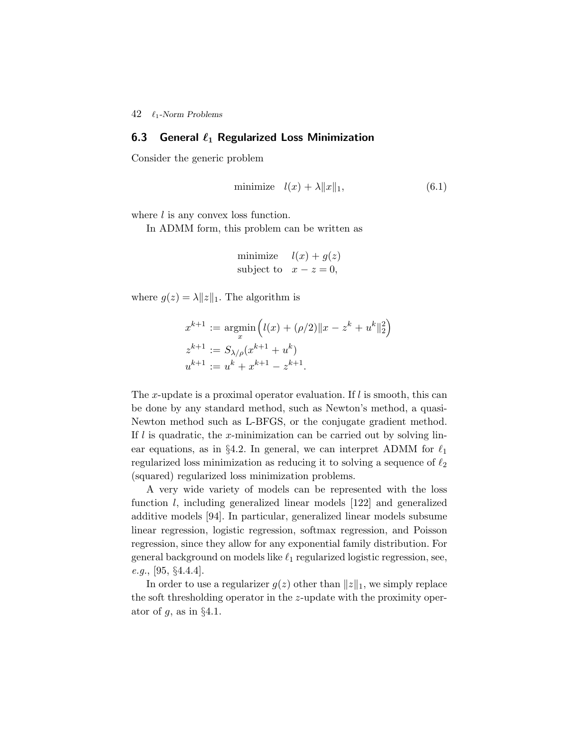#### 42  $\ell_1$ -Norm Problems

# 6.3 General  $\ell_1$  Regularized Loss Minimization

Consider the generic problem

$$
\text{minimize} \quad l(x) + \lambda \|x\|_1,\tag{6.1}
$$

where  $l$  is any convex loss function.

In ADMM form, this problem can be written as

minimize 
$$
l(x) + g(z)
$$
  
subject to  $x - z = 0$ ,

where  $g(z) = \lambda ||z||_1$ . The algorithm is

$$
x^{k+1} := \underset{x}{\operatorname{argmin}} \left( l(x) + (\rho/2) \|x - z^k + u^k\|_2^2 \right)
$$
  

$$
z^{k+1} := S_{\lambda/\rho}(x^{k+1} + u^k)
$$
  

$$
u^{k+1} := u^k + x^{k+1} - z^{k+1}.
$$

The x-update is a proximal operator evaluation. If  $l$  is smooth, this can be done by any standard method, such as Newton's method, a quasi-Newton method such as L-BFGS, or the conjugate gradient method. If  $l$  is quadratic, the x-minimization can be carried out by solving linear equations, as in §4.2. In general, we can interpret ADMM for  $\ell_1$ regularized loss minimization as reducing it to solving a sequence of  $\ell_2$ (squared) regularized loss minimization problems.

A very wide variety of models can be represented with the loss function l, including generalized linear models [122] and generalized additive models [94]. In particular, generalized linear models subsume linear regression, logistic regression, softmax regression, and Poisson regression, since they allow for any exponential family distribution. For general background on models like  $\ell_1$  regularized logistic regression, see, e.g., [95, §4.4.4].

In order to use a regularizer  $g(z)$  other than  $||z||_1$ , we simply replace the soft thresholding operator in the z-update with the proximity operator of  $g$ , as in  $\S 4.1$ .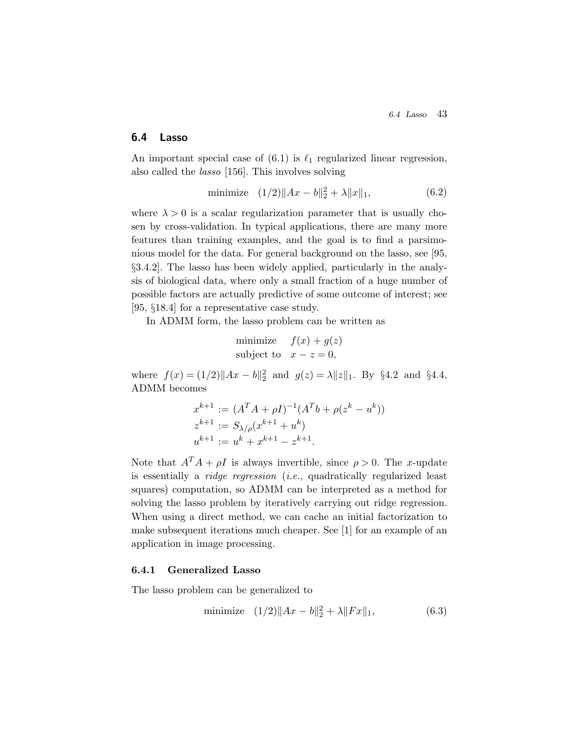# 6.4 Lasso

An important special case of  $(6.1)$  is  $\ell_1$  regularized linear regression, also called the lasso [156]. This involves solving

minimize 
$$
(1/2)||Ax - b||_2^2 + \lambda ||x||_1
$$
, (6.2)

where  $\lambda > 0$  is a scalar regularization parameter that is usually chosen by cross-validation. In typical applications, there are many more features than training examples, and the goal is to find a parsimonious model for the data. For general background on the lasso, see [95, §3.4.2]. The lasso has been widely applied, particularly in the analysis of biological data, where only a small fraction of a huge number of possible factors are actually predictive of some outcome of interest; see [95, §18.4] for a representative case study.

In ADMM form, the lasso problem can be written as

minimize 
$$
f(x) + g(z)
$$
  
subject to  $x - z = 0$ ,

where  $f(x) = (1/2) \|Ax - b\|_2^2$  and  $g(z) = \lambda \|z\|_1$ . By §4.2 and §4.4, ADMM becomes

$$
x^{k+1} := (A^T A + \rho I)^{-1} (A^T b + \rho (z^k - u^k))
$$
  
\n
$$
z^{k+1} := S_{\lambda/\rho} (x^{k+1} + u^k)
$$
  
\n
$$
u^{k+1} := u^k + x^{k+1} - z^{k+1}.
$$

Note that  $A^T A + \rho I$  is always invertible, since  $\rho > 0$ . The x-update is essentially a ridge regression (i.e., quadratically regularized least squares) computation, so ADMM can be interpreted as a method for solving the lasso problem by iteratively carrying out ridge regression. When using a direct method, we can cache an initial factorization to make subsequent iterations much cheaper. See [1] for an example of an application in image processing.

# 6.4.1 Generalized Lasso

The lasso problem can be generalized to

minimize 
$$
(1/2)||Ax - b||_2^2 + \lambda ||Fx||_1,
$$
 (6.3)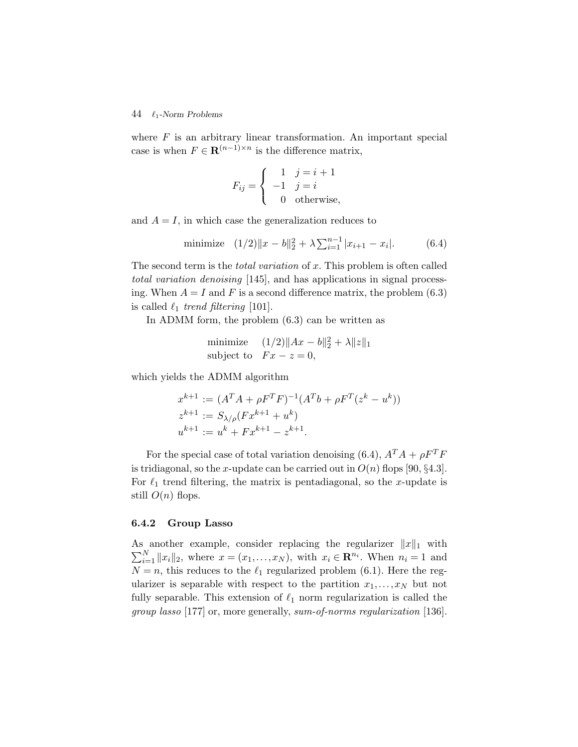#### 44  $\ell_1$ -Norm Problems

where  $F$  is an arbitrary linear transformation. An important special case is when  $F \in \mathbf{R}^{(n-1)\times n}$  is the difference matrix,

$$
F_{ij} = \begin{cases} 1 & j = i + 1 \\ -1 & j = i \\ 0 & \text{otherwise,} \end{cases}
$$

and  $A = I$ , in which case the generalization reduces to

minimize 
$$
(1/2)||x - b||_2^2 + \lambda \sum_{i=1}^{n-1} |x_{i+1} - x_i|.
$$
 (6.4)

The second term is the *total variation* of x. This problem is often called total variation denoising [145], and has applications in signal processing. When  $A = I$  and F is a second difference matrix, the problem (6.3) is called  $\ell_1$  trend filtering [101].

In ADMM form, the problem (6.3) can be written as

$$
\begin{array}{ll}\text{minimize} & (1/2) \|Ax - b\|_2^2 + \lambda \|z\|_1\\ \text{subject to} & Fx - z = 0, \end{array}
$$

which yields the ADMM algorithm

$$
x^{k+1} := (A^T A + \rho F^T F)^{-1} (A^T b + \rho F^T (z^k - u^k))
$$
  
\n
$$
z^{k+1} := S_{\lambda/\rho} (F x^{k+1} + u^k)
$$
  
\n
$$
u^{k+1} := u^k + F x^{k+1} - z^{k+1}.
$$

For the special case of total variation denoising (6.4),  $A^T A + \rho F^T F$ is tridiagonal, so the x-update can be carried out in  $O(n)$  flops [90, §4.3]. For  $\ell_1$  trend filtering, the matrix is pentadiagonal, so the x-update is still  $O(n)$  flops.

# 6.4.2 Group Lasso

As another example, consider replacing the regularizer  $||x||_1$  with  $\sum_{i=1}^{N} ||x_i||_2$ , where  $x = (x_1, ..., x_N)$ , with  $x_i \in \mathbb{R}^{n_i}$ . When  $n_i = 1$  and  $N = n$ , this reduces to the  $\ell_1$  regularized problem (6.1). Here the regularizer is separable with respect to the partition  $x_1, \ldots, x_N$  but not fully separable. This extension of  $\ell_1$  norm regularization is called the group lasso [177] or, more generally, sum-of-norms regularization [136].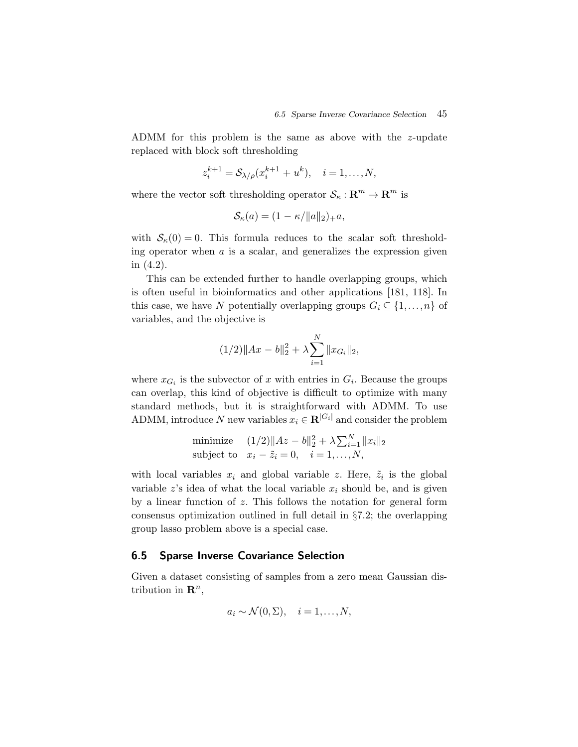ADMM for this problem is the same as above with the z-update replaced with block soft thresholding

$$
z_i^{k+1} = \mathcal{S}_{\lambda/\rho}(x_i^{k+1} + u^k), \quad i = 1,\ldots,N,
$$

where the vector soft thresholding operator  $\mathcal{S}_{\kappa} : \mathbb{R}^m \to \mathbb{R}^m$  is

$$
\mathcal{S}_{\kappa}(a) = (1 - \kappa / \|a\|_2)_{+}a,
$$

with  $S_{\kappa}(0) = 0$ . This formula reduces to the scalar soft thresholding operator when  $\alpha$  is a scalar, and generalizes the expression given in (4.2).

This can be extended further to handle overlapping groups, which is often useful in bioinformatics and other applications [181, 118]. In this case, we have N potentially overlapping groups  $G_i \subseteq \{1,\ldots,n\}$  of variables, and the objective is

$$
(1/2)||Ax - b||_2^2 + \lambda \sum_{i=1}^N ||x_{G_i}||_2,
$$

where  $x_{G_i}$  is the subvector of x with entries in  $G_i$ . Because the groups can overlap, this kind of objective is difficult to optimize with many standard methods, but it is straightforward with ADMM. To use ADMM, introduce N new variables  $x_i \in \mathbb{R}^{|G_i|}$  and consider the problem

minimize 
$$
(1/2)||Az - b||_2^2 + \lambda \sum_{i=1}^N ||x_i||_2
$$
  
subject to  $x_i - \tilde{z}_i = 0$ ,  $i = 1,..., N$ ,

with local variables  $x_i$  and global variable z. Here,  $\tilde{z}_i$  is the global variable z's idea of what the local variable  $x_i$  should be, and is given by a linear function of z. This follows the notation for general form consensus optimization outlined in full detail in §7.2; the overlapping group lasso problem above is a special case.

# 6.5 Sparse Inverse Covariance Selection

Given a dataset consisting of samples from a zero mean Gaussian distribution in  $\mathbf{R}^n$ ,

$$
a_i \sim \mathcal{N}(0, \Sigma), \quad i = 1, \dots, N,
$$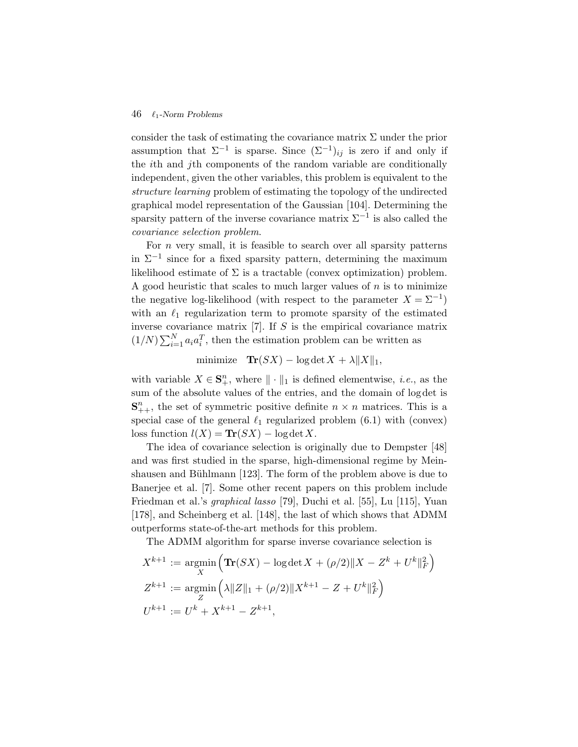#### 46  $\ell_1$ -Norm Problems

consider the task of estimating the covariance matrix  $\Sigma$  under the prior assumption that  $\Sigma^{-1}$  is sparse. Since  $(\Sigma^{-1})_{ij}$  is zero if and only if the ith and jth components of the random variable are conditionally independent, given the other variables, this problem is equivalent to the structure learning problem of estimating the topology of the undirected graphical model representation of the Gaussian [104]. Determining the sparsity pattern of the inverse covariance matrix  $\Sigma^{-1}$  is also called the covariance selection problem.

For  $n$  very small, it is feasible to search over all sparsity patterns in  $\Sigma^{-1}$  since for a fixed sparsity pattern, determining the maximum likelihood estimate of  $\Sigma$  is a tractable (convex optimization) problem. A good heuristic that scales to much larger values of  $n$  is to minimize the negative log-likelihood (with respect to the parameter  $X = \Sigma^{-1}$ ) with an  $\ell_1$  regularization term to promote sparsity of the estimated inverse covariance matrix  $[7]$ . If S is the empirical covariance matrix  $(1/N)\sum_{i=1}^{N} a_i a_i^T$ , then the estimation problem can be written as

minimize  $\mathbf{Tr}(SX) - \log \det X + \lambda ||X||_1$ ,

with variable  $X \in \mathbf{S}_{+}^{n}$ , where  $\|\cdot\|_1$  is defined elementwise, *i.e.*, as the sum of the absolute values of the entries, and the domain of log det is  $\mathbf{S}_{++}^n$ , the set of symmetric positive definite  $n \times n$  matrices. This is a special case of the general  $\ell_1$  regularized problem (6.1) with (convex) loss function  $l(X) = Tr(SX) - log det X$ .

The idea of covariance selection is originally due to Dempster [48] and was first studied in the sparse, high-dimensional regime by Meinshausen and Bühlmann [123]. The form of the problem above is due to Banerjee et al. [7]. Some other recent papers on this problem include Friedman et al.'s graphical lasso [79], Duchi et al. [55], Lu [115], Yuan [178], and Scheinberg et al. [148], the last of which shows that ADMM outperforms state-of-the-art methods for this problem.

The ADMM algorithm for sparse inverse covariance selection is

$$
X^{k+1} := \underset{X}{\text{argmin}} \left( \mathbf{Tr}(SX) - \log \det X + (\rho/2) \|X - Z^k + U^k\|_F^2 \right)
$$
  

$$
Z^{k+1} := \underset{Z}{\text{argmin}} \left( \lambda \|Z\|_1 + (\rho/2) \|X^{k+1} - Z + U^k\|_F^2 \right)
$$
  

$$
U^{k+1} := U^k + X^{k+1} - Z^{k+1},
$$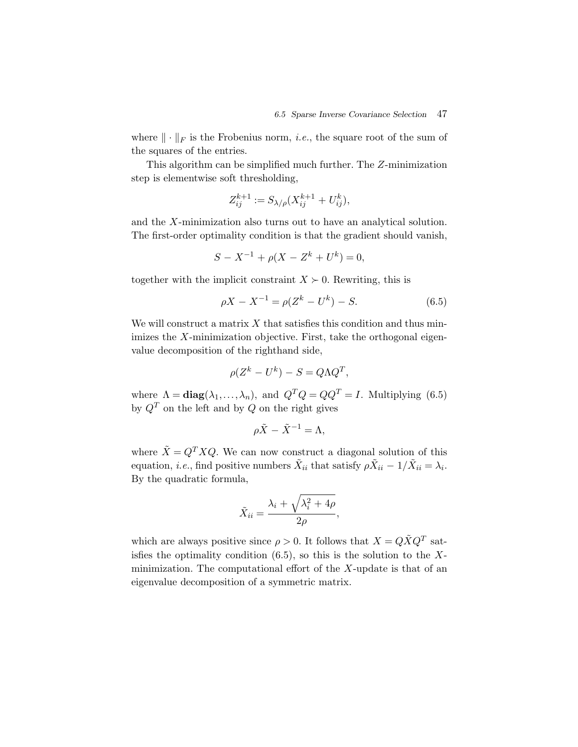where  $\|\cdot\|_F$  is the Frobenius norm, *i.e.*, the square root of the sum of the squares of the entries.

This algorithm can be simplified much further. The Z-minimization step is elementwise soft thresholding,

$$
Z_{ij}^{k+1} := S_{\lambda/\rho}(X_{ij}^{k+1} + U_{ij}^k),
$$

and the X-minimization also turns out to have an analytical solution. The first-order optimality condition is that the gradient should vanish,

$$
S - X^{-1} + \rho(X - Z^k + U^k) = 0,
$$

together with the implicit constraint  $X \succ 0$ . Rewriting, this is

$$
\rho X - X^{-1} = \rho (Z^k - U^k) - S. \tag{6.5}
$$

We will construct a matrix  $X$  that satisfies this condition and thus minimizes the  $X$ -minimization objective. First, take the orthogonal eigenvalue decomposition of the righthand side,

$$
\rho(Z^k - U^k) - S = Q\Lambda Q^T,
$$

where  $\Lambda = \text{diag}(\lambda_1, ..., \lambda_n)$ , and  $Q^T Q = Q Q^T = I$ . Multiplying (6.5) by  $Q^T$  on the left and by  $Q$  on the right gives

$$
\rho \tilde{X} - \tilde{X}^{-1} = \Lambda,
$$

where  $\tilde{X} = Q^T X Q$ . We can now construct a diagonal solution of this equation, *i.e.*, find positive numbers  $\tilde{X}_{ii}$  that satisfy  $\rho \tilde{X}_{ii} - 1/\tilde{X}_{ii} = \lambda_i$ . By the quadratic formula,

$$
\tilde{X}_{ii} = \frac{\lambda_i + \sqrt{\lambda_i^2 + 4\rho}}{2\rho},
$$

which are always positive since  $\rho > 0$ . It follows that  $X = Q\tilde{X}Q^T$  satisfies the optimality condition  $(6.5)$ , so this is the solution to the Xminimization. The computational effort of the  $X$ -update is that of an eigenvalue decomposition of a symmetric matrix.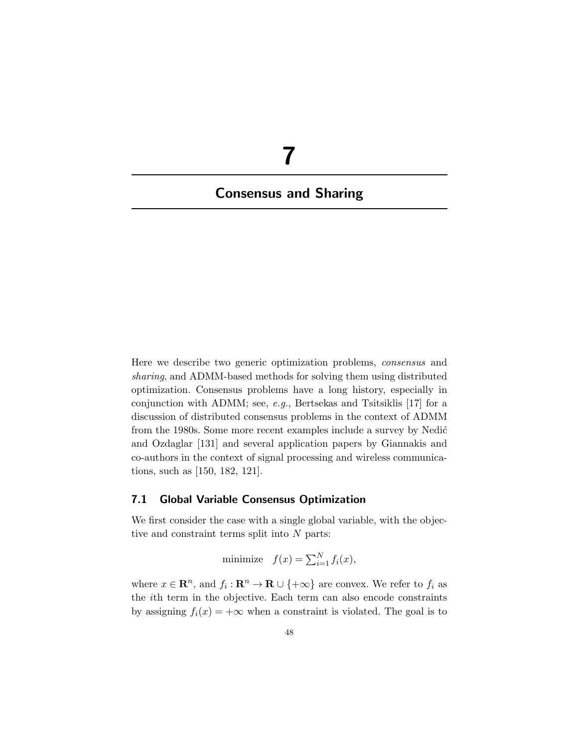# 7

# Consensus and Sharing

Here we describe two generic optimization problems, consensus and sharing, and ADMM-based methods for solving them using distributed optimization. Consensus problems have a long history, especially in conjunction with ADMM; see, e.g., Bertsekas and Tsitsiklis [17] for a discussion of distributed consensus problems in the context of ADMM from the 1980s. Some more recent examples include a survey by Nedić and Ozdaglar [131] and several application papers by Giannakis and co-authors in the context of signal processing and wireless communications, such as [150, 182, 121].

# 7.1 Global Variable Consensus Optimization

We first consider the case with a single global variable, with the objective and constraint terms split into N parts:

minimize 
$$
f(x) = \sum_{i=1}^{N} f_i(x)
$$
,

where  $x \in \mathbb{R}^n$ , and  $f_i : \mathbb{R}^n \to \mathbb{R} \cup \{+\infty\}$  are convex. We refer to  $f_i$  as the ith term in the objective. Each term can also encode constraints by assigning  $f_i(x) = +\infty$  when a constraint is violated. The goal is to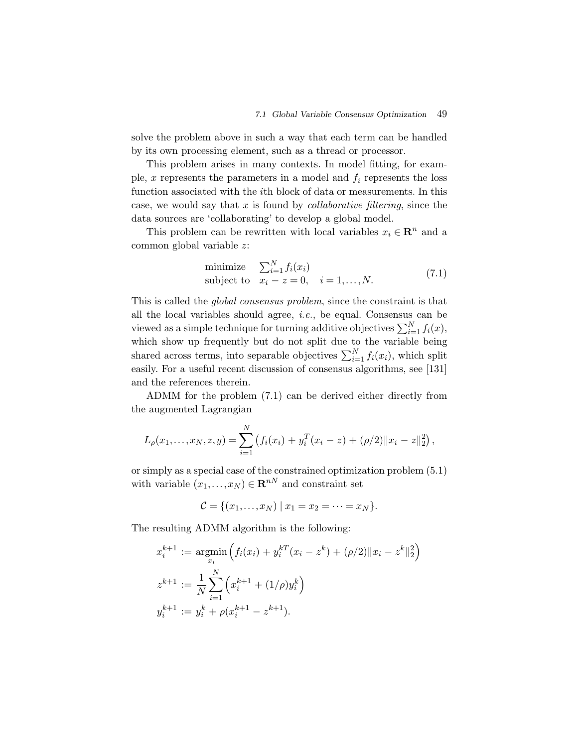solve the problem above in such a way that each term can be handled by its own processing element, such as a thread or processor.

This problem arises in many contexts. In model fitting, for example, x represents the parameters in a model and  $f_i$  represents the loss function associated with the ith block of data or measurements. In this case, we would say that x is found by *collaborative filtering*, since the data sources are 'collaborating' to develop a global model.

This problem can be rewritten with local variables  $x_i \in \mathbb{R}^n$  and a common global variable z:

minimize 
$$
\sum_{i=1}^{N} f_i(x_i)
$$
  
subject to  $x_i - z = 0$ ,  $i = 1,..., N$ . (7.1)

This is called the global consensus problem, since the constraint is that all the local variables should agree, i.e., be equal. Consensus can be viewed as a simple technique for turning additive objectives  $\sum_{i=1}^{N} f_i(x)$ , which show up frequently but do not split due to the variable being shared across terms, into separable objectives  $\sum_{i=1}^{N} f_i(x_i)$ , which split easily. For a useful recent discussion of consensus algorithms, see [131] and the references therein.

ADMM for the problem (7.1) can be derived either directly from the augmented Lagrangian

$$
L_{\rho}(x_1,\ldots,x_N,z,y)=\sum_{i=1}^N\left(f_i(x_i)+y_i^T(x_i-z)+(\rho/2)\|x_i-z\|_2^2\right),
$$

or simply as a special case of the constrained optimization problem (5.1) with variable  $(x_1,...,x_N) \in \mathbb{R}^{nN}$  and constraint set

$$
C = \{(x_1, \ldots, x_N) \mid x_1 = x_2 = \cdots = x_N\}.
$$

The resulting ADMM algorithm is the following:

$$
x_i^{k+1} := \underset{x_i}{\text{argmin}} \left( f_i(x_i) + y_i^{k} (x_i - z^k) + (\rho/2) \|x_i - z^k\|_2^2 \right)
$$
  

$$
z^{k+1} := \frac{1}{N} \sum_{i=1}^N \left( x_i^{k+1} + (1/\rho) y_i^k \right)
$$
  

$$
y_i^{k+1} := y_i^k + \rho(x_i^{k+1} - z^{k+1}).
$$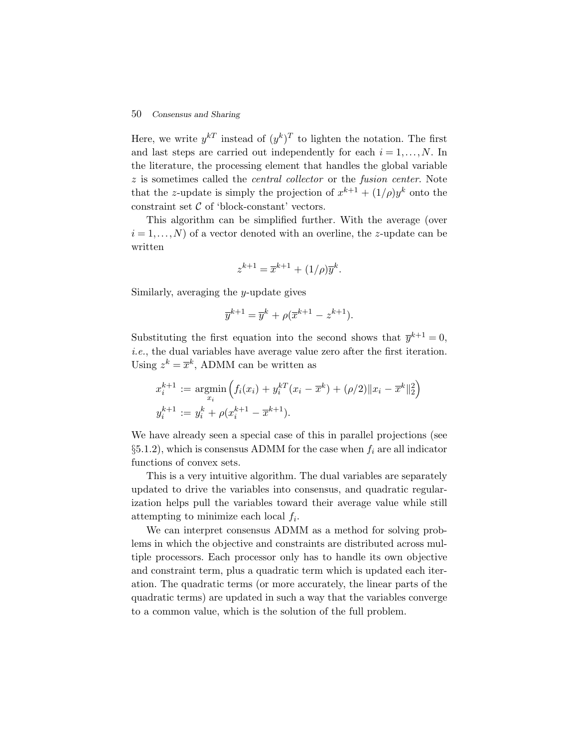#### 50 Consensus and Sharing

Here, we write  $y^{kT}$  instead of  $(y^k)^T$  to lighten the notation. The first and last steps are carried out independently for each  $i = 1, \ldots, N$ . In the literature, the processing element that handles the global variable  $z$  is sometimes called the *central collector* or the *fusion center*. Note that the z-update is simply the projection of  $x^{k+1} + (1/\rho)y^k$  onto the constraint set  $\mathcal C$  of 'block-constant' vectors.

This algorithm can be simplified further. With the average (over  $i = 1, \ldots, N$  of a vector denoted with an overline, the z-update can be written

$$
z^{k+1} = \overline{x}^{k+1} + (1/\rho)\overline{y}^k.
$$

Similarly, averaging the y-update gives

$$
\overline{y}^{k+1} = \overline{y}^k + \rho(\overline{x}^{k+1} - z^{k+1}).
$$

Substituting the first equation into the second shows that  $\bar{y}^{k+1} = 0$ , i.e., the dual variables have average value zero after the first iteration. Using  $z^k = \overline{x}^k$ , ADMM can be written as

$$
x_i^{k+1} := \underset{x_i}{\text{argmin}} \left( f_i(x_i) + y_i^{kT} (x_i - \overline{x}^k) + (\rho/2) \|x_i - \overline{x}^k\|_2^2 \right)
$$
  

$$
y_i^{k+1} := y_i^k + \rho(x_i^{k+1} - \overline{x}^{k+1}).
$$

We have already seen a special case of this in parallel projections (see  $\S5.1.2$ , which is consensus ADMM for the case when  $f_i$  are all indicator functions of convex sets.

This is a very intuitive algorithm. The dual variables are separately updated to drive the variables into consensus, and quadratic regularization helps pull the variables toward their average value while still attempting to minimize each local  $f_i$ .

We can interpret consensus ADMM as a method for solving problems in which the objective and constraints are distributed across multiple processors. Each processor only has to handle its own objective and constraint term, plus a quadratic term which is updated each iteration. The quadratic terms (or more accurately, the linear parts of the quadratic terms) are updated in such a way that the variables converge to a common value, which is the solution of the full problem.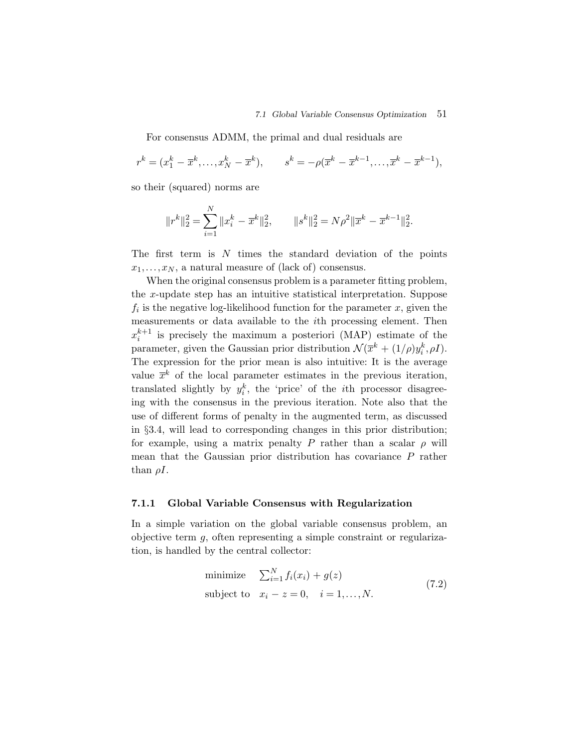#### 7.1 Global Variable Consensus Optimization 51

For consensus ADMM, the primal and dual residuals are

$$
r^k = (x_1^k - \overline{x}^k, ..., x_N^k - \overline{x}^k), \qquad s^k = -\rho(\overline{x}^k - \overline{x}^{k-1}, ..., \overline{x}^k - \overline{x}^{k-1}),
$$

so their (squared) norms are

$$
||r^k||_2^2 = \sum_{i=1}^N ||x_i^k - \overline{x}^k||_2^2, \qquad ||s^k||_2^2 = N\rho^2 ||\overline{x}^k - \overline{x}^{k-1}||_2^2.
$$

The first term is  $N$  times the standard deviation of the points  $x_1, \ldots, x_N$ , a natural measure of (lack of) consensus.

When the original consensus problem is a parameter fitting problem, the x-update step has an intuitive statistical interpretation. Suppose  $f_i$  is the negative log-likelihood function for the parameter x, given the measurements or data available to the ith processing element. Then  $x_i^{k+1}$  is precisely the maximum a posteriori (MAP) estimate of the parameter, given the Gaussian prior distribution  $\mathcal{N}(\overline{x}^k + (1/\rho)y_i^k, \rho I)$ . The expression for the prior mean is also intuitive: It is the average value  $\bar{x}^k$  of the local parameter estimates in the previous iteration, translated slightly by  $y_i^k$ , the 'price' of the *i*th processor disagreeing with the consensus in the previous iteration. Note also that the use of different forms of penalty in the augmented term, as discussed in §3.4, will lead to corresponding changes in this prior distribution; for example, using a matrix penalty P rather than a scalar  $\rho$  will mean that the Gaussian prior distribution has covariance P rather than  $\rho I$ .

#### 7.1.1 Global Variable Consensus with Regularization

In a simple variation on the global variable consensus problem, an objective term g, often representing a simple constraint or regularization, is handled by the central collector:

minimize 
$$
\sum_{i=1}^{N} f_i(x_i) + g(z)
$$
  
subject to  $x_i - z = 0, \quad i = 1,..., N.$  (7.2)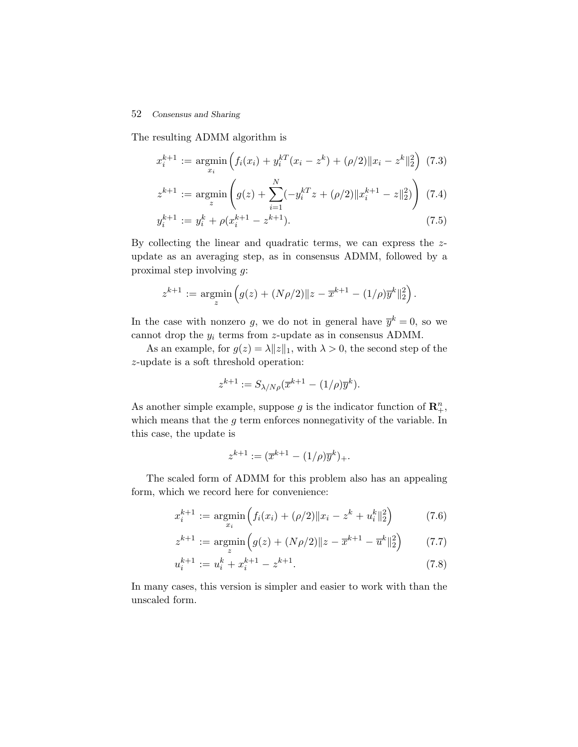#### 52 Consensus and Sharing

The resulting ADMM algorithm is

$$
x_i^{k+1} := \underset{x_i}{\operatorname{argmin}} \left( f_i(x_i) + y_i^{k} (x_i - z^k) + (\rho/2) \|x_i - z^k\|_2^2 \right) (7.3)
$$
  
\n
$$
z^{k+1} := \underset{z}{\operatorname{argmin}} \left( g(z) + \sum_{i=1}^N (-y_i^{k} z + (\rho/2) \|x_i^{k+1} - z\|_2^2) \right) (7.4)
$$
  
\n
$$
y_i^{k+1} := y_i^k + \rho(x_i^{k+1} - z^{k+1}). \tag{7.5}
$$

By collecting the linear and quadratic terms, we can express the zupdate as an averaging step, as in consensus ADMM, followed by a proximal step involving g:

$$
z^{k+1} := \underset{z}{\text{argmin}} \left( g(z) + (N\rho/2) \|z - \overline{x}^{k+1} - (1/\rho)\overline{y}^k\|_2^2 \right).
$$

In the case with nonzero g, we do not in general have  $\bar{y}^k = 0$ , so we cannot drop the  $y_i$  terms from z-update as in consensus ADMM.

As an example, for  $g(z) = \lambda ||z||_1$ , with  $\lambda > 0$ , the second step of the z-update is a soft threshold operation:

$$
z^{k+1} := S_{\lambda/N\rho}(\overline{x}^{k+1} - (1/\rho)\overline{y}^k).
$$

As another simple example, suppose g is the indicator function of  $\mathbb{R}^n_+$ , which means that the  $g$  term enforces nonnegativity of the variable. In this case, the update is

$$
z^{k+1} := (\overline{x}^{k+1} - (1/\rho)\overline{y}^k)_+.
$$

The scaled form of ADMM for this problem also has an appealing form, which we record here for convenience:

$$
x_i^{k+1} := \underset{x_i}{\text{argmin}} \left( f_i(x_i) + (\rho/2) \| x_i - z^k + u_i^k \|_2^2 \right) \tag{7.6}
$$

$$
z^{k+1} := \underset{z}{\text{argmin}} \left( g(z) + (N\rho/2) \|z - \overline{x}^{k+1} - \overline{u}^k\|_2^2 \right) \tag{7.7}
$$

$$
u_i^{k+1} := u_i^k + x_i^{k+1} - z^{k+1}.
$$
\n(7.8)

In many cases, this version is simpler and easier to work with than the unscaled form.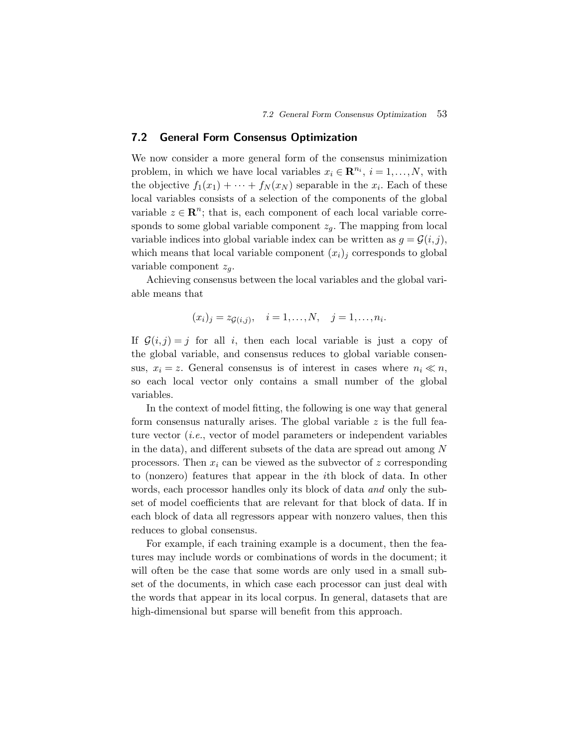# 7.2 General Form Consensus Optimization

We now consider a more general form of the consensus minimization problem, in which we have local variables  $x_i \in \mathbb{R}^{n_i}$ ,  $i = 1, \ldots, N$ , with the objective  $f_1(x_1) + \cdots + f_N(x_N)$  separable in the  $x_i$ . Each of these local variables consists of a selection of the components of the global variable  $z \in \mathbb{R}^n$ ; that is, each component of each local variable corresponds to some global variable component  $z<sub>q</sub>$ . The mapping from local variable indices into global variable index can be written as  $q = \mathcal{G}(i,j)$ , which means that local variable component  $(x_i)_j$  corresponds to global variable component  $z_q$ .

Achieving consensus between the local variables and the global variable means that

$$
(x_i)_j = z_{\mathcal{G}(i,j)}, \quad i = 1, ..., N, \quad j = 1, ..., n_i.
$$

If  $\mathcal{G}(i, j) = j$  for all i, then each local variable is just a copy of the global variable, and consensus reduces to global variable consensus,  $x_i = z$ . General consensus is of interest in cases where  $n_i \ll n$ , so each local vector only contains a small number of the global variables.

In the context of model fitting, the following is one way that general form consensus naturally arises. The global variable  $z$  is the full feature vector (i.e., vector of model parameters or independent variables in the data), and different subsets of the data are spread out among N processors. Then  $x_i$  can be viewed as the subvector of z corresponding to (nonzero) features that appear in the ith block of data. In other words, each processor handles only its block of data and only the subset of model coefficients that are relevant for that block of data. If in each block of data all regressors appear with nonzero values, then this reduces to global consensus.

For example, if each training example is a document, then the features may include words or combinations of words in the document; it will often be the case that some words are only used in a small subset of the documents, in which case each processor can just deal with the words that appear in its local corpus. In general, datasets that are high-dimensional but sparse will benefit from this approach.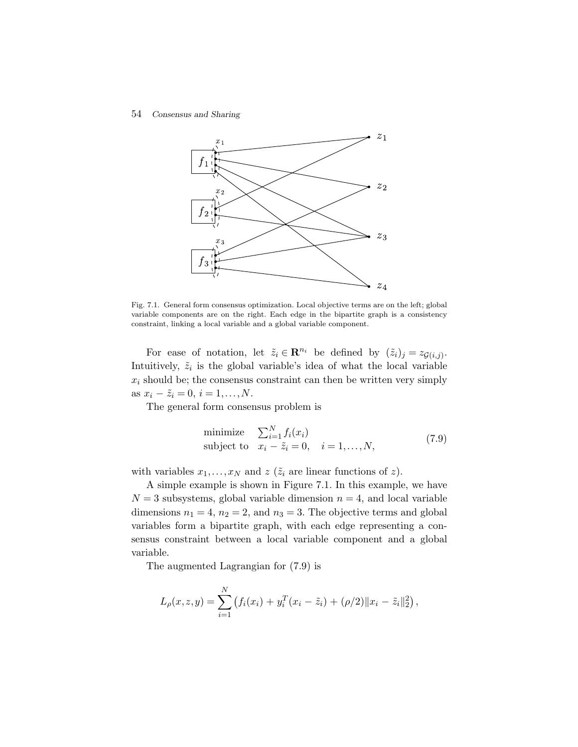#### 54 Consensus and Sharing



Fig. 7.1. General form consensus optimization. Local objective terms are on the left; global variable components are on the right. Each edge in the bipartite graph is a consistency constraint, linking a local variable and a global variable component.

For ease of notation, let  $\tilde{z}_i \in \mathbb{R}^{n_i}$  be defined by  $(\tilde{z}_i)_j = z_{\mathcal{G}(i,j)}$ . Intuitively,  $\tilde{z}_i$  is the global variable's idea of what the local variable  $x_i$  should be; the consensus constraint can then be written very simply as  $x_i - \tilde{z}_i = 0, i = 1,...,N$ .

The general form consensus problem is

minimize 
$$
\sum_{i=1}^{N} f_i(x_i)
$$
  
subject to  $x_i - \tilde{z}_i = 0$ ,  $i = 1,..., N$ , (7.9)

with variables  $x_1, \ldots, x_N$  and  $z$  ( $\tilde{z}_i$  are linear functions of  $z$ ).

A simple example is shown in Figure 7.1. In this example, we have  $N = 3$  subsystems, global variable dimension  $n = 4$ , and local variable dimensions  $n_1 = 4$ ,  $n_2 = 2$ , and  $n_3 = 3$ . The objective terms and global variables form a bipartite graph, with each edge representing a consensus constraint between a local variable component and a global variable.

The augmented Lagrangian for (7.9) is

$$
L_{\rho}(x, z, y) = \sum_{i=1}^{N} (f_i(x_i) + y_i^T(x_i - \tilde{z}_i) + (\rho/2) ||x_i - \tilde{z}_i||_2^2),
$$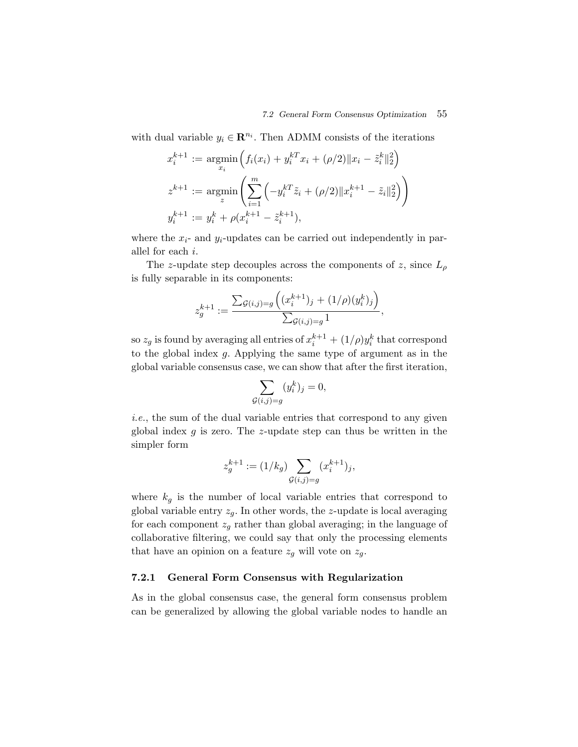with dual variable  $y_i \in \mathbb{R}^{n_i}$ . Then ADMM consists of the iterations

$$
x_i^{k+1} := \underset{x_i}{\text{argmin}} \left( f_i(x_i) + y_i^{kT} x_i + (\rho/2) \|x_i - \tilde{z}_i^k\|_2^2 \right)
$$
  

$$
z^{k+1} := \underset{z}{\text{argmin}} \left( \sum_{i=1}^m \left( -y_i^{kT} \tilde{z}_i + (\rho/2) \|x_i^{k+1} - \tilde{z}_i\|_2^2 \right) \right)
$$
  

$$
y_i^{k+1} := y_i^k + \rho(x_i^{k+1} - \tilde{z}_i^{k+1}),
$$

where the  $x_i$ - and  $y_i$ -updates can be carried out independently in parallel for each i.

The z-update step decouples across the components of z, since  $L<sub>o</sub>$ is fully separable in its components:

$$
z_g^{k+1} := \frac{\sum_{\mathcal{G}(i,j)=g} \left( (x_i^{k+1})_j + (1/\rho)(y_i^k)_j \right)}{\sum_{\mathcal{G}(i,j)=g} 1},
$$

so  $z_g$  is found by averaging all entries of  $x_i^{k+1} + (1/\rho)y_i^k$  that correspond to the global index g. Applying the same type of argument as in the global variable consensus case, we can show that after the first iteration,

$$
\sum_{\mathcal{G}(i,j)=g} (y_i^k)_j = 0,
$$

i.e., the sum of the dual variable entries that correspond to any given global index  $q$  is zero. The z-update step can thus be written in the simpler form

$$
z_g^{k+1} := (1/k_g) \sum_{\mathcal{G}(i,j) = g} (x_i^{k+1})_j,
$$

where  $k_g$  is the number of local variable entries that correspond to global variable entry  $z_g$ . In other words, the z-update is local averaging for each component  $z_q$  rather than global averaging; in the language of collaborative filtering, we could say that only the processing elements that have an opinion on a feature  $z_g$  will vote on  $z_g$ .

#### 7.2.1 General Form Consensus with Regularization

As in the global consensus case, the general form consensus problem can be generalized by allowing the global variable nodes to handle an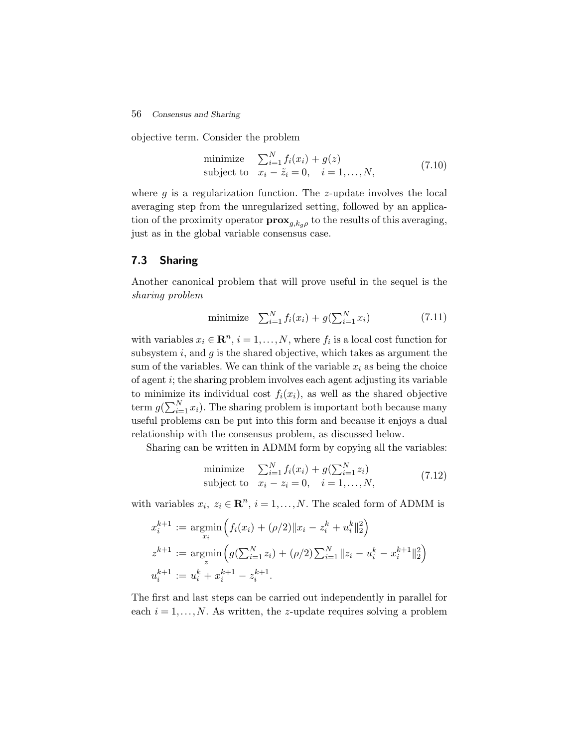#### 56 Consensus and Sharing

objective term. Consider the problem

$$
\begin{array}{ll}\text{minimize} & \sum_{i=1}^{N} f_i(x_i) + g(z) \\ \text{subject to} & x_i - \tilde{z}_i = 0, \quad i = 1, \dots, N, \end{array} \tag{7.10}
$$

where  $q$  is a regularization function. The *z*-update involves the local averaging step from the unregularized setting, followed by an application of the proximity operator  $\mathbf{prox}_{g,k_q\rho}$  to the results of this averaging, just as in the global variable consensus case.

# 7.3 Sharing

Another canonical problem that will prove useful in the sequel is the sharing problem

minimize 
$$
\sum_{i=1}^{N} f_i(x_i) + g(\sum_{i=1}^{N} x_i)
$$
 (7.11)

with variables  $x_i \in \mathbb{R}^n$ ,  $i = 1, ..., N$ , where  $f_i$  is a local cost function for subsystem  $i$ , and  $g$  is the shared objective, which takes as argument the sum of the variables. We can think of the variable  $x_i$  as being the choice of agent i; the sharing problem involves each agent adjusting its variable to minimize its individual cost  $f_i(x_i)$ , as well as the shared objective term  $g(\sum_{i=1}^{N} x_i)$ . The sharing problem is important both because many useful problems can be put into this form and because it enjoys a dual relationship with the consensus problem, as discussed below.

Sharing can be written in ADMM form by copying all the variables:

minimize 
$$
\sum_{i=1}^{N} f_i(x_i) + g(\sum_{i=1}^{N} z_i)
$$
  
subject to  $x_i - z_i = 0, \quad i = 1,..., N,$  (7.12)

with variables  $x_i, z_i \in \mathbb{R}^n$ ,  $i = 1, ..., N$ . The scaled form of ADMM is

$$
x_i^{k+1} := \underset{x_i}{\operatorname{argmin}} \left( f_i(x_i) + (\rho/2) \|x_i - z_i^k + u_i^k\|_2^2 \right)
$$
  
\n
$$
z^{k+1} := \underset{z}{\operatorname{argmin}} \left( g(\sum_{i=1}^N z_i) + (\rho/2) \sum_{i=1}^N \|z_i - u_i^k - x_i^{k+1}\|_2^2 \right)
$$
  
\n
$$
u_i^{k+1} := u_i^k + x_i^{k+1} - z_i^{k+1}.
$$

The first and last steps can be carried out independently in parallel for each  $i = 1, \ldots, N$ . As written, the z-update requires solving a problem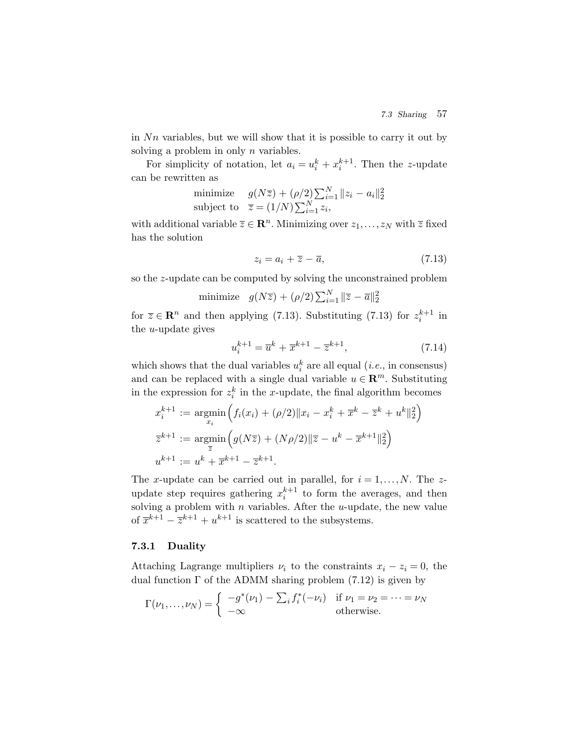in  $Nn$  variables, but we will show that it is possible to carry it out by solving a problem in only *n* variables.

For simplicity of notation, let  $a_i = u_i^k + x_i^{k+1}$ . Then the z-update can be rewritten as

minimize 
$$
g(N\overline{z}) + (\rho/2) \sum_{i=1}^{N} ||z_i - a_i||_2^2
$$
  
subject to  $\overline{z} = (1/N) \sum_{i=1}^{N} z_i$ ,

with additional variable  $\overline{z} \in \mathbb{R}^n$ . Minimizing over  $z_1, \ldots, z_N$  with  $\overline{z}$  fixed has the solution

$$
z_i = a_i + \overline{z} - \overline{a},\tag{7.13}
$$

so the z-update can be computed by solving the unconstrained problem

minimize 
$$
g(N\overline{z}) + (\rho/2) \sum_{i=1}^{N} ||\overline{z} - \overline{a}||_2^2
$$

for  $\overline{z} \in \mathbb{R}^n$  and then applying (7.13). Substituting (7.13) for  $z_i^{k+1}$  in the u-update gives

$$
u_i^{k+1} = \overline{u}^k + \overline{x}^{k+1} - \overline{z}^{k+1},
$$
\n(7.14)

which shows that the dual variables  $u_i^k$  are all equal  $(i.e.,$  in consensus) and can be replaced with a single dual variable  $u \in \mathbb{R}^m$ . Substituting in the expression for  $z_i^k$  in the x-update, the final algorithm becomes

$$
x_i^{k+1} := \underset{x_i}{\operatorname{argmin}} \left( f_i(x_i) + (\rho/2) \|x_i - x_i^k + \overline{x}^k - \overline{z}^k + u^k\|_2^2 \right)
$$
  

$$
\overline{z}^{k+1} := \underset{\overline{z}}{\operatorname{argmin}} \left( g(N\overline{z}) + (N\rho/2) \|\overline{z} - u^k - \overline{x}^{k+1}\|_2^2 \right)
$$
  

$$
u^{k+1} := u^k + \overline{x}^{k+1} - \overline{z}^{k+1}.
$$

The x-update can be carried out in parallel, for  $i = 1, \ldots, N$ . The zupdate step requires gathering  $x_i^{k+1}$  to form the averages, and then solving a problem with  $n$  variables. After the *u*-update, the new value of  $\overline{x}^{k+1} - \overline{z}^{k+1} + u^{k+1}$  is scattered to the subsystems.

# 7.3.1 Duality

Attaching Lagrange multipliers  $\nu_i$  to the constraints  $x_i - z_i = 0$ , the dual function  $\Gamma$  of the ADMM sharing problem (7.12) is given by

$$
\Gamma(\nu_1,\ldots,\nu_N) = \begin{cases}\n-g^*(\nu_1) - \sum_i f_i^*(-\nu_i) & \text{if } \nu_1 = \nu_2 = \cdots = \nu_N \\
-\infty & \text{otherwise.}\n\end{cases}
$$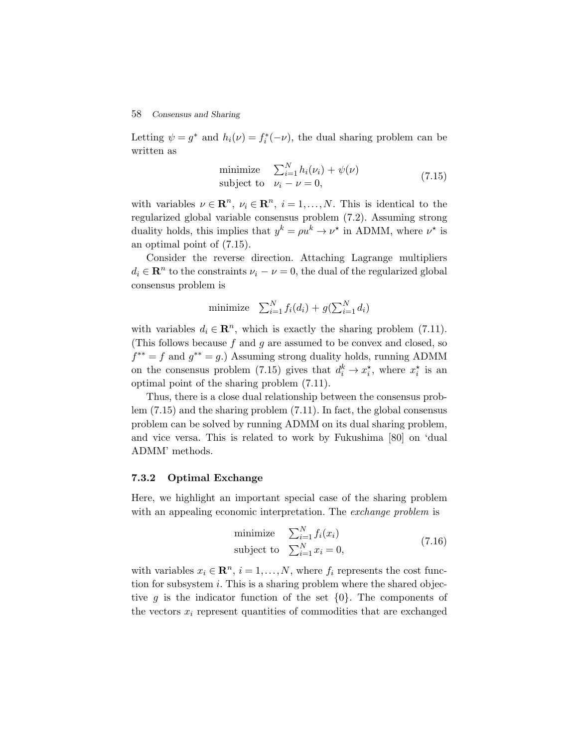#### 58 Consensus and Sharing

Letting  $\psi = g^*$  and  $h_i(\nu) = f_i^*(-\nu)$ , the dual sharing problem can be written as

$$
\begin{array}{ll}\text{minimize} & \sum_{i=1}^{N} h_i(\nu_i) + \psi(\nu) \\ \text{subject to} & \nu_i - \nu = 0, \end{array} \tag{7.15}
$$

with variables  $\nu \in \mathbb{R}^n$ ,  $\nu_i \in \mathbb{R}^n$ ,  $i = 1, ..., N$ . This is identical to the regularized global variable consensus problem (7.2). Assuming strong duality holds, this implies that  $y^k = \rho u^k \rightarrow \nu^*$  in ADMM, where  $\nu^*$  is an optimal point of (7.15).

Consider the reverse direction. Attaching Lagrange multipliers  $d_i \in \mathbb{R}^n$  to the constraints  $\nu_i - \nu = 0$ , the dual of the regularized global consensus problem is

minimize 
$$
\sum_{i=1}^{N} f_i(d_i) + g(\sum_{i=1}^{N} d_i)
$$

with variables  $d_i \in \mathbb{R}^n$ , which is exactly the sharing problem (7.11). (This follows because  $f$  and  $g$  are assumed to be convex and closed, so  $f^{**} = f$  and  $g^{**} = g$ .) Assuming strong duality holds, running ADMM on the consensus problem (7.15) gives that  $d_i^k \to x_i^*$ , where  $x_i^*$  is an optimal point of the sharing problem (7.11).

Thus, there is a close dual relationship between the consensus problem (7.15) and the sharing problem (7.11). In fact, the global consensus problem can be solved by running ADMM on its dual sharing problem, and vice versa. This is related to work by Fukushima [80] on 'dual ADMM' methods.

#### 7.3.2 Optimal Exchange

Here, we highlight an important special case of the sharing problem with an appealing economic interpretation. The *exchange problem* is

minimize 
$$
\sum_{i=1}^{N} f_i(x_i)
$$
  
subject to  $\sum_{i=1}^{N} x_i = 0$ , (7.16)

with variables  $x_i \in \mathbb{R}^n$ ,  $i = 1, ..., N$ , where  $f_i$  represents the cost function for subsystem i. This is a sharing problem where the shared objective g is the indicator function of the set  $\{0\}$ . The components of the vectors  $x_i$  represent quantities of commodities that are exchanged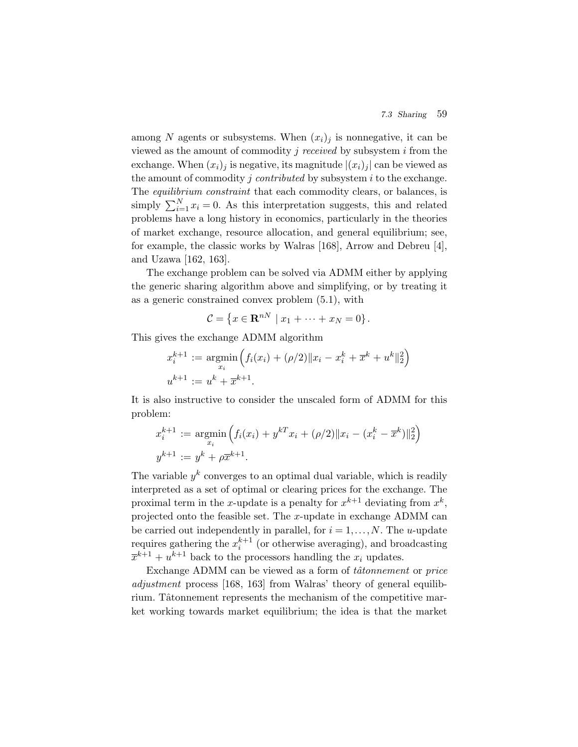among N agents or subsystems. When  $(x_i)_i$  is nonnegative, it can be viewed as the amount of commodity  $j$  received by subsystem  $i$  from the exchange. When  $(x_i)_j$  is negative, its magnitude  $|(x_i)_j|$  can be viewed as the amount of commodity j contributed by subsystem  $i$  to the exchange. The *equilibrium constraint* that each commodity clears, or balances, is simply  $\sum_{i=1}^{N} x_i = 0$ . As this interpretation suggests, this and related problems have a long history in economics, particularly in the theories of market exchange, resource allocation, and general equilibrium; see, for example, the classic works by Walras [168], Arrow and Debreu [4], and Uzawa [162, 163].

The exchange problem can be solved via ADMM either by applying the generic sharing algorithm above and simplifying, or by treating it as a generic constrained convex problem (5.1), with

$$
\mathcal{C} = \{x \in \mathbf{R}^{nN} \mid x_1 + \dots + x_N = 0\}.
$$

This gives the exchange ADMM algorithm

$$
x_i^{k+1} := \underset{x_i}{\operatorname{argmin}} \left( f_i(x_i) + (\rho/2) \| x_i - x_i^k + \overline{x}^k + u^k \|_2^2 \right)
$$
  

$$
u^{k+1} := u^k + \overline{x}^{k+1}.
$$

It is also instructive to consider the unscaled form of ADMM for this problem:

$$
x_i^{k+1} := \underset{x_i}{\operatorname{argmin}} \left( f_i(x_i) + y^{k} x_i + (\rho/2) \|x_i - (x_i^k - \overline{x}^k)\|_2^2 \right)
$$
  

$$
y^{k+1} := y^k + \rho \overline{x}^{k+1}.
$$

The variable  $y^k$  converges to an optimal dual variable, which is readily interpreted as a set of optimal or clearing prices for the exchange. The proximal term in the x-update is a penalty for  $x^{k+1}$  deviating from  $x^k$ , projected onto the feasible set. The  $x$ -update in exchange ADMM can be carried out independently in parallel, for  $i = 1, \ldots, N$ . The u-update requires gathering the  $x_i^{k+1}$  (or otherwise averaging), and broadcasting  $\overline{x}^{k+1} + u^{k+1}$  back to the processors handling the  $x_i$  updates.

Exchange ADMM can be viewed as a form of *tâtonnement* or *price* adjustment process [168, 163] from Walras' theory of general equilibrium. Tâtonnement represents the mechanism of the competitive market working towards market equilibrium; the idea is that the market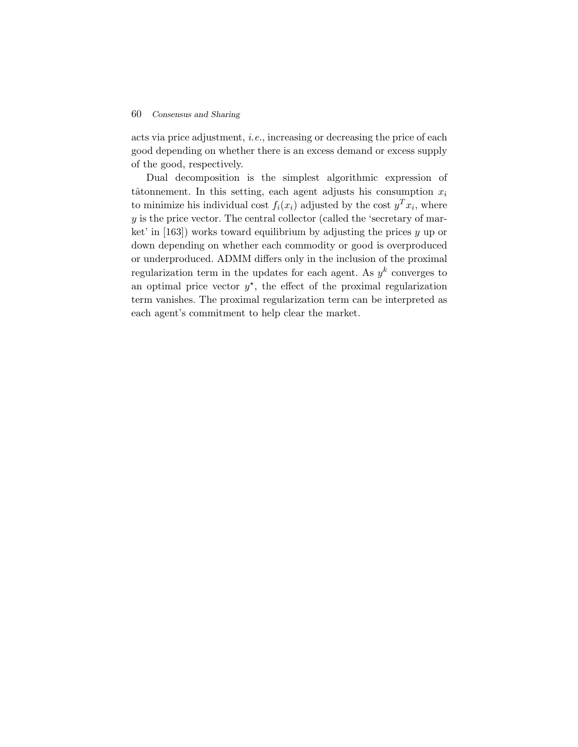#### 60 Consensus and Sharing

acts via price adjustment, i.e., increasing or decreasing the price of each good depending on whether there is an excess demand or excess supply of the good, respectively.

Dual decomposition is the simplest algorithmic expression of tâtonnement. In this setting, each agent adjusts his consumption  $x_i$ to minimize his individual cost  $f_i(x_i)$  adjusted by the cost  $y^T x_i$ , where  $y$  is the price vector. The central collector (called the 'secretary of market' in  $[163]$ ) works toward equilibrium by adjusting the prices y up or down depending on whether each commodity or good is overproduced or underproduced. ADMM differs only in the inclusion of the proximal regularization term in the updates for each agent. As  $y^k$  converges to an optimal price vector  $y^*$ , the effect of the proximal regularization term vanishes. The proximal regularization term can be interpreted as each agent's commitment to help clear the market.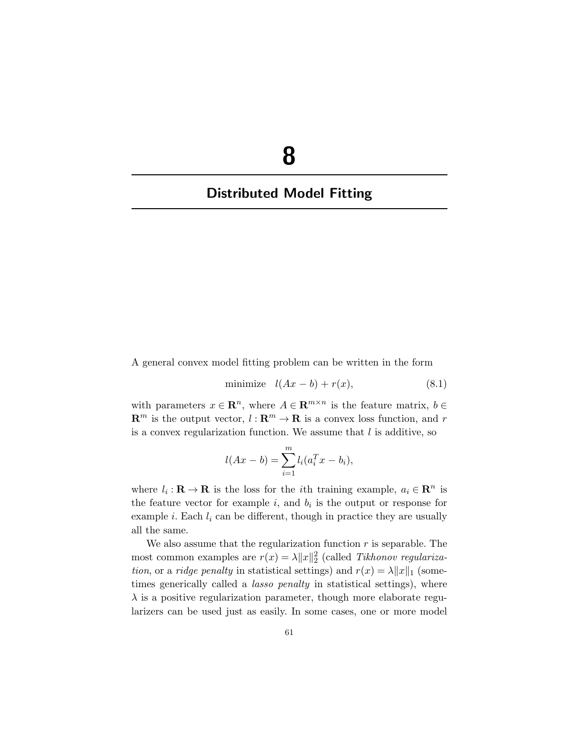# 8

# Distributed Model Fitting

A general convex model fitting problem can be written in the form

$$
\text{minimize} \quad l(Ax - b) + r(x),\tag{8.1}
$$

with parameters  $x \in \mathbb{R}^n$ , where  $A \in \mathbb{R}^{m \times n}$  is the feature matrix,  $b \in$  $\mathbf{R}^m$  is the output vector,  $l : \mathbf{R}^m \to \mathbf{R}$  is a convex loss function, and r is a convex regularization function. We assume that  $l$  is additive, so

$$
l(Ax - b) = \sum_{i=1}^{m} l_i(a_i^T x - b_i),
$$

where  $l_i : \mathbf{R} \to \mathbf{R}$  is the loss for the *i*th training example,  $a_i \in \mathbf{R}^n$  is the feature vector for example i, and  $b_i$  is the output or response for example i. Each  $l_i$  can be different, though in practice they are usually all the same.

We also assume that the regularization function  $r$  is separable. The most common examples are  $r(x) = \lambda ||x||_2^2$  (called Tikhonov regularization, or a ridge penalty in statistical settings) and  $r(x) = \lambda ||x||_1$  (sometimes generically called a *lasso penalty* in statistical settings), where  $\lambda$  is a positive regularization parameter, though more elaborate regularizers can be used just as easily. In some cases, one or more model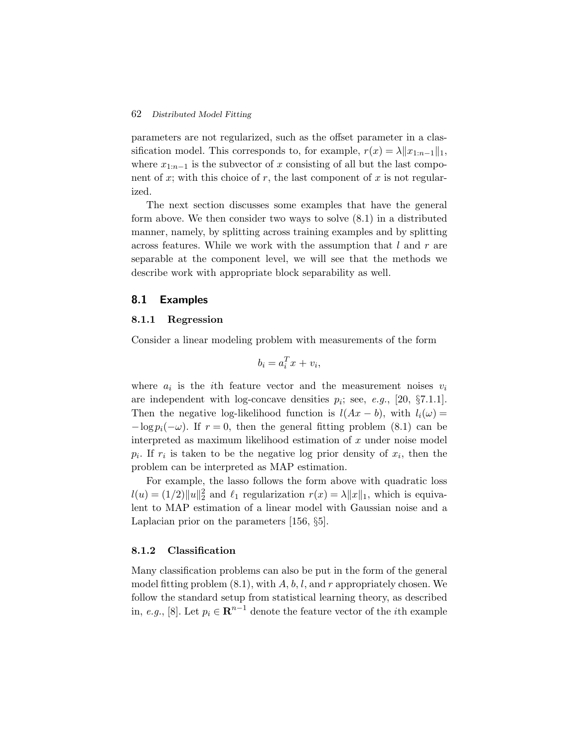## 62 Distributed Model Fitting

parameters are not regularized, such as the offset parameter in a classification model. This corresponds to, for example,  $r(x) = \lambda ||x_{1:n-1}||_1$ , where  $x_{1:n-1}$  is the subvector of x consisting of all but the last component of x; with this choice of r, the last component of x is not regularized.

The next section discusses some examples that have the general form above. We then consider two ways to solve (8.1) in a distributed manner, namely, by splitting across training examples and by splitting across features. While we work with the assumption that  $l$  and  $r$  are separable at the component level, we will see that the methods we describe work with appropriate block separability as well.

#### 8.1 Examples

#### 8.1.1 Regression

Consider a linear modeling problem with measurements of the form

$$
b_i = a_i^T x + v_i,
$$

where  $a_i$  is the *i*th feature vector and the measurement noises  $v_i$ are independent with log-concave densities  $p_i$ ; see, e.g., [20, §7.1.1]. Then the negative log-likelihood function is  $l(Ax - b)$ , with  $l_i(\omega) =$  $-\log p_i(-\omega)$ . If  $r=0$ , then the general fitting problem (8.1) can be interpreted as maximum likelihood estimation of  $x$  under noise model  $p_i$ . If  $r_i$  is taken to be the negative log prior density of  $x_i$ , then the problem can be interpreted as MAP estimation.

For example, the lasso follows the form above with quadratic loss  $l(u) = (1/2) ||u||_2^2$  and  $\ell_1$  regularization  $r(x) = \lambda ||x||_1$ , which is equivalent to MAP estimation of a linear model with Gaussian noise and a Laplacian prior on the parameters [156, §5].

#### 8.1.2 Classification

Many classification problems can also be put in the form of the general model fitting problem  $(8.1)$ , with A, b, l, and r appropriately chosen. We follow the standard setup from statistical learning theory, as described in, e.g., [8]. Let  $p_i \in \mathbb{R}^{n-1}$  denote the feature vector of the *i*th example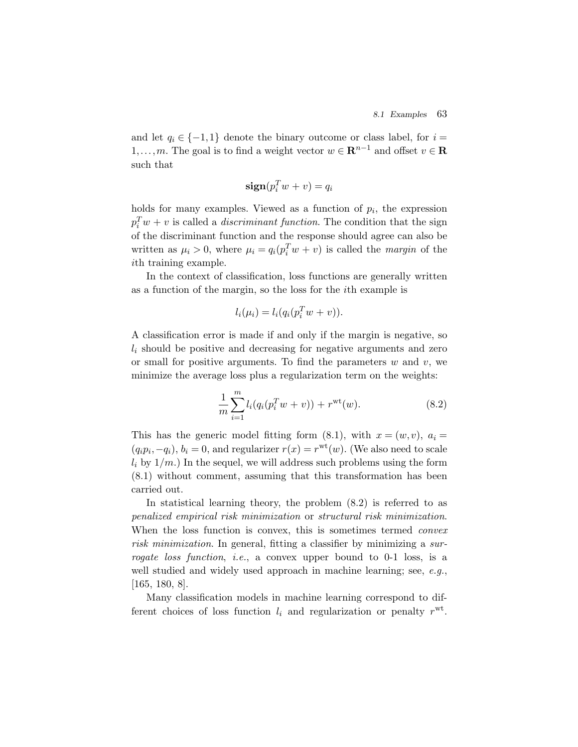and let  $q_i \in \{-1,1\}$  denote the binary outcome or class label, for  $i =$ 1,...,m. The goal is to find a weight vector  $w \in \mathbb{R}^{n-1}$  and offset  $v \in \mathbb{R}$ such that

$$
\mathbf{sign}(p_i^T w + v) = q_i
$$

holds for many examples. Viewed as a function of  $p_i$ , the expression  $p_i^T w + v$  is called a *discriminant function*. The condition that the sign of the discriminant function and the response should agree can also be written as  $\mu_i > 0$ , where  $\mu_i = q_i (p_i^T w + v)$  is called the *margin* of the ith training example.

In the context of classification, loss functions are generally written as a function of the margin, so the loss for the ith example is

$$
l_i(\mu_i) = l_i(q_i(p_i^T w + v)).
$$

A classification error is made if and only if the margin is negative, so  $l_i$  should be positive and decreasing for negative arguments and zero or small for positive arguments. To find the parameters  $w$  and  $v$ , we minimize the average loss plus a regularization term on the weights:

$$
\frac{1}{m} \sum_{i=1}^{m} l_i (q_i (p_i^T w + v)) + r^{\text{wt}}(w).
$$
 (8.2)

This has the generic model fitting form (8.1), with  $x = (w, v)$ ,  $a_i =$  $(q_i p_i, -q_i)$ ,  $b_i = 0$ , and regularizer  $r(x) = r^{wt}(w)$ . (We also need to scale  $l_i$  by  $1/m$ .) In the sequel, we will address such problems using the form (8.1) without comment, assuming that this transformation has been carried out.

In statistical learning theory, the problem (8.2) is referred to as penalized empirical risk minimization or structural risk minimization. When the loss function is convex, this is sometimes termed convex risk minimization. In general, fitting a classifier by minimizing a surrogate loss function, *i.e.*, a convex upper bound to 0-1 loss, is a well studied and widely used approach in machine learning; see, e.g., [165, 180, 8].

Many classification models in machine learning correspond to different choices of loss function  $l_i$  and regularization or penalty  $r^{wt}$ .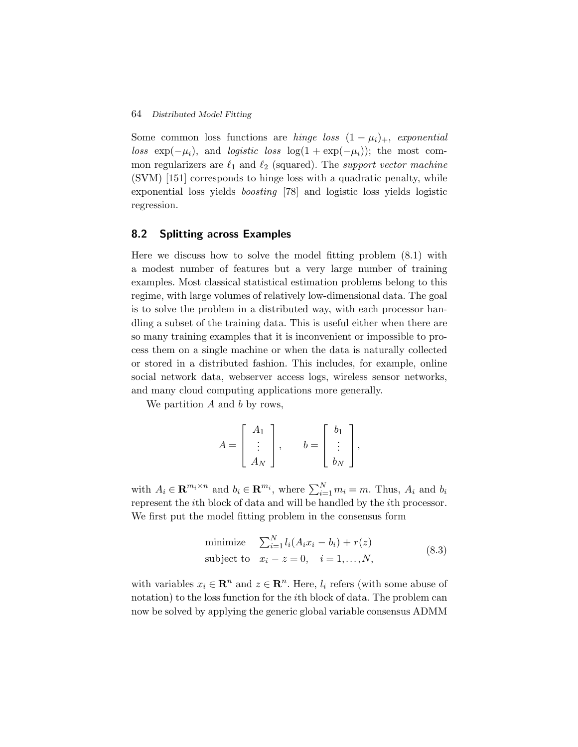## 64 Distributed Model Fitting

Some common loss functions are *hinge loss*  $(1 - \mu_i)_+$ , *exponential* loss  $\exp(-\mu_i)$ , and logistic loss  $\log(1 + \exp(-\mu_i))$ ; the most common regularizers are  $\ell_1$  and  $\ell_2$  (squared). The *support vector machine* (SVM) [151] corresponds to hinge loss with a quadratic penalty, while exponential loss yields boosting [78] and logistic loss yields logistic regression.

# 8.2 Splitting across Examples

Here we discuss how to solve the model fitting problem (8.1) with a modest number of features but a very large number of training examples. Most classical statistical estimation problems belong to this regime, with large volumes of relatively low-dimensional data. The goal is to solve the problem in a distributed way, with each processor handling a subset of the training data. This is useful either when there are so many training examples that it is inconvenient or impossible to process them on a single machine or when the data is naturally collected or stored in a distributed fashion. This includes, for example, online social network data, webserver access logs, wireless sensor networks, and many cloud computing applications more generally.

We partition  $A$  and  $b$  by rows,

$$
A = \begin{bmatrix} A_1 \\ \vdots \\ A_N \end{bmatrix}, \qquad b = \begin{bmatrix} b_1 \\ \vdots \\ b_N \end{bmatrix},
$$

with  $A_i \in \mathbf{R}^{m_i \times n}$  and  $b_i \in \mathbf{R}^{m_i}$ , where  $\sum_{i=1}^{N} m_i = m$ . Thus,  $A_i$  and  $b_i$ represent the ith block of data and will be handled by the ith processor. We first put the model fitting problem in the consensus form

minimize 
$$
\sum_{i=1}^{N} l_i (A_i x_i - b_i) + r(z)
$$
  
subject to  $x_i - z = 0, \quad i = 1,...,N,$  (8.3)

with variables  $x_i \in \mathbb{R}^n$  and  $z \in \mathbb{R}^n$ . Here,  $l_i$  refers (with some abuse of notation) to the loss function for the ith block of data. The problem can now be solved by applying the generic global variable consensus ADMM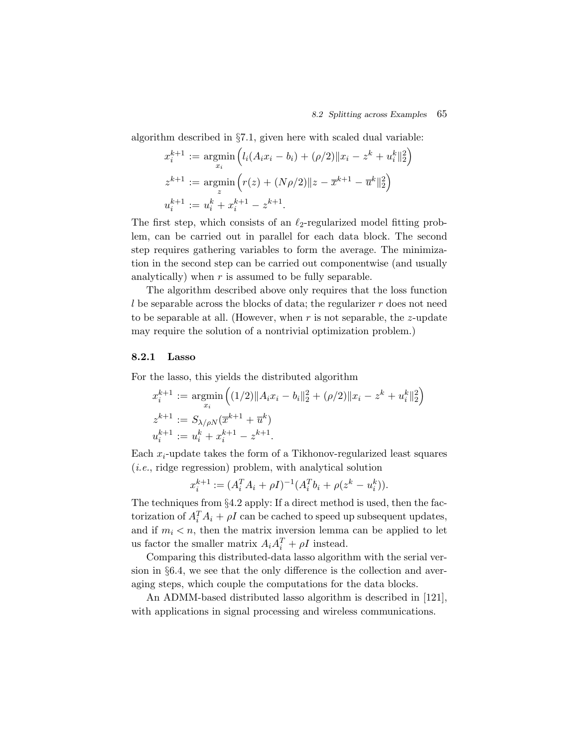algorithm described in §7.1, given here with scaled dual variable:

$$
x_i^{k+1} := \underset{x_i}{\operatorname{argmin}} \left( l_i(A_i x_i - b_i) + (\rho/2) \|x_i - z^k + u_i^k\|_2^2 \right)
$$
  

$$
z^{k+1} := \underset{z}{\operatorname{argmin}} \left( r(z) + (N\rho/2) \|z - \overline{x}^{k+1} - \overline{u}^k\|_2^2 \right)
$$
  

$$
u_i^{k+1} := u_i^k + x_i^{k+1} - z^{k+1}.
$$

The first step, which consists of an  $\ell_2$ -regularized model fitting problem, can be carried out in parallel for each data block. The second step requires gathering variables to form the average. The minimization in the second step can be carried out componentwise (and usually analytically) when  $r$  is assumed to be fully separable.

The algorithm described above only requires that the loss function l be separable across the blocks of data; the regularizer  $r$  does not need to be separable at all. (However, when  $r$  is not separable, the z-update may require the solution of a nontrivial optimization problem.)

# 8.2.1 Lasso

For the lasso, this yields the distributed algorithm

$$
x_i^{k+1} := \underset{x_i}{\operatorname{argmin}} \left( (1/2) \| A_i x_i - b_i \|_2^2 + (\rho/2) \| x_i - z^k + u_i^k \|_2^2 \right)
$$
  

$$
z^{k+1} := S_{\lambda/\rho N} (\overline{x}^{k+1} + \overline{u}^k)
$$
  

$$
u_i^{k+1} := u_i^k + x_i^{k+1} - z^{k+1}.
$$

Each  $x_i$ -update takes the form of a Tikhonov-regularized least squares (i.e., ridge regression) problem, with analytical solution

 $x_i^{k+1} := (A_i^T A_i + \rho I)^{-1} (A_i^T b_i + \rho (z^k - u_i^k)).$ 

The techniques from §4.2 apply: If a direct method is used, then the factorization of  $A_i^T A_i + \rho I$  can be cached to speed up subsequent updates, and if  $m_i < n$ , then the matrix inversion lemma can be applied to let us factor the smaller matrix  $A_i A_i^T + \rho I$  instead.

Comparing this distributed-data lasso algorithm with the serial version in §6.4, we see that the only difference is the collection and averaging steps, which couple the computations for the data blocks.

An ADMM-based distributed lasso algorithm is described in [121], with applications in signal processing and wireless communications.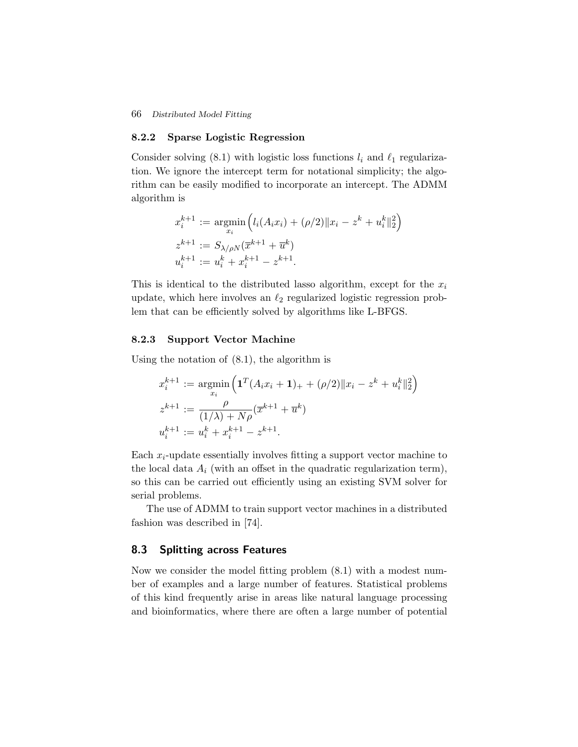#### 66 Distributed Model Fitting

#### 8.2.2 Sparse Logistic Regression

Consider solving (8.1) with logistic loss functions  $l_i$  and  $l_1$  regularization. We ignore the intercept term for notational simplicity; the algorithm can be easily modified to incorporate an intercept. The ADMM algorithm is

$$
x_i^{k+1} := \underset{x_i}{\operatorname{argmin}} \left( l_i(A_i x_i) + (\rho/2) \|x_i - z^k + u_i^k\|_2^2 \right)
$$
  

$$
z^{k+1} := S_{\lambda/\rho N}(\overline{x}^{k+1} + \overline{u}^k)
$$
  

$$
u_i^{k+1} := u_i^k + x_i^{k+1} - z^{k+1}.
$$

This is identical to the distributed lasso algorithm, except for the  $x_i$ update, which here involves an  $\ell_2$  regularized logistic regression problem that can be efficiently solved by algorithms like L-BFGS.

# 8.2.3 Support Vector Machine

Using the notation of (8.1), the algorithm is

$$
x_i^{k+1} := \underset{x_i}{\operatorname{argmin}} \left( \mathbf{1}^T (A_i x_i + \mathbf{1})_+ + (\rho/2) \|x_i - z^k + u_i^k\|_2^2 \right)
$$
  

$$
z^{k+1} := \frac{\rho}{(1/\lambda) + N\rho} (\overline{x}^{k+1} + \overline{u}^k)
$$
  

$$
u_i^{k+1} := u_i^k + x_i^{k+1} - z^{k+1}.
$$

Each  $x_i$ -update essentially involves fitting a support vector machine to the local data  $A_i$  (with an offset in the quadratic regularization term), so this can be carried out efficiently using an existing SVM solver for serial problems.

The use of ADMM to train support vector machines in a distributed fashion was described in [74].

# 8.3 Splitting across Features

Now we consider the model fitting problem (8.1) with a modest number of examples and a large number of features. Statistical problems of this kind frequently arise in areas like natural language processing and bioinformatics, where there are often a large number of potential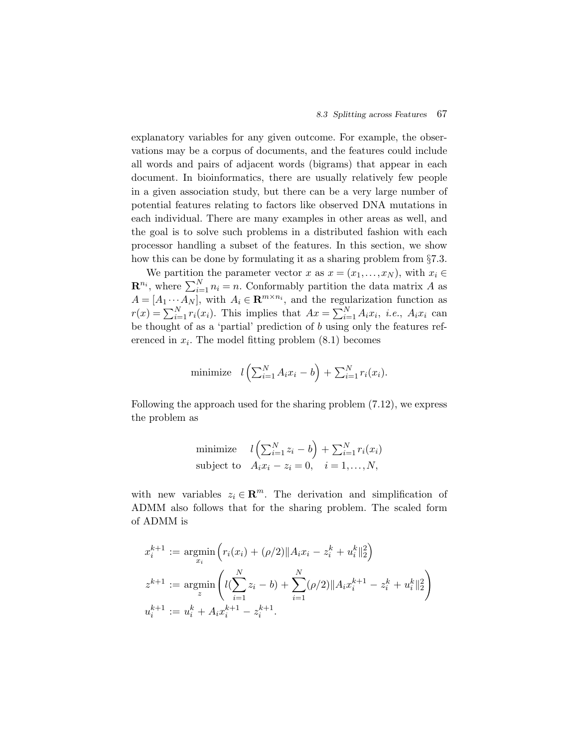explanatory variables for any given outcome. For example, the observations may be a corpus of documents, and the features could include all words and pairs of adjacent words (bigrams) that appear in each document. In bioinformatics, there are usually relatively few people in a given association study, but there can be a very large number of potential features relating to factors like observed DNA mutations in each individual. There are many examples in other areas as well, and the goal is to solve such problems in a distributed fashion with each processor handling a subset of the features. In this section, we show how this can be done by formulating it as a sharing problem from §7.3.

We partition the parameter vector x as  $x = (x_1, \ldots, x_N)$ , with  $x_i \in$  $\mathbf{R}^{n_i}$ , where  $\sum_{i=1}^{N} n_i = n$ . Conformably partition the data matrix A as  $A = [A_1 \cdots A_N]$ , with  $A_i \in \mathbb{R}^{m \times n_i}$ , and the regularization function as  $r(x) = \sum_{i=1}^{N} r_i(x_i)$ . This implies that  $Ax = \sum_{i=1}^{N} A_i x_i$ , *i.e.*,  $A_i x_i$  can be thought of as a 'partial' prediction of  $b$  using only the features referenced in  $x_i$ . The model fitting problem  $(8.1)$  becomes

minimize 
$$
l\left(\sum_{i=1}^{N} A_i x_i - b\right) + \sum_{i=1}^{N} r_i(x_i)
$$
.

Following the approach used for the sharing problem (7.12), we express the problem as

minimize 
$$
l\left(\sum_{i=1}^{N} z_i - b\right) + \sum_{i=1}^{N} r_i(x_i)
$$
  
subject to  $A_i x_i - z_i = 0$ ,  $i = 1,..., N$ ,

with new variables  $z_i \in \mathbb{R}^m$ . The derivation and simplification of ADMM also follows that for the sharing problem. The scaled form of ADMM is

$$
x_i^{k+1} := \underset{x_i}{\operatorname{argmin}} \left( r_i(x_i) + (\rho/2) \| A_i x_i - z_i^k + u_i^k \|_2^2 \right)
$$
  

$$
z^{k+1} := \underset{z}{\operatorname{argmin}} \left( l(\sum_{i=1}^N z_i - b) + \sum_{i=1}^N (\rho/2) \| A_i x_i^{k+1} - z_i^k + u_i^k \|_2^2 \right)
$$
  

$$
u_i^{k+1} := u_i^k + A_i x_i^{k+1} - z_i^{k+1}.
$$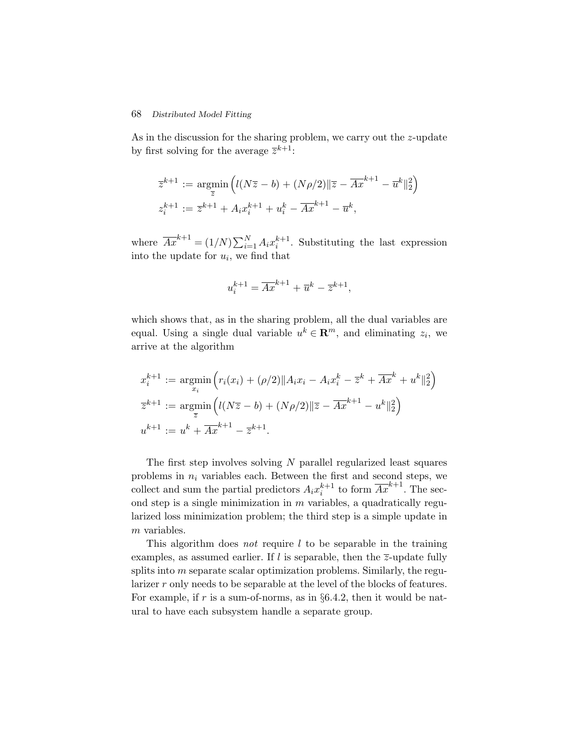#### 68 Distributed Model Fitting

As in the discussion for the sharing problem, we carry out the z-update by first solving for the average  $\overline{z}^{k+1}$ :

$$
\overline{z}^{k+1} := \underset{\overline{z}}{\text{argmin}} \left( l(N\overline{z} - b) + (N\rho/2) \|\overline{z} - \overline{Ax}^{k+1} - \overline{u}^k\|_2^2 \right)
$$
  

$$
z_i^{k+1} := \overline{z}^{k+1} + A_i x_i^{k+1} + u_i^k - \overline{Ax}^{k+1} - \overline{u}^k,
$$

where  $\overline{Ax}^{k+1} = (1/N) \sum_{i=1}^{N} A_i x_i^{k+1}$ . Substituting the last expression into the update for  $u_i$ , we find that

$$
u_i^{k+1} = \overline{Ax}^{k+1} + \overline{u}^k - \overline{z}^{k+1},
$$

which shows that, as in the sharing problem, all the dual variables are equal. Using a single dual variable  $u^k \in \mathbb{R}^m$ , and eliminating  $z_i$ , we arrive at the algorithm

$$
x_i^{k+1} := \underset{x_i}{\text{argmin}} \left( r_i(x_i) + (\rho/2) \| A_i x_i - A_i x_i^k - \overline{z}^k + \overline{A} x^k + u^k \|_2^2 \right)
$$
  

$$
\overline{z}^{k+1} := \underset{\overline{z}}{\text{argmin}} \left( l(N\overline{z} - b) + (N\rho/2) \| \overline{z} - \overline{A} x^{k+1} - u^k \|_2^2 \right)
$$
  

$$
u^{k+1} := u^k + \overline{A} x^{k+1} - \overline{z}^{k+1}.
$$

The first step involves solving  $N$  parallel regularized least squares problems in  $n_i$  variables each. Between the first and second steps, we collect and sum the partial predictors  $A_i x_i^{k+1}$  to form  $\overline{Ax}^{k+1}$ . The second step is a single minimization in  $m$  variables, a quadratically regularized loss minimization problem; the third step is a simple update in m variables.

This algorithm does *not* require  $l$  to be separable in the training examples, as assumed earlier. If l is separable, then the  $\overline{z}$ -update fully splits into  $m$  separate scalar optimization problems. Similarly, the regularizer r only needs to be separable at the level of the blocks of features. For example, if r is a sum-of-norms, as in  $\S 6.4.2$ , then it would be natural to have each subsystem handle a separate group.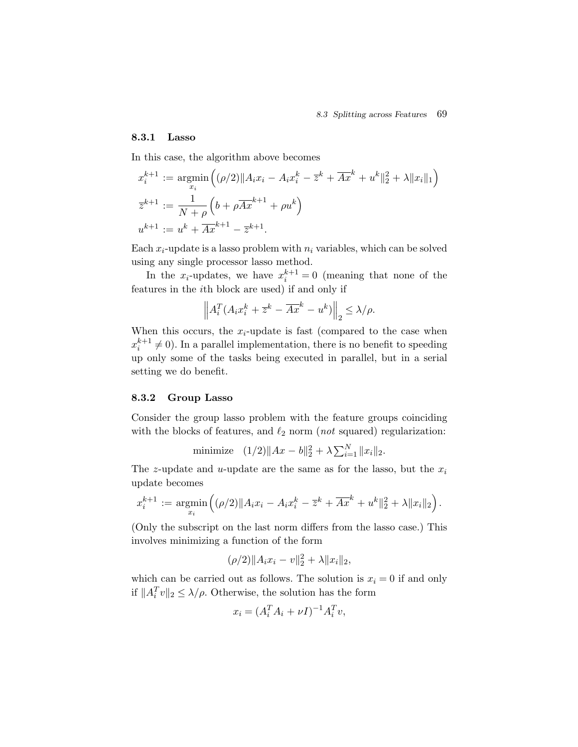# 8.3.1 Lasso

In this case, the algorithm above becomes

$$
x_i^{k+1} := \underset{x_i}{\operatorname{argmin}} \left( (\rho/2) \| A_i x_i - A_i x_i^k - \overline{z}^k + \overline{A} x^k + u^k \|_2^2 + \lambda \| x_i \|_1 \right)
$$
  

$$
\overline{z}^{k+1} := \frac{1}{N + \rho} \left( b + \rho \overline{A} x^{k+1} + \rho u^k \right)
$$
  

$$
u^{k+1} := u^k + \overline{A} x^{k+1} - \overline{z}^{k+1}.
$$

Each  $x_i$ -update is a lasso problem with  $n_i$  variables, which can be solved using any single processor lasso method.

In the  $x_i$ -updates, we have  $x_i^{k+1} = 0$  (meaning that none of the features in the ith block are used) if and only if

$$
\left\|A_i^T (A_i x_i^k + \overline{z}^k - \overline{Ax}^k - u^k)\right\|_2 \le \lambda/\rho.
$$

When this occurs, the  $x_i$ -update is fast (compared to the case when  $x_i^{k+1} \neq 0$ ). In a parallel implementation, there is no benefit to speeding up only some of the tasks being executed in parallel, but in a serial setting we do benefit.

#### 8.3.2 Group Lasso

Consider the group lasso problem with the feature groups coinciding with the blocks of features, and  $\ell_2$  norm (not squared) regularization:

minimize 
$$
(1/2)||Ax - b||_2^2 + \lambda \sum_{i=1}^N ||x_i||_2
$$
.

The z-update and u-update are the same as for the lasso, but the  $x_i$ update becomes

$$
x_i^{k+1} := \underset{x_i}{\text{argmin}} \left( (\rho/2) \| A_i x_i - A_i x_i^k - \overline{z}^k + \overline{A} \overline{x}^k + u^k \|_2^2 + \lambda \| x_i \|_2 \right).
$$

(Only the subscript on the last norm differs from the lasso case.) This involves minimizing a function of the form

$$
(\rho/2)||A_ix_i - v||_2^2 + \lambda ||x_i||_2,
$$

which can be carried out as follows. The solution is  $x_i = 0$  if and only if  $||A_i^T v||_2 \leq \lambda/\rho$ . Otherwise, the solution has the form

$$
x_i = (A_i^T A_i + \nu I)^{-1} A_i^T v,
$$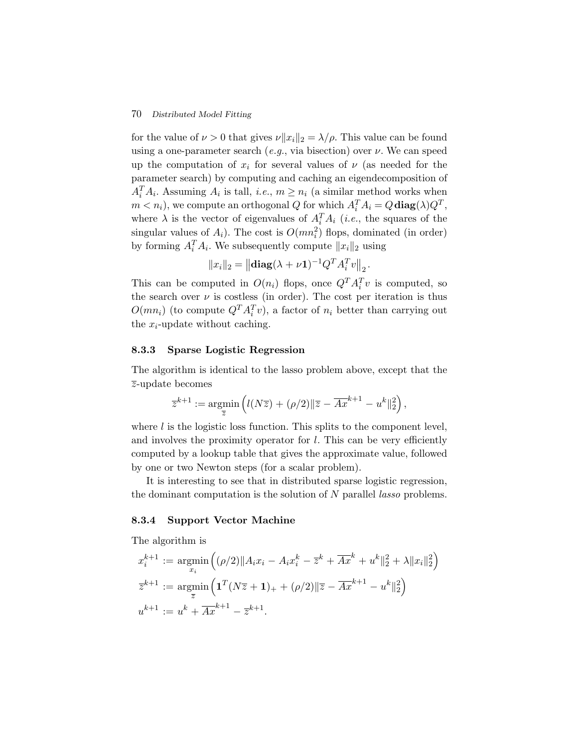### 70 Distributed Model Fitting

for the value of  $\nu > 0$  that gives  $\nu ||x_i||_2 = \lambda/\rho$ . This value can be found using a one-parameter search (e.g., via bisection) over  $\nu$ . We can speed up the computation of  $x_i$  for several values of  $\nu$  (as needed for the parameter search) by computing and caching an eigendecomposition of  $A_i^T A_i$ . Assuming  $A_i$  is tall, *i.e.*,  $m \geq n_i$  (a similar method works when  $m < n_i$ ), we compute an orthogonal Q for which  $A_i^T A_i = Q \operatorname{diag}(\lambda) Q^T$ , where  $\lambda$  is the vector of eigenvalues of  $A_i^T A_i$  (*i.e.*, the squares of the singular values of  $A_i$ ). The cost is  $O(mn_i^2)$  flops, dominated (in order) by forming  $A_i^T A_i$ . We subsequently compute  $||x_i||_2$  using

$$
||x_i||_2 = ||\mathbf{diag}(\lambda + \nu \mathbf{1})^{-1} Q^T A_i^T v||_2.
$$

This can be computed in  $O(n_i)$  flops, once  $Q^T A_i^T v$  is computed, so the search over  $\nu$  is costless (in order). The cost per iteration is thus  $O(mn_i)$  (to compute  $Q^T A_i^T v$ ), a factor of  $n_i$  better than carrying out the  $x_i$ -update without caching.

## 8.3.3 Sparse Logistic Regression

The algorithm is identical to the lasso problem above, except that the  $\overline{z}$ -update becomes

$$
\overline{z}^{k+1} := \underset{\overline{z}}{\text{argmin}} \left( l(N\overline{z}) + (\rho/2) \|\overline{z} - \overline{Ax}^{k+1} - u^k\|_2^2 \right),
$$

where  $l$  is the logistic loss function. This splits to the component level, and involves the proximity operator for  $l$ . This can be very efficiently computed by a lookup table that gives the approximate value, followed by one or two Newton steps (for a scalar problem).

It is interesting to see that in distributed sparse logistic regression, the dominant computation is the solution of N parallel *lasso* problems.

### 8.3.4 Support Vector Machine

The algorithm is

$$
x_i^{k+1} := \underset{x_i}{\operatorname{argmin}} \left( (\rho/2) \| A_i x_i - A_i x_i^k - \overline{z}^k + \overline{A} x^k + u^k \|_2^2 + \lambda \| x_i \|_2^2 \right)
$$
  

$$
\overline{z}^{k+1} := \underset{\overline{z}}{\operatorname{argmin}} \left( \mathbf{1}^T (N \overline{z} + \mathbf{1})_+ + (\rho/2) \| \overline{z} - \overline{A} x^{k+1} - u^k \|_2^2 \right)
$$
  

$$
u^{k+1} := u^k + \overline{A} x^{k+1} - \overline{z}^{k+1}.
$$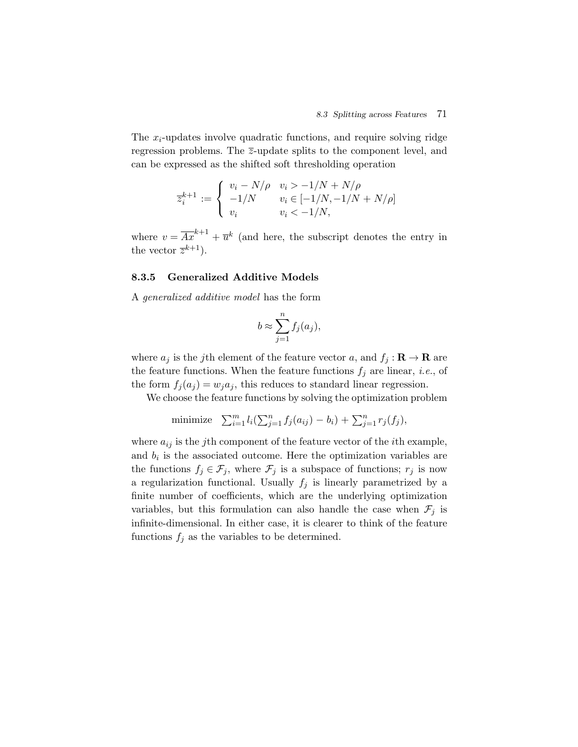The  $x_i$ -updates involve quadratic functions, and require solving ridge regression problems. The  $\overline{z}$ -update splits to the component level, and can be expressed as the shifted soft thresholding operation

$$
\overline{z}_{i}^{k+1} := \begin{cases} v_{i} - N/\rho & v_{i} > -1/N + N/\rho \\ -1/N & v_{i} \in [-1/N, -1/N + N/\rho] \\ v_{i} & v_{i} < -1/N, \end{cases}
$$

where  $v = \overline{Ax}^{k+1} + \overline{u}^k$  (and here, the subscript denotes the entry in the vector  $\overline{z}^{k+1}$ ).

## 8.3.5 Generalized Additive Models

A generalized additive model has the form

$$
b \approx \sum_{j=1}^{n} f_j(a_j),
$$

where  $a_j$  is the j<sup>th</sup> element of the feature vector a, and  $f_j : \mathbf{R} \to \mathbf{R}$  are the feature functions. When the feature functions  $f_i$  are linear, *i.e.*, of the form  $f_i(a_i) = w_i a_i$ , this reduces to standard linear regression.

We choose the feature functions by solving the optimization problem

minimize 
$$
\sum_{i=1}^{m} l_i(\sum_{j=1}^{n} f_j(a_{ij}) - b_i) + \sum_{j=1}^{n} r_j(f_j),
$$

where  $a_{ij}$  is the j<sup>th</sup> component of the feature vector of the *i*<sup>th</sup> example, and  $b_i$  is the associated outcome. Here the optimization variables are the functions  $f_j \in \mathcal{F}_j$ , where  $\mathcal{F}_j$  is a subspace of functions;  $r_j$  is now a regularization functional. Usually  $f_j$  is linearly parametrized by a finite number of coefficients, which are the underlying optimization variables, but this formulation can also handle the case when  $\mathcal{F}_i$  is infinite-dimensional. In either case, it is clearer to think of the feature functions  $f_j$  as the variables to be determined.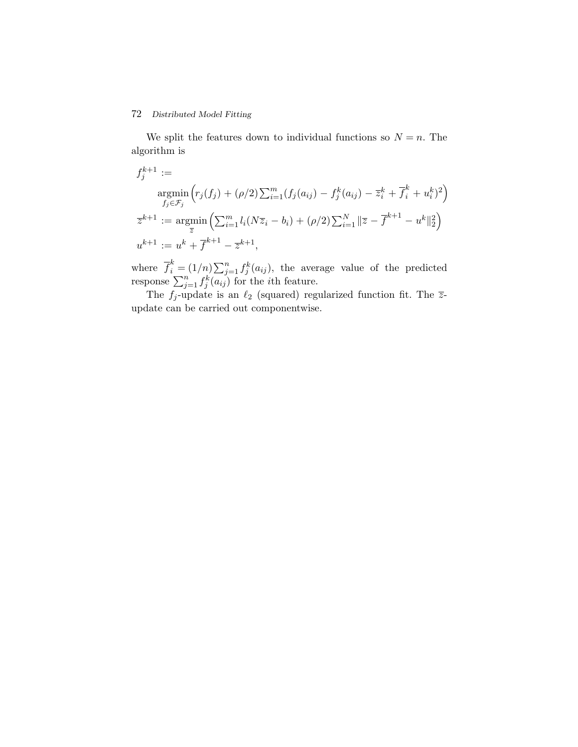## 72 Distributed Model Fitting

We split the features down to individual functions so  $N = n$ . The algorithm is

$$
f_j^{k+1} :=
$$
  
\n
$$
\operatorname*{argmin}_{f_j \in \mathcal{F}_j} \left( r_j(f_j) + (\rho/2) \sum_{i=1}^m (f_j(a_{ij}) - f_j^k(a_{ij}) - \overline{z}_i^k + \overline{f}_i^k + u_i^k)^2 \right)
$$
  
\n
$$
\overline{z}^{k+1} := \operatorname*{argmin}_{\overline{z}} \left( \sum_{i=1}^m l_i(N\overline{z}_i - b_i) + (\rho/2) \sum_{i=1}^N ||\overline{z} - \overline{f}^{k+1} - u^k||_2^2 \right)
$$
  
\n
$$
u^{k+1} := u^k + \overline{f}^{k+1} - \overline{z}^{k+1},
$$

where  $\overline{f}_i^k = (1/n) \sum_{j=1}^n f_j^k(a_{ij}),$  the average value of the predicted response  $\sum_{j=1}^n f_j^k(a_{ij})$  for the *i*th feature.

The  $f_j$ -update is an  $\ell_2$  (squared) regularized function fit. The  $\overline{z}$ update can be carried out componentwise.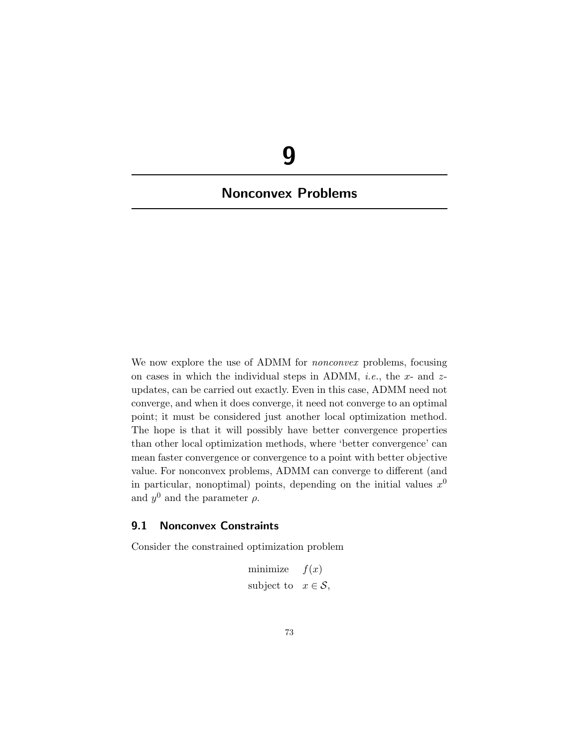# 9

## Nonconvex Problems

We now explore the use of ADMM for *nonconvex* problems, focusing on cases in which the individual steps in ADMM, *i.e.*, the  $x$ - and  $z$ updates, can be carried out exactly. Even in this case, ADMM need not converge, and when it does converge, it need not converge to an optimal point; it must be considered just another local optimization method. The hope is that it will possibly have better convergence properties than other local optimization methods, where 'better convergence' can mean faster convergence or convergence to a point with better objective value. For nonconvex problems, ADMM can converge to different (and in particular, nonoptimal) points, depending on the initial values  $x^0$ and  $y^0$  and the parameter  $\rho$ .

## 9.1 Nonconvex Constraints

Consider the constrained optimization problem

$$
\begin{array}{ll}\text{minimize} & f(x) \\ \text{subject to} & x \in \mathcal{S}, \end{array}
$$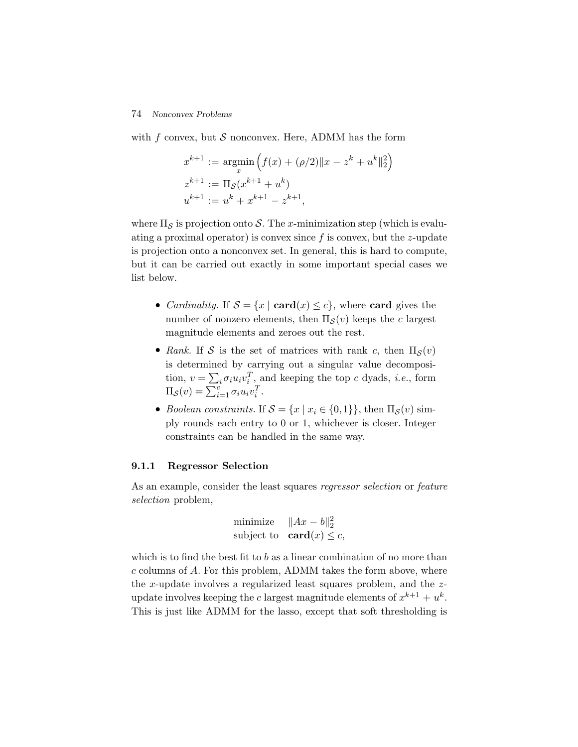### 74 Nonconvex Problems

with f convex, but  $S$  nonconvex. Here, ADMM has the form

$$
x^{k+1} := \underset{x}{\operatorname{argmin}} \left( f(x) + (\rho/2) \|x - z^k + u^k\|_2^2 \right)
$$
  

$$
z^{k+1} := \Pi_{\mathcal{S}}(x^{k+1} + u^k)
$$
  

$$
u^{k+1} := u^k + x^{k+1} - z^{k+1},
$$

where  $\Pi_{\mathcal{S}}$  is projection onto S. The x-minimization step (which is evaluating a proximal operator) is convex since  $f$  is convex, but the z-update is projection onto a nonconvex set. In general, this is hard to compute, but it can be carried out exactly in some important special cases we list below.

- *Cardinality.* If  $S = \{x \mid \text{card}(x) \leq c\}$ , where **card** gives the number of nonzero elements, then  $\Pi_{\mathcal{S}}(v)$  keeps the c largest magnitude elements and zeroes out the rest.
- Rank. If S is the set of matrices with rank c, then  $\Pi_{\mathcal{S}}(v)$ is determined by carrying out a singular value decomposition,  $v = \sum_i \sigma_i u_i v_i^T$ , and keeping the top c dyads, *i.e.*, form  $\Pi_{\mathcal{S}}(v) = \sum_{i=1}^{c} \sigma_i u_i v_i^T.$
- Boolean constraints. If  $S = \{x \mid x_i \in \{0,1\}\}\,$ , then  $\Pi_{\mathcal{S}}(v)$  simply rounds each entry to 0 or 1, whichever is closer. Integer constraints can be handled in the same way.

### 9.1.1 Regressor Selection

As an example, consider the least squares regressor selection or feature selection problem,

$$
\begin{array}{ll}\text{minimize} & \|Ax - b\|_2^2\\ \text{subject to} & \mathbf{card}(x) \le c,\end{array}
$$

which is to find the best fit to b as a linear combination of no more than  $c$  columns of  $A$ . For this problem, ADMM takes the form above, where the x-update involves a regularized least squares problem, and the zupdate involves keeping the c largest magnitude elements of  $x^{k+1} + u^k$ . This is just like ADMM for the lasso, except that soft thresholding is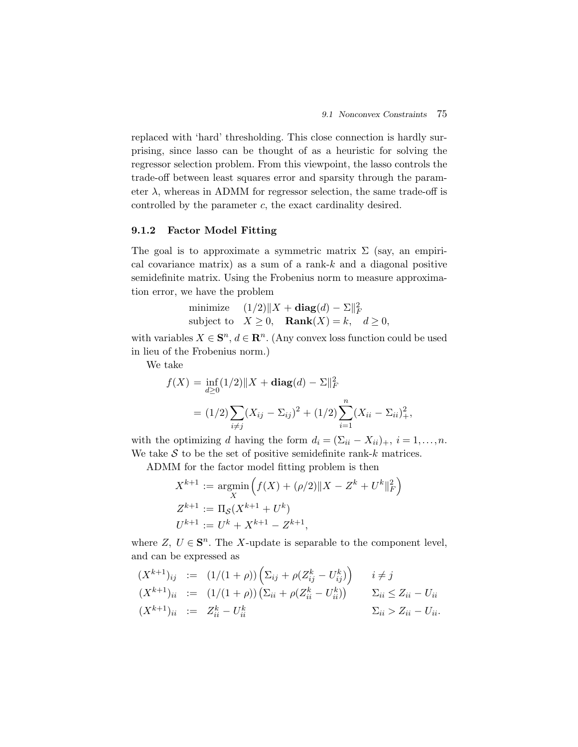replaced with 'hard' thresholding. This close connection is hardly surprising, since lasso can be thought of as a heuristic for solving the regressor selection problem. From this viewpoint, the lasso controls the trade-off between least squares error and sparsity through the parameter  $\lambda$ , whereas in ADMM for regressor selection, the same trade-off is controlled by the parameter c, the exact cardinality desired.

### 9.1.2 Factor Model Fitting

The goal is to approximate a symmetric matrix  $\Sigma$  (say, an empirical covariance matrix) as a sum of a rank- $k$  and a diagonal positive semidefinite matrix. Using the Frobenius norm to measure approximation error, we have the problem

minimize 
$$
(1/2)||X + \text{diag}(d) - \Sigma||_F^2
$$
  
subject to  $X \ge 0$ ,  $\text{Rank}(X) = k$ ,  $d \ge 0$ ,

with variables  $X \in \mathbf{S}^n$ ,  $d \in \mathbf{R}^n$ . (Any convex loss function could be used in lieu of the Frobenius norm.)

We take

$$
f(X) = \inf_{d \ge 0} (1/2) \|X + \text{diag}(d) - \Sigma\|_F^2
$$
  
=  $(1/2) \sum_{i \ne j} (X_{ij} - \Sigma_{ij})^2 + (1/2) \sum_{i=1}^n (X_{ii} - \Sigma_{ii})_+^2,$ 

with the optimizing d having the form  $d_i = (\sum_{ii} - X_{ii})_+, i = 1, \ldots, n$ . We take  $S$  to be the set of positive semidefinite rank-k matrices.

ADMM for the factor model fitting problem is then

$$
X^{k+1} := \underset{X}{\text{argmin}} \left( f(X) + (\rho/2) \|X - Z^k + U^k\|_F^2 \right)
$$
  

$$
Z^{k+1} := \Pi_{\mathcal{S}} (X^{k+1} + U^k)
$$
  

$$
U^{k+1} := U^k + X^{k+1} - Z^{k+1},
$$

where Z,  $U \in \mathbf{S}^n$ . The X-update is separable to the component level, and can be expressed as

$$
(X^{k+1})_{ij} := (1/(1+\rho)) \left( \Sigma_{ij} + \rho (Z_{ij}^k - U_{ij}^k) \right) \t i \neq j
$$
  
\n
$$
(X^{k+1})_{ii} := (1/(1+\rho)) \left( \Sigma_{ii} + \rho (Z_{ii}^k - U_{ii}^k) \right) \t \Sigma_{ii} \leq Z_{ii} - U_{ii}
$$
  
\n
$$
(X^{k+1})_{ii} := Z_{ii}^k - U_{ii}^k \t \Sigma_{ii} \t \Sigma_{ii} - Z_{ii} - U_{ii}.
$$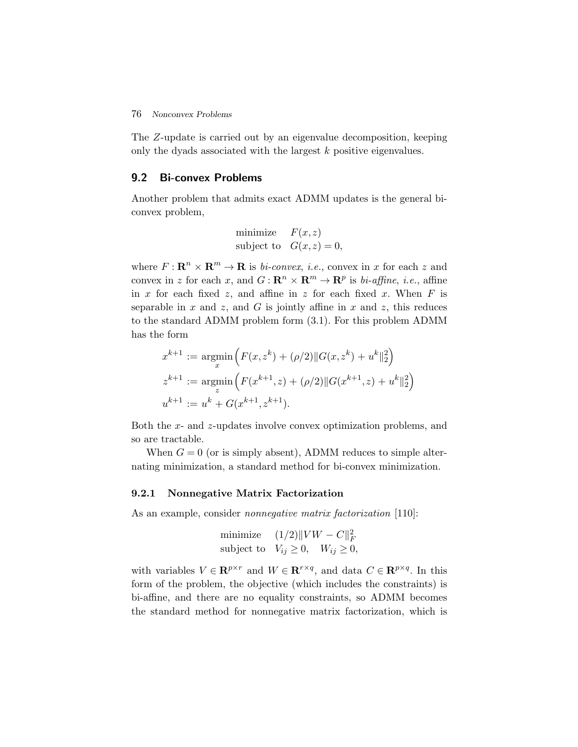### 76 Nonconvex Problems

The Z-update is carried out by an eigenvalue decomposition, keeping only the dyads associated with the largest  $k$  positive eigenvalues.

## 9.2 Bi-convex Problems

Another problem that admits exact ADMM updates is the general biconvex problem,

minimize 
$$
F(x, z)
$$
  
subject to  $G(x, z) = 0$ ,

where  $F: \mathbb{R}^n \times \mathbb{R}^m \to \mathbb{R}$  is *bi-convex*, *i.e.*, convex in x for each z and convex in z for each x, and  $G: \mathbf{R}^n \times \mathbf{R}^m \to \mathbf{R}^p$  is bi-affine, i.e., affine in  $x$  for each fixed  $z$ , and affine in  $z$  for each fixed  $x$ . When  $F$  is separable in  $x$  and  $z$ , and  $G$  is jointly affine in  $x$  and  $z$ , this reduces to the standard ADMM problem form (3.1). For this problem ADMM has the form

$$
x^{k+1} := \underset{x}{\operatorname{argmin}} \left( F(x, z^k) + (\rho/2) \| G(x, z^k) + u^k \|_2^2 \right)
$$
  
\n
$$
z^{k+1} := \underset{z}{\operatorname{argmin}} \left( F(x^{k+1}, z) + (\rho/2) \| G(x^{k+1}, z) + u^k \|_2^2 \right)
$$
  
\n
$$
u^{k+1} := u^k + G(x^{k+1}, z^{k+1}).
$$

Both the x- and z-updates involve convex optimization problems, and so are tractable.

When  $G = 0$  (or is simply absent), ADMM reduces to simple alternating minimization, a standard method for bi-convex minimization.

## 9.2.1 Nonnegative Matrix Factorization

As an example, consider *nonnegative matrix factorization* [110]:

$$
\begin{array}{ll}\text{minimize} & (1/2) \|\nabla W - C\|_F^2\\ \text{subject to} & V_{ij} \ge 0, \quad W_{ij} \ge 0, \end{array}
$$

with variables  $V \in \mathbb{R}^{p \times r}$  and  $W \in \mathbb{R}^{r \times q}$ , and data  $C \in \mathbb{R}^{p \times q}$ . In this form of the problem, the objective (which includes the constraints) is bi-affine, and there are no equality constraints, so ADMM becomes the standard method for nonnegative matrix factorization, which is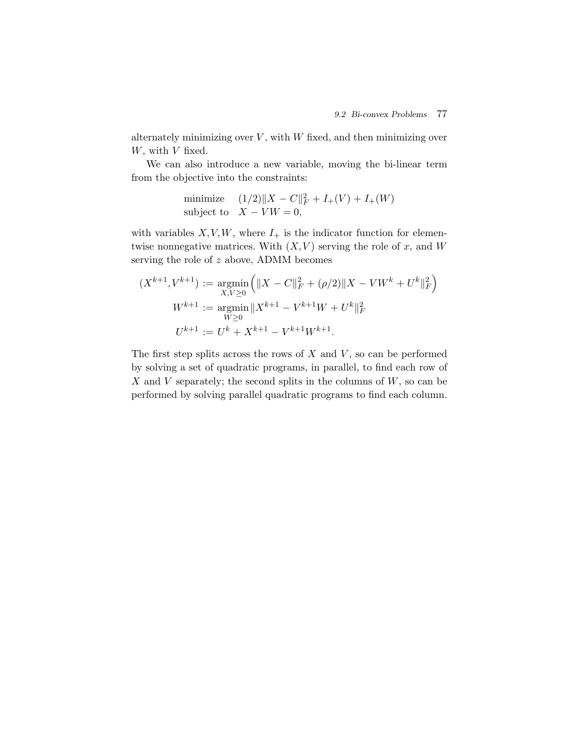alternately minimizing over  $V$ , with  $W$  fixed, and then minimizing over W, with V fixed.

We can also introduce a new variable, moving the bi-linear term from the objective into the constraints:

> minimize  $(1/2)||X - C||_F^2 + I_+(V) + I_+(W)$ subject to  $X - VW = 0$ ,

with variables  $X, V, W$ , where  $I_+$  is the indicator function for elementwise nonnegative matrices. With  $(X, V)$  serving the role of x, and W serving the role of z above, ADMM becomes

$$
(X^{k+1}, V^{k+1}) := \underset{X, V \ge 0}{\operatorname{argmin}} \left( \|X - C\|_F^2 + (\rho/2) \|X - VW^k + U^k\|_F^2 \right)
$$
  

$$
W^{k+1} := \underset{W \ge 0}{\operatorname{argmin}} \|X^{k+1} - V^{k+1}W + U^k\|_F^2
$$
  

$$
U^{k+1} := U^k + X^{k+1} - V^{k+1}W^{k+1}.
$$

The first step splits across the rows of  $X$  and  $V$ , so can be performed by solving a set of quadratic programs, in parallel, to find each row of X and V separately; the second splits in the columns of  $W$ , so can be performed by solving parallel quadratic programs to find each column.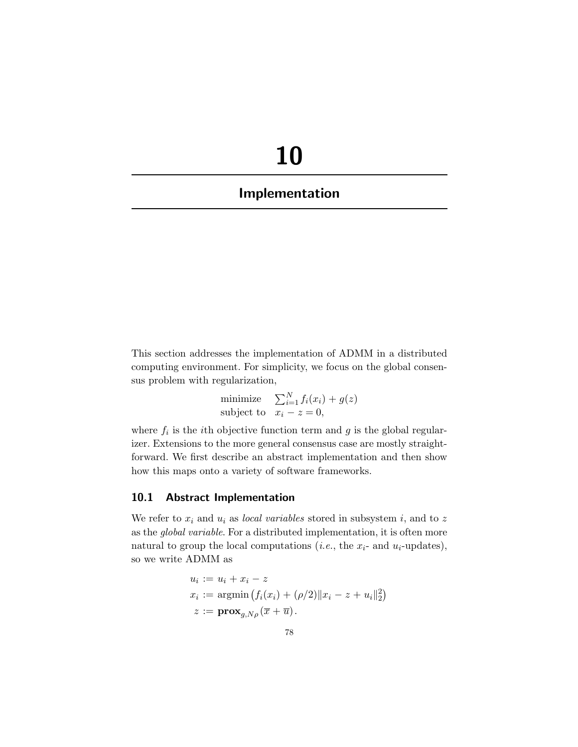# 10

## Implementation

This section addresses the implementation of ADMM in a distributed computing environment. For simplicity, we focus on the global consensus problem with regularization,

> minimize  $\sum_{i=1}^{N} f_i(x_i) + g(z)$ subject to  $x_i - z = 0$ ,

where  $f_i$  is the *i*th objective function term and g is the global regularizer. Extensions to the more general consensus case are mostly straightforward. We first describe an abstract implementation and then show how this maps onto a variety of software frameworks.

## 10.1 Abstract Implementation

We refer to  $x_i$  and  $u_i$  as *local variables* stored in subsystem i, and to z as the global variable. For a distributed implementation, it is often more natural to group the local computations (*i.e.*, the  $x_i$ - and  $u_i$ -updates), so we write ADMM as

$$
u_i := u_i + x_i - z
$$
  
\n
$$
x_i := \operatorname{argmin} (f_i(x_i) + (\rho/2) ||x_i - z + u_i||_2^2)
$$
  
\n
$$
z := \mathbf{prox}_{g, N\rho}(\overline{x} + \overline{u}).
$$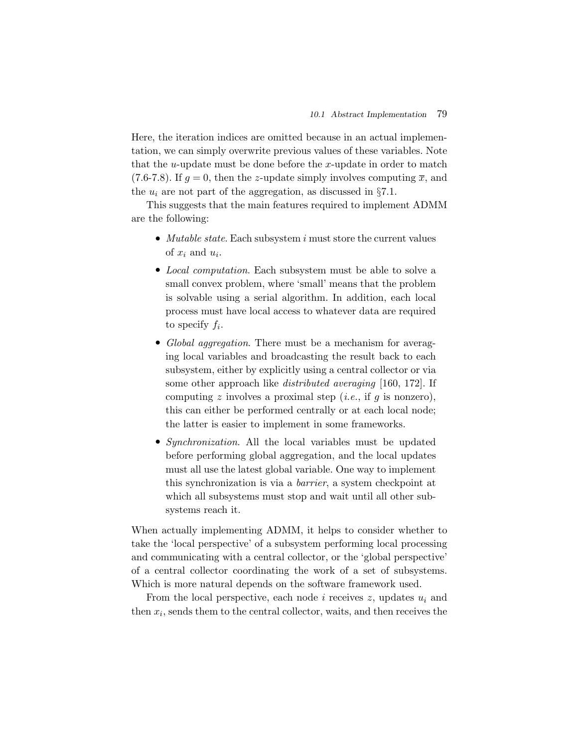Here, the iteration indices are omitted because in an actual implementation, we can simply overwrite previous values of these variables. Note that the *u*-update must be done before the *x*-update in order to match (7.6-7.8). If  $q = 0$ , then the z-update simply involves computing  $\bar{x}$ , and the  $u_i$  are not part of the aggregation, as discussed in §7.1.

This suggests that the main features required to implement ADMM are the following:

- Mutable state. Each subsystem  $i$  must store the current values of  $x_i$  and  $u_i$ .
- Local computation. Each subsystem must be able to solve a small convex problem, where 'small' means that the problem is solvable using a serial algorithm. In addition, each local process must have local access to whatever data are required to specify  $f_i$ .
- Global aggregation. There must be a mechanism for averaging local variables and broadcasting the result back to each subsystem, either by explicitly using a central collector or via some other approach like *distributed averaging* [160, 172]. If computing z involves a proximal step (*i.e.*, if  $q$  is nonzero), this can either be performed centrally or at each local node; the latter is easier to implement in some frameworks.
- *Synchronization*. All the local variables must be updated before performing global aggregation, and the local updates must all use the latest global variable. One way to implement this synchronization is via a barrier, a system checkpoint at which all subsystems must stop and wait until all other subsystems reach it.

When actually implementing ADMM, it helps to consider whether to take the 'local perspective' of a subsystem performing local processing and communicating with a central collector, or the 'global perspective' of a central collector coordinating the work of a set of subsystems. Which is more natural depends on the software framework used.

From the local perspective, each node  $i$  receives  $z$ , updates  $u_i$  and then  $x_i$ , sends them to the central collector, waits, and then receives the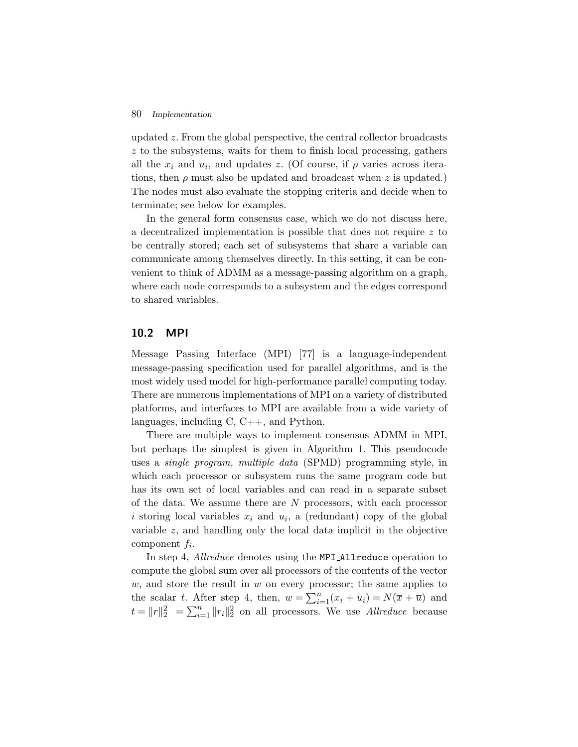### 80 Implementation

updated z. From the global perspective, the central collector broadcasts z to the subsystems, waits for them to finish local processing, gathers all the  $x_i$  and  $u_i$ , and updates z. (Of course, if  $\rho$  varies across iterations, then  $\rho$  must also be updated and broadcast when z is updated.) The nodes must also evaluate the stopping criteria and decide when to terminate; see below for examples.

In the general form consensus case, which we do not discuss here, a decentralized implementation is possible that does not require z to be centrally stored; each set of subsystems that share a variable can communicate among themselves directly. In this setting, it can be convenient to think of ADMM as a message-passing algorithm on a graph, where each node corresponds to a subsystem and the edges correspond to shared variables.

## 10.2 MPI

Message Passing Interface (MPI) [77] is a language-independent message-passing specification used for parallel algorithms, and is the most widely used model for high-performance parallel computing today. There are numerous implementations of MPI on a variety of distributed platforms, and interfaces to MPI are available from a wide variety of languages, including C, C++, and Python.

There are multiple ways to implement consensus ADMM in MPI, but perhaps the simplest is given in Algorithm 1. This pseudocode uses a single program, multiple data (SPMD) programming style, in which each processor or subsystem runs the same program code but has its own set of local variables and can read in a separate subset of the data. We assume there are  $N$  processors, with each processor i storing local variables  $x_i$  and  $u_i$ , a (redundant) copy of the global variable z, and handling only the local data implicit in the objective component  $f_i$ .

In step 4, *Allreduce* denotes using the MPI **Allreduce** operation to compute the global sum over all processors of the contents of the vector w, and store the result in  $w$  on every processor; the same applies to the scalar t. After step 4, then,  $w = \sum_{i=1}^{n} (x_i + u_i) = N(\overline{x} + \overline{u})$  and  $t = ||r||_2^2 = \sum_{i=1}^n ||r_i||_2^2$  on all processors. We use *Allreduce* because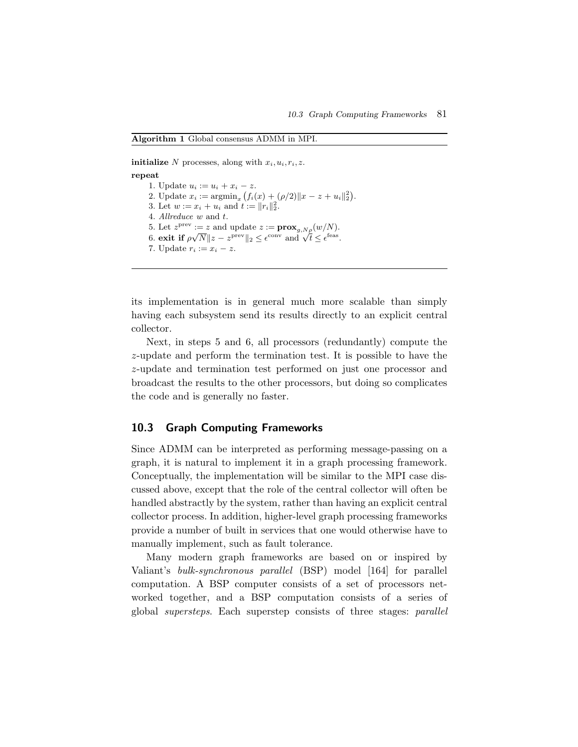#### Algorithm 1 Global consensus ADMM in MPI.

initialize N processes, along with  $x_i, u_i, r_i, z$ .

repeat

1. Update  $u_i := u_i + x_i - z$ . 2. Update  $x_i := \operatorname{argmin}_x (f_i(x) + (\rho/2) ||x - z + u_i||_2^2).$ 3. Let  $w := x_i + u_i$  and  $t := ||r_i||_2^2$ . 4. Allreduce w and t. 5. Let  $z^{\text{prev}} := z$  and update  $z := \mathbf{prox}_{g,N\rho}(w/N)$ . 6. exit if  $\rho \sqrt{N} || z - z^{\text{prev}} ||_2 \leq \epsilon^{\text{conv}}$  and  $\sqrt{t} \leq \epsilon^{\text{feas}}$ . 7. Update  $r_i := x_i - z$ .

its implementation is in general much more scalable than simply having each subsystem send its results directly to an explicit central collector.

Next, in steps 5 and 6, all processors (redundantly) compute the z-update and perform the termination test. It is possible to have the z-update and termination test performed on just one processor and broadcast the results to the other processors, but doing so complicates the code and is generally no faster.

## 10.3 Graph Computing Frameworks

Since ADMM can be interpreted as performing message-passing on a graph, it is natural to implement it in a graph processing framework. Conceptually, the implementation will be similar to the MPI case discussed above, except that the role of the central collector will often be handled abstractly by the system, rather than having an explicit central collector process. In addition, higher-level graph processing frameworks provide a number of built in services that one would otherwise have to manually implement, such as fault tolerance.

Many modern graph frameworks are based on or inspired by Valiant's bulk-synchronous parallel (BSP) model [164] for parallel computation. A BSP computer consists of a set of processors networked together, and a BSP computation consists of a series of global supersteps. Each superstep consists of three stages: parallel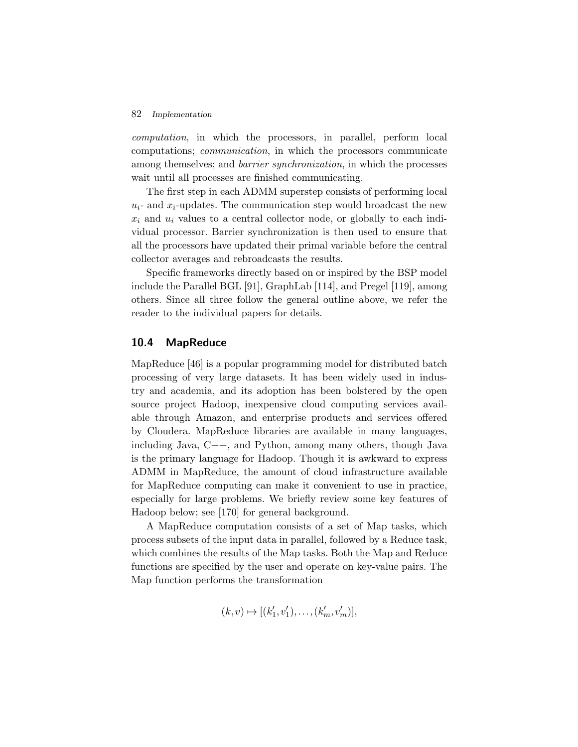## 82 Implementation

computation, in which the processors, in parallel, perform local computations; communication, in which the processors communicate among themselves; and *barrier synchronization*, in which the processes wait until all processes are finished communicating.

The first step in each ADMM superstep consists of performing local  $u_i$ - and  $x_i$ -updates. The communication step would broadcast the new  $x_i$  and  $u_i$  values to a central collector node, or globally to each individual processor. Barrier synchronization is then used to ensure that all the processors have updated their primal variable before the central collector averages and rebroadcasts the results.

Specific frameworks directly based on or inspired by the BSP model include the Parallel BGL [91], GraphLab [114], and Pregel [119], among others. Since all three follow the general outline above, we refer the reader to the individual papers for details.

## 10.4 MapReduce

MapReduce [46] is a popular programming model for distributed batch processing of very large datasets. It has been widely used in industry and academia, and its adoption has been bolstered by the open source project Hadoop, inexpensive cloud computing services available through Amazon, and enterprise products and services offered by Cloudera. MapReduce libraries are available in many languages, including Java, C++, and Python, among many others, though Java is the primary language for Hadoop. Though it is awkward to express ADMM in MapReduce, the amount of cloud infrastructure available for MapReduce computing can make it convenient to use in practice, especially for large problems. We briefly review some key features of Hadoop below; see [170] for general background.

A MapReduce computation consists of a set of Map tasks, which process subsets of the input data in parallel, followed by a Reduce task, which combines the results of the Map tasks. Both the Map and Reduce functions are specified by the user and operate on key-value pairs. The Map function performs the transformation

$$
(k, v) \mapsto [(k'_1, v'_1), \dots, (k'_m, v'_m)],
$$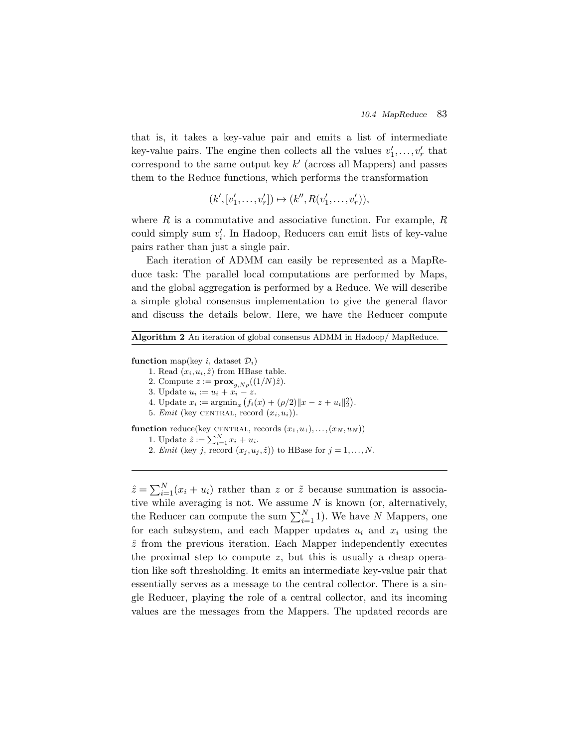that is, it takes a key-value pair and emits a list of intermediate key-value pairs. The engine then collects all the values  $v'_1, \ldots, v'_r$  that correspond to the same output key  $k'$  (across all Mappers) and passes them to the Reduce functions, which performs the transformation

$$
(k', [v'_1, \ldots, v'_r]) \mapsto (k'', R(v'_1, \ldots, v'_r)),
$$

where  $R$  is a commutative and associative function. For example,  $R$ could simply sum  $v'_i$ . In Hadoop, Reducers can emit lists of key-value pairs rather than just a single pair.

Each iteration of ADMM can easily be represented as a MapReduce task: The parallel local computations are performed by Maps, and the global aggregation is performed by a Reduce. We will describe a simple global consensus implementation to give the general flavor and discuss the details below. Here, we have the Reducer compute

| <b>Algorithm 2</b> An iteration of global consensus ADMM in Hadoop/MapReduce.        |
|--------------------------------------------------------------------------------------|
| <b>function</b> map(key <i>i</i> , dataset $\mathcal{D}_i$ )                         |
|                                                                                      |
| 1. Read $(x_i, u_i, \hat{z})$ from HBase table.                                      |
| 2. Compute $z := \mathbf{prox}_{q, N\rho}((1/N)\hat{z}).$                            |
| 3. Update $u_i := u_i + x_i - z$ .                                                   |
| 4. Update $x_i := \operatorname{argmin}_x (f_i(x) + (\rho/2)   x - z + u_i  _2^2)$ . |
| 5. <i>Emit</i> (key CENTRAL, record $(x_i, u_i)$ ).                                  |
| <b>function</b> reduce(key CENTRAL, records $(x_1, u_1), \ldots, (x_N, u_N)$ )       |
| 1. Update $\hat{z} := \sum_{i=1}^{N} x_i + u_i$ .                                    |
| 2. <i>Emit</i> (key j, record $(x_i, u_i, \hat{z})$ ) to HBase for $j = 1, , N$ .    |
|                                                                                      |
|                                                                                      |
|                                                                                      |

 $\hat{z} = \sum_{i=1}^{N} (x_i + u_i)$  rather than z or  $\tilde{z}$  because summation is associative while averaging is not. We assume  $N$  is known (or, alternatively, the Reducer can compute the sum  $\sum_{i=1}^{N} 1$ ). We have N Mappers, one for each subsystem, and each Mapper updates  $u_i$  and  $x_i$  using the  $\hat{z}$  from the previous iteration. Each Mapper independently executes the proximal step to compute  $z$ , but this is usually a cheap operation like soft thresholding. It emits an intermediate key-value pair that essentially serves as a message to the central collector. There is a single Reducer, playing the role of a central collector, and its incoming values are the messages from the Mappers. The updated records are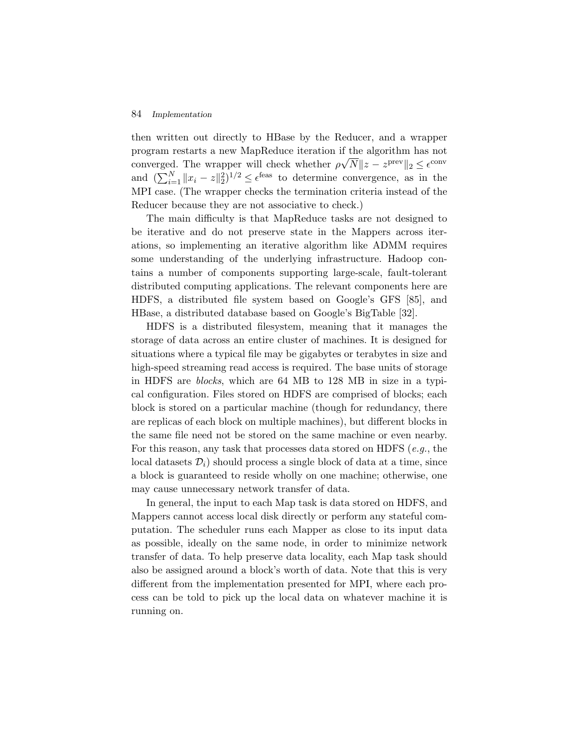#### 84 Implementation

then written out directly to HBase by the Reducer, and a wrapper program restarts a new MapReduce iteration if the algorithm has not converged. The wrapper will check whether  $\rho\sqrt{N}\|z-z^{\text{prev}}\|_2 \leq \epsilon^{\text{conv}}$ and  $(\sum_{i=1}^{N} ||x_i - z||_2^2)^{1/2} \leq \epsilon^{\text{feas}}$  to determine convergence, as in the MPI case. (The wrapper checks the termination criteria instead of the Reducer because they are not associative to check.)

The main difficulty is that MapReduce tasks are not designed to be iterative and do not preserve state in the Mappers across iterations, so implementing an iterative algorithm like ADMM requires some understanding of the underlying infrastructure. Hadoop contains a number of components supporting large-scale, fault-tolerant distributed computing applications. The relevant components here are HDFS, a distributed file system based on Google's GFS [85], and HBase, a distributed database based on Google's BigTable [32].

HDFS is a distributed filesystem, meaning that it manages the storage of data across an entire cluster of machines. It is designed for situations where a typical file may be gigabytes or terabytes in size and high-speed streaming read access is required. The base units of storage in HDFS are blocks, which are 64 MB to 128 MB in size in a typical configuration. Files stored on HDFS are comprised of blocks; each block is stored on a particular machine (though for redundancy, there are replicas of each block on multiple machines), but different blocks in the same file need not be stored on the same machine or even nearby. For this reason, any task that processes data stored on HDFS  $(e.g., the)$ local datasets  $\mathcal{D}_i$ ) should process a single block of data at a time, since a block is guaranteed to reside wholly on one machine; otherwise, one may cause unnecessary network transfer of data.

In general, the input to each Map task is data stored on HDFS, and Mappers cannot access local disk directly or perform any stateful computation. The scheduler runs each Mapper as close to its input data as possible, ideally on the same node, in order to minimize network transfer of data. To help preserve data locality, each Map task should also be assigned around a block's worth of data. Note that this is very different from the implementation presented for MPI, where each process can be told to pick up the local data on whatever machine it is running on.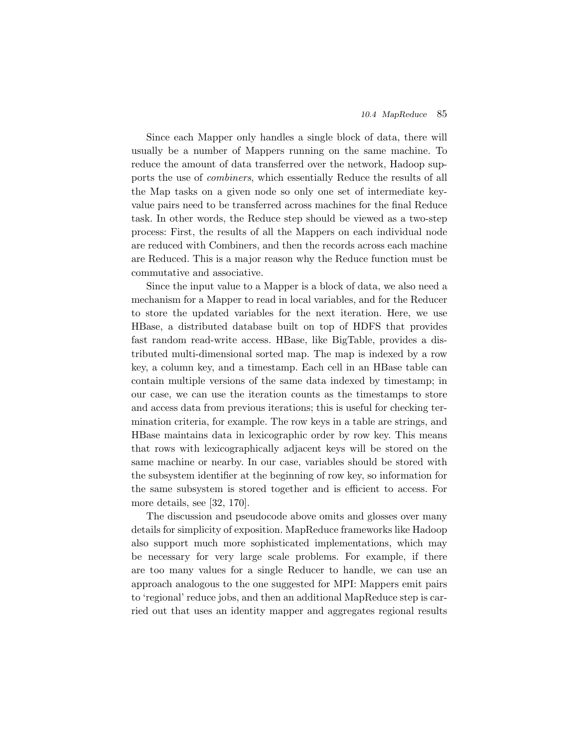Since each Mapper only handles a single block of data, there will usually be a number of Mappers running on the same machine. To reduce the amount of data transferred over the network, Hadoop supports the use of combiners, which essentially Reduce the results of all the Map tasks on a given node so only one set of intermediate keyvalue pairs need to be transferred across machines for the final Reduce task. In other words, the Reduce step should be viewed as a two-step process: First, the results of all the Mappers on each individual node are reduced with Combiners, and then the records across each machine are Reduced. This is a major reason why the Reduce function must be commutative and associative.

Since the input value to a Mapper is a block of data, we also need a mechanism for a Mapper to read in local variables, and for the Reducer to store the updated variables for the next iteration. Here, we use HBase, a distributed database built on top of HDFS that provides fast random read-write access. HBase, like BigTable, provides a distributed multi-dimensional sorted map. The map is indexed by a row key, a column key, and a timestamp. Each cell in an HBase table can contain multiple versions of the same data indexed by timestamp; in our case, we can use the iteration counts as the timestamps to store and access data from previous iterations; this is useful for checking termination criteria, for example. The row keys in a table are strings, and HBase maintains data in lexicographic order by row key. This means that rows with lexicographically adjacent keys will be stored on the same machine or nearby. In our case, variables should be stored with the subsystem identifier at the beginning of row key, so information for the same subsystem is stored together and is efficient to access. For more details, see [32, 170].

The discussion and pseudocode above omits and glosses over many details for simplicity of exposition. MapReduce frameworks like Hadoop also support much more sophisticated implementations, which may be necessary for very large scale problems. For example, if there are too many values for a single Reducer to handle, we can use an approach analogous to the one suggested for MPI: Mappers emit pairs to 'regional' reduce jobs, and then an additional MapReduce step is carried out that uses an identity mapper and aggregates regional results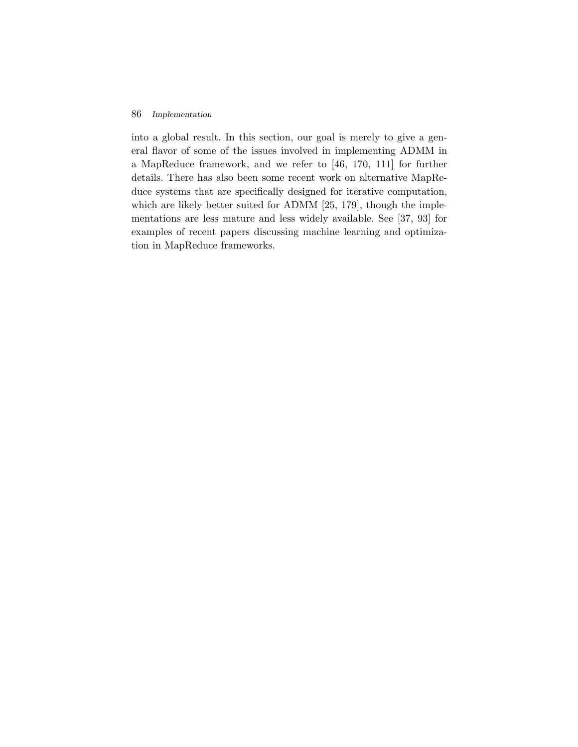## 86 Implementation

into a global result. In this section, our goal is merely to give a general flavor of some of the issues involved in implementing ADMM in a MapReduce framework, and we refer to [46, 170, 111] for further details. There has also been some recent work on alternative MapReduce systems that are specifically designed for iterative computation, which are likely better suited for ADMM [25, 179], though the implementations are less mature and less widely available. See [37, 93] for examples of recent papers discussing machine learning and optimization in MapReduce frameworks.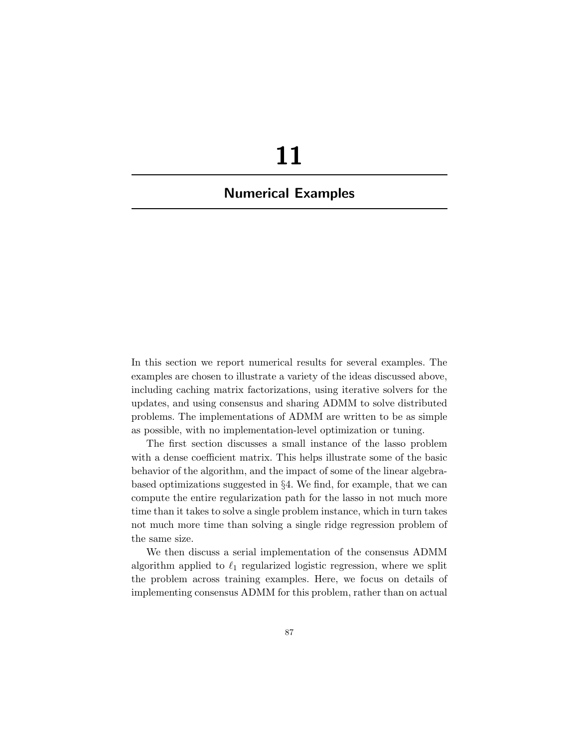# 11

# Numerical Examples

In this section we report numerical results for several examples. The examples are chosen to illustrate a variety of the ideas discussed above, including caching matrix factorizations, using iterative solvers for the updates, and using consensus and sharing ADMM to solve distributed problems. The implementations of ADMM are written to be as simple as possible, with no implementation-level optimization or tuning.

The first section discusses a small instance of the lasso problem with a dense coefficient matrix. This helps illustrate some of the basic behavior of the algorithm, and the impact of some of the linear algebrabased optimizations suggested in §4. We find, for example, that we can compute the entire regularization path for the lasso in not much more time than it takes to solve a single problem instance, which in turn takes not much more time than solving a single ridge regression problem of the same size.

We then discuss a serial implementation of the consensus ADMM algorithm applied to  $\ell_1$  regularized logistic regression, where we split the problem across training examples. Here, we focus on details of implementing consensus ADMM for this problem, rather than on actual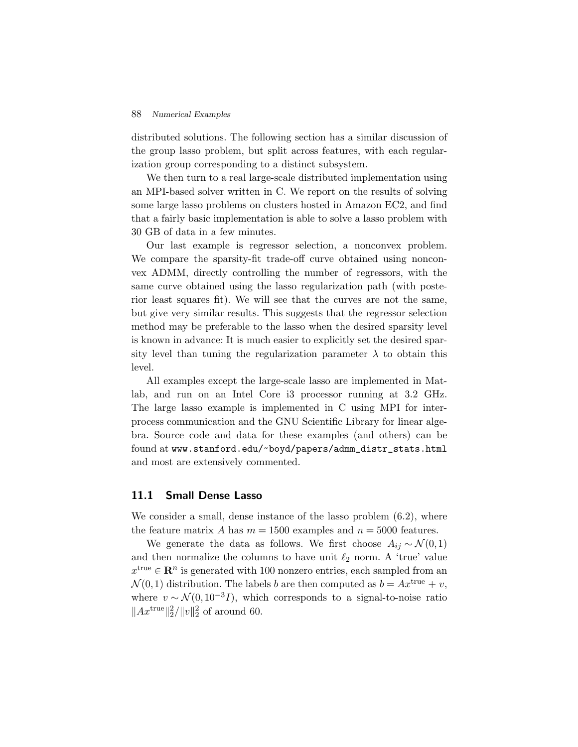distributed solutions. The following section has a similar discussion of the group lasso problem, but split across features, with each regularization group corresponding to a distinct subsystem.

We then turn to a real large-scale distributed implementation using an MPI-based solver written in C. We report on the results of solving some large lasso problems on clusters hosted in Amazon EC2, and find that a fairly basic implementation is able to solve a lasso problem with 30 GB of data in a few minutes.

Our last example is regressor selection, a nonconvex problem. We compare the sparsity-fit trade-off curve obtained using nonconvex ADMM, directly controlling the number of regressors, with the same curve obtained using the lasso regularization path (with posterior least squares fit). We will see that the curves are not the same, but give very similar results. This suggests that the regressor selection method may be preferable to the lasso when the desired sparsity level is known in advance: It is much easier to explicitly set the desired sparsity level than tuning the regularization parameter  $\lambda$  to obtain this level.

All examples except the large-scale lasso are implemented in Matlab, and run on an Intel Core i3 processor running at 3.2 GHz. The large lasso example is implemented in C using MPI for interprocess communication and the GNU Scientific Library for linear algebra. Source code and data for these examples (and others) can be found at www.stanford.edu/˜boyd/papers/admm\_distr\_stats.html and most are extensively commented.

### 11.1 Small Dense Lasso

We consider a small, dense instance of the lasso problem  $(6.2)$ , where the feature matrix A has  $m = 1500$  examples and  $n = 5000$  features.

We generate the data as follows. We first choose  $A_{ij} \sim \mathcal{N}(0,1)$ and then normalize the columns to have unit  $\ell_2$  norm. A 'true' value  $x^{\text{true}} \in \mathbb{R}^n$  is generated with 100 nonzero entries, each sampled from an  $\mathcal{N}(0,1)$  distribution. The labels b are then computed as  $b = Ax^{\text{true}} + v$ , where  $v \sim \mathcal{N}(0, 10^{-3}I)$ , which corresponds to a signal-to-noise ratio  $||Ax^{\text{true}}||_2^2/||v||_2^2$  of around 60.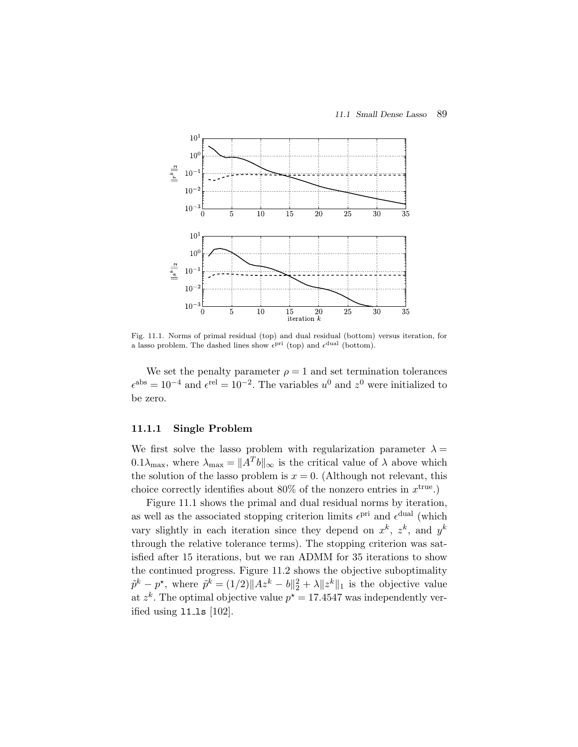

Fig. 11.1. Norms of primal residual (top) and dual residual (bottom) versus iteration, for a lasso problem. The dashed lines show  $\epsilon^{\rm pri}$  (top) and  $\epsilon^{\rm dual}$  (bottom).

We set the penalty parameter  $\rho = 1$  and set termination tolerances  $\epsilon^{abs} = 10^{-4}$  and  $\epsilon^{rel} = 10^{-2}$ . The variables  $u^0$  and  $z^0$  were initialized to be zero.

### 11.1.1 Single Problem

We first solve the lasso problem with regularization parameter  $\lambda =$  $0.1\lambda_{\text{max}}$ , where  $\lambda_{\text{max}} = ||A^T b||_{\infty}$  is the critical value of  $\lambda$  above which the solution of the lasso problem is  $x = 0$ . (Although not relevant, this choice correctly identifies about  $80\%$  of the nonzero entries in  $x^{\text{true}}$ .

Figure 11.1 shows the primal and dual residual norms by iteration, as well as the associated stopping criterion limits  $\epsilon^{pri}$  and  $\epsilon^{dual}$  (which vary slightly in each iteration since they depend on  $x^k$ ,  $z^k$ , and  $y^k$ through the relative tolerance terms). The stopping criterion was satisfied after 15 iterations, but we ran ADMM for 35 iterations to show the continued progress. Figure 11.2 shows the objective suboptimality  $\tilde{p}^k - p^*$ , where  $\tilde{p}^k = (1/2) ||Az^k - b||_2^2 + \lambda ||z^k||_1$  is the objective value at  $z^k$ . The optimal objective value  $p^* = 17.4547$  was independently verified using  $11 \text{ls}$  [102].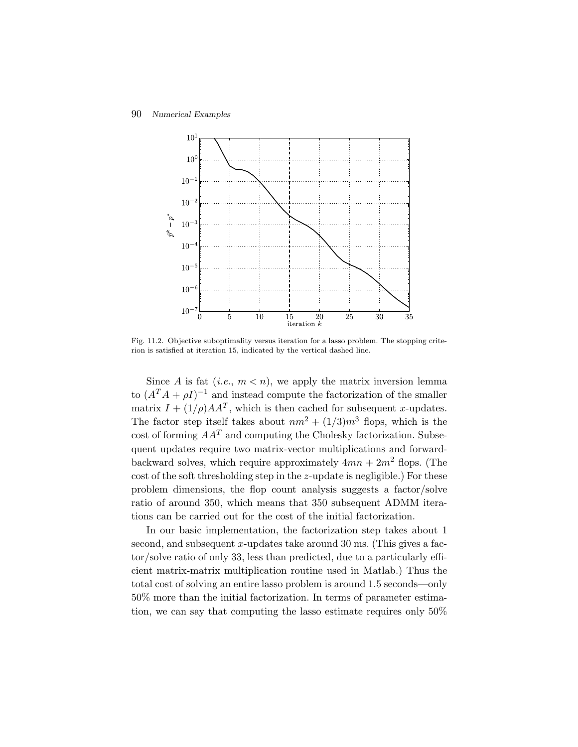

Fig. 11.2. Objective suboptimality versus iteration for a lasso problem. The stopping criterion is satisfied at iteration 15, indicated by the vertical dashed line.

Since A is fat (*i.e.*,  $m < n$ ), we apply the matrix inversion lemma to  $(A^T A + \rho I)^{-1}$  and instead compute the factorization of the smaller matrix  $I + (1/\rho)AA^T$ , which is then cached for subsequent x-updates. The factor step itself takes about  $nm^2 + (1/3)m^3$  flops, which is the cost of forming  $AA<sup>T</sup>$  and computing the Cholesky factorization. Subsequent updates require two matrix-vector multiplications and forwardbackward solves, which require approximately  $4mn + 2m^2$  flops. (The cost of the soft thresholding step in the z-update is negligible.) For these problem dimensions, the flop count analysis suggests a factor/solve ratio of around 350, which means that 350 subsequent ADMM iterations can be carried out for the cost of the initial factorization.

In our basic implementation, the factorization step takes about 1 second, and subsequent x-updates take around  $30 \text{ ms}$ . (This gives a factor/solve ratio of only 33, less than predicted, due to a particularly efficient matrix-matrix multiplication routine used in Matlab.) Thus the total cost of solving an entire lasso problem is around 1.5 seconds—only 50% more than the initial factorization. In terms of parameter estimation, we can say that computing the lasso estimate requires only 50%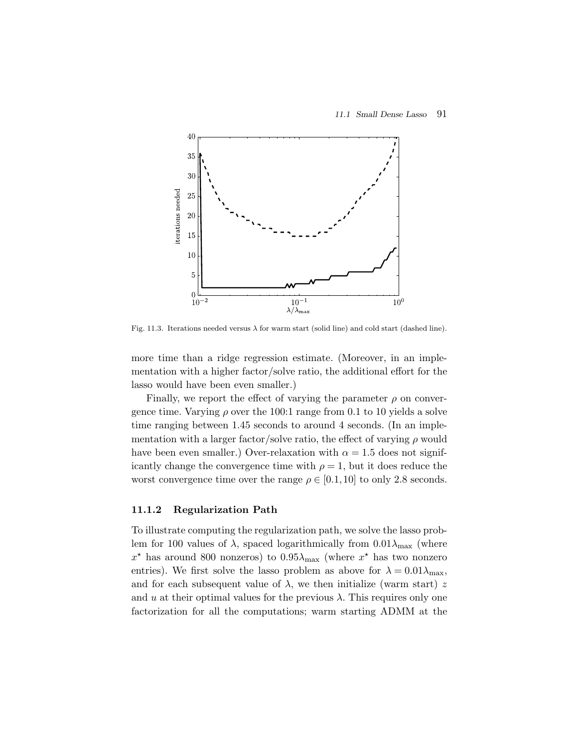

Fig. 11.3. Iterations needed versus  $\lambda$  for warm start (solid line) and cold start (dashed line).

more time than a ridge regression estimate. (Moreover, in an implementation with a higher factor/solve ratio, the additional effort for the lasso would have been even smaller.)

Finally, we report the effect of varying the parameter  $\rho$  on convergence time. Varying  $\rho$  over the 100:1 range from 0.1 to 10 yields a solve time ranging between 1.45 seconds to around 4 seconds. (In an implementation with a larger factor/solve ratio, the effect of varying  $\rho$  would have been even smaller.) Over-relaxation with  $\alpha = 1.5$  does not significantly change the convergence time with  $\rho = 1$ , but it does reduce the worst convergence time over the range  $\rho \in [0.1, 10]$  to only 2.8 seconds.

### 11.1.2 Regularization Path

To illustrate computing the regularization path, we solve the lasso problem for 100 values of  $\lambda$ , spaced logarithmically from  $0.01\lambda_{\text{max}}$  (where  $x^*$  has around 800 nonzeros) to  $0.95\lambda_{\text{max}}$  (where  $x^*$  has two nonzero entries). We first solve the lasso problem as above for  $\lambda = 0.01 \lambda_{\text{max}}$ , and for each subsequent value of  $\lambda$ , we then initialize (warm start) z and u at their optimal values for the previous  $\lambda$ . This requires only one factorization for all the computations; warm starting ADMM at the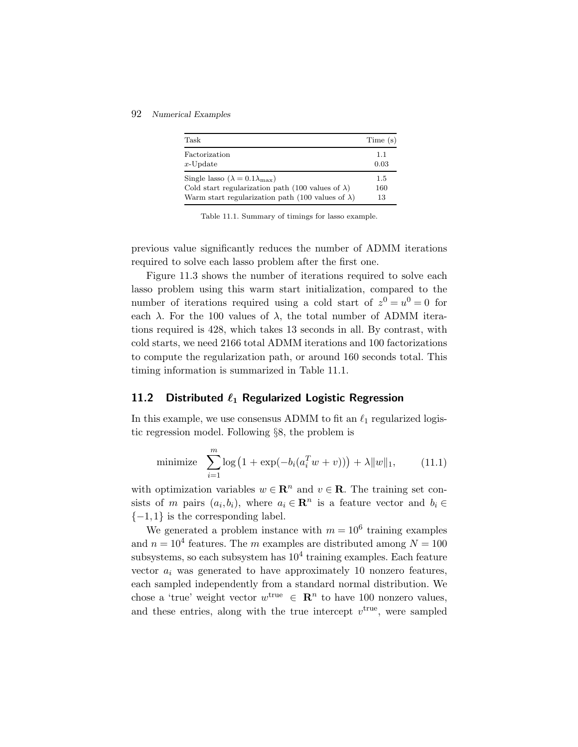| Task                                                      | Time(s) |
|-----------------------------------------------------------|---------|
| Factorization                                             | 1.1     |
| $x$ -Update                                               | 0.03    |
| Single lasso ( $\lambda = 0.1 \lambda_{\text{max}}$ )     | $1.5\,$ |
| Cold start regularization path (100 values of $\lambda$ ) | 160     |
| Warm start regularization path (100 values of $\lambda$ ) | 13      |

Table 11.1. Summary of timings for lasso example.

previous value significantly reduces the number of ADMM iterations required to solve each lasso problem after the first one.

Figure 11.3 shows the number of iterations required to solve each lasso problem using this warm start initialization, compared to the number of iterations required using a cold start of  $z^0 = u^0 = 0$  for each  $\lambda$ . For the 100 values of  $\lambda$ , the total number of ADMM iterations required is 428, which takes 13 seconds in all. By contrast, with cold starts, we need 2166 total ADMM iterations and 100 factorizations to compute the regularization path, or around 160 seconds total. This timing information is summarized in Table 11.1.

## 11.2 Distributed  $\ell_1$  Regularized Logistic Regression

In this example, we use consensus ADMM to fit an  $\ell_1$  regularized logistic regression model. Following §8, the problem is

minimize 
$$
\sum_{i=1}^{m} \log (1 + \exp(-b_i(a_i^T w + v))) + \lambda ||w||_1,
$$
 (11.1)

with optimization variables  $w \in \mathbb{R}^n$  and  $v \in \mathbb{R}$ . The training set consists of m pairs  $(a_i, b_i)$ , where  $a_i \in \mathbb{R}^n$  is a feature vector and  $b_i \in$  $\{-1,1\}$  is the corresponding label.

We generated a problem instance with  $m = 10^6$  training examples and  $n = 10<sup>4</sup>$  features. The m examples are distributed among  $N = 100$ subsystems, so each subsystem has  $10<sup>4</sup>$  training examples. Each feature vector  $a_i$  was generated to have approximately 10 nonzero features, each sampled independently from a standard normal distribution. We chose a 'true' weight vector  $w^{\text{true}} \in \mathbb{R}^n$  to have 100 nonzero values, and these entries, along with the true intercept  $v^{\text{true}}$ , were sampled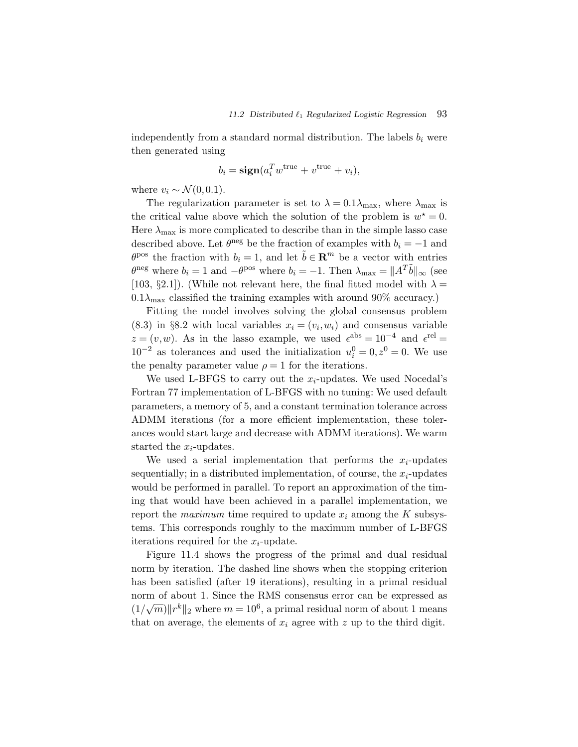independently from a standard normal distribution. The labels  $b_i$  were then generated using

$$
b_i = \mathbf{sign}(a_i^T w^{\text{true}} + v^{\text{true}} + v_i),
$$

where  $v_i \sim \mathcal{N}(0, 0.1)$ .

The regularization parameter is set to  $\lambda = 0.1 \lambda_{\text{max}}$ , where  $\lambda_{\text{max}}$  is the critical value above which the solution of the problem is  $w^* = 0$ . Here  $\lambda_{\text{max}}$  is more complicated to describe than in the simple lasso case described above. Let  $\theta^{\text{neg}}$  be the fraction of examples with  $b_i = -1$  and  $\theta^{pos}$  the fraction with  $b_i = 1$ , and let  $\tilde{b} \in \mathbb{R}^m$  be a vector with entries  $\theta^{\text{neg}}$  where  $b_i = 1$  and  $-\theta^{\text{pos}}$  where  $b_i = -1$ . Then  $\lambda_{\text{max}} = ||A^T \tilde{b}||_{\infty}$  (see [103, §2.1]). (While not relevant here, the final fitted model with  $\lambda =$  $0.1\lambda_{\text{max}}$  classified the training examples with around 90% accuracy.)

Fitting the model involves solving the global consensus problem  $(8.3)$  in §8.2 with local variables  $x_i = (v_i, w_i)$  and consensus variable  $z = (v, w)$ . As in the lasso example, we used  $\epsilon^{abs} = 10^{-4}$  and  $\epsilon^{rel} =$  $10^{-2}$  as tolerances and used the initialization  $u_i^0 = 0, z^0 = 0$ . We use the penalty parameter value  $\rho = 1$  for the iterations.

We used L-BFGS to carry out the  $x_i$ -updates. We used Nocedal's Fortran 77 implementation of L-BFGS with no tuning: We used default parameters, a memory of 5, and a constant termination tolerance across ADMM iterations (for a more efficient implementation, these tolerances would start large and decrease with ADMM iterations). We warm started the  $x_i$ -updates.

We used a serial implementation that performs the  $x_i$ -updates sequentially; in a distributed implementation, of course, the  $x_i$ -updates would be performed in parallel. To report an approximation of the timing that would have been achieved in a parallel implementation, we report the *maximum* time required to update  $x_i$  among the K subsystems. This corresponds roughly to the maximum number of L-BFGS iterations required for the  $x_i$ -update.

Figure 11.4 shows the progress of the primal and dual residual norm by iteration. The dashed line shows when the stopping criterion has been satisfied (after 19 iterations), resulting in a primal residual norm of about 1. Since the RMS consensus error can be expressed as  $(1/\sqrt{m})||r^k||_2$  where  $m = 10^6$ , a primal residual norm of about 1 means that on average, the elements of  $x_i$  agree with z up to the third digit.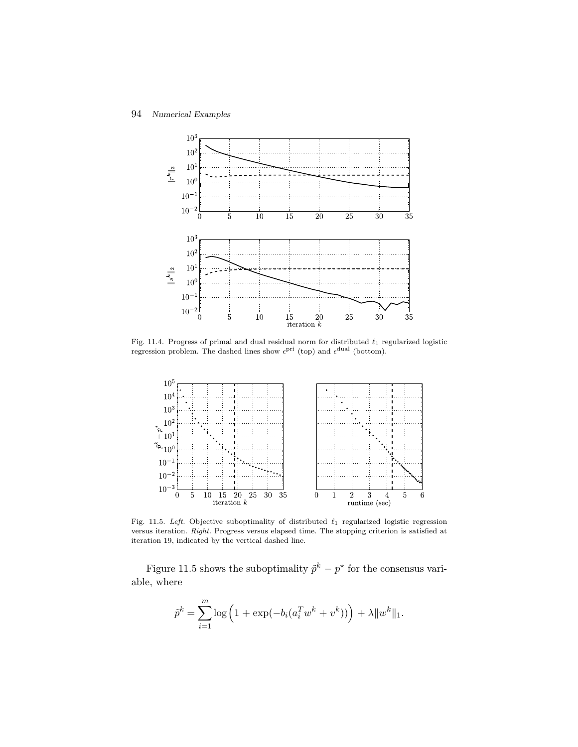

Fig. 11.4. Progress of primal and dual residual norm for distributed  $\ell_1$  regularized logistic regression problem. The dashed lines show  $\epsilon^{\text{pri}}$  (top) and  $\epsilon^{\text{dual}}$  (bottom).



Fig. 11.5. Left. Objective suboptimality of distributed  $\ell_1$  regularized logistic regression versus iteration. Right. Progress versus elapsed time. The stopping criterion is satisfied at iteration 19, indicated by the vertical dashed line.

Figure 11.5 shows the suboptimality  $\tilde{p}^k - p^*$  for the consensus variable, where

$$
\tilde{p}^k = \sum_{i=1}^m \log \left( 1 + \exp(-b_i(a_i^T w^k + v^k)) \right) + \lambda \|w^k\|_1.
$$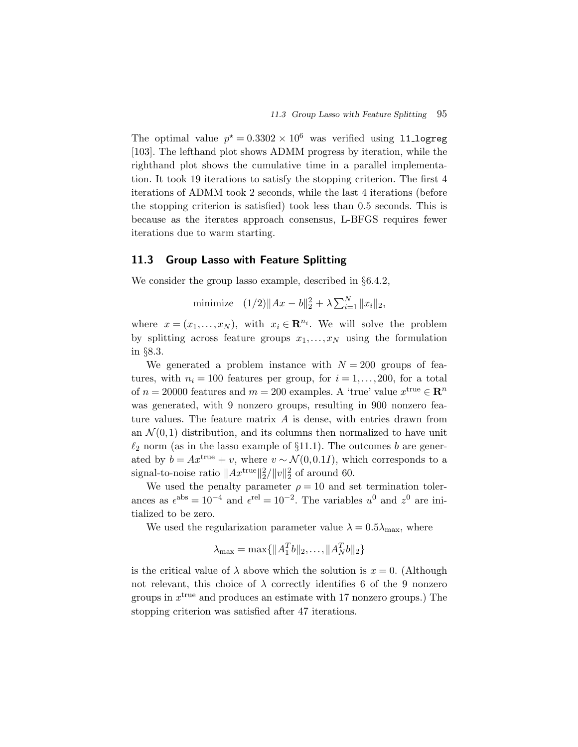The optimal value  $p^* = 0.3302 \times 10^6$  was verified using 11 logreg [103]. The lefthand plot shows ADMM progress by iteration, while the righthand plot shows the cumulative time in a parallel implementation. It took 19 iterations to satisfy the stopping criterion. The first 4 iterations of ADMM took 2 seconds, while the last 4 iterations (before the stopping criterion is satisfied) took less than 0.5 seconds. This is because as the iterates approach consensus, L-BFGS requires fewer iterations due to warm starting.

## 11.3 Group Lasso with Feature Splitting

We consider the group lasso example, described in  $\S 6.4.2$ ,

minimize 
$$
(1/2)||Ax - b||_2^2 + \lambda \sum_{i=1}^N ||x_i||_2
$$
,

where  $x = (x_1, \ldots, x_N)$ , with  $x_i \in \mathbb{R}^{n_i}$ . We will solve the problem by splitting across feature groups  $x_1, \ldots, x_N$  using the formulation in §8.3.

We generated a problem instance with  $N = 200$  groups of features, with  $n_i = 100$  features per group, for  $i = 1, \ldots, 200$ , for a total of  $n = 20000$  features and  $m = 200$  examples. A 'true' value  $x^{\text{true}} \in \mathbb{R}^n$ was generated, with 9 nonzero groups, resulting in 900 nonzero feature values. The feature matrix  $A$  is dense, with entries drawn from an  $\mathcal{N}(0,1)$  distribution, and its columns then normalized to have unit  $\ell_2$  norm (as in the lasso example of §11.1). The outcomes b are generated by  $b = Ax^{\text{true}} + v$ , where  $v \sim \mathcal{N}(0, 0.1I)$ , which corresponds to a signal-to-noise ratio  $||Ax^{\text{true}}||_2^2/||v||_2^2$  of around 60.

We used the penalty parameter  $\rho = 10$  and set termination tolerances as  $\epsilon^{abs} = 10^{-4}$  and  $\epsilon^{rel} = 10^{-2}$ . The variables  $u^0$  and  $z^0$  are initialized to be zero.

We used the regularization parameter value  $\lambda = 0.5\lambda_{\text{max}}$ , where

$$
\lambda_{\max} = \max\{\|A_1^T b\|_2, \ldots, \|A_N^T b\|_2\}
$$

is the critical value of  $\lambda$  above which the solution is  $x = 0$ . (Although not relevant, this choice of  $\lambda$  correctly identifies 6 of the 9 nonzero groups in  $x^{\text{true}}$  and produces an estimate with 17 nonzero groups.) The stopping criterion was satisfied after 47 iterations.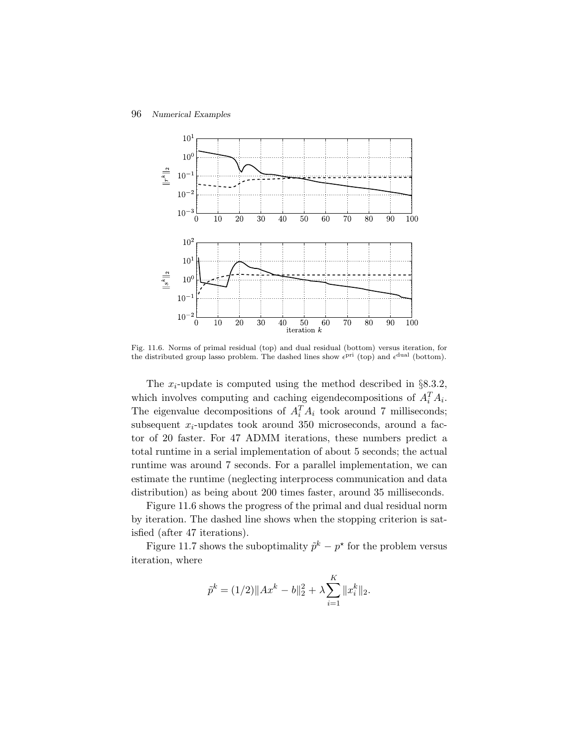

Fig. 11.6. Norms of primal residual (top) and dual residual (bottom) versus iteration, for the distributed group lasso problem. The dashed lines show  $\epsilon^{\text{pri}}$  (top) and  $\epsilon^{\text{dual}}$  (bottom).

The  $x_i$ -update is computed using the method described in §8.3.2, which involves computing and caching eigendecompositions of  $A_i^T A_i$ . The eigenvalue decompositions of  $A_i^T A_i$  took around 7 milliseconds; subsequent  $x_i$ -updates took around 350 microseconds, around a factor of 20 faster. For 47 ADMM iterations, these numbers predict a total runtime in a serial implementation of about 5 seconds; the actual runtime was around 7 seconds. For a parallel implementation, we can estimate the runtime (neglecting interprocess communication and data distribution) as being about 200 times faster, around 35 milliseconds.

Figure 11.6 shows the progress of the primal and dual residual norm by iteration. The dashed line shows when the stopping criterion is satisfied (after 47 iterations).

Figure 11.7 shows the suboptimality  $\tilde{p}^k - p^*$  for the problem versus iteration, where

$$
\tilde{p}^k = (1/2) \|Ax^k - b\|_2^2 + \lambda \sum_{i=1}^K \|x_i^k\|_2.
$$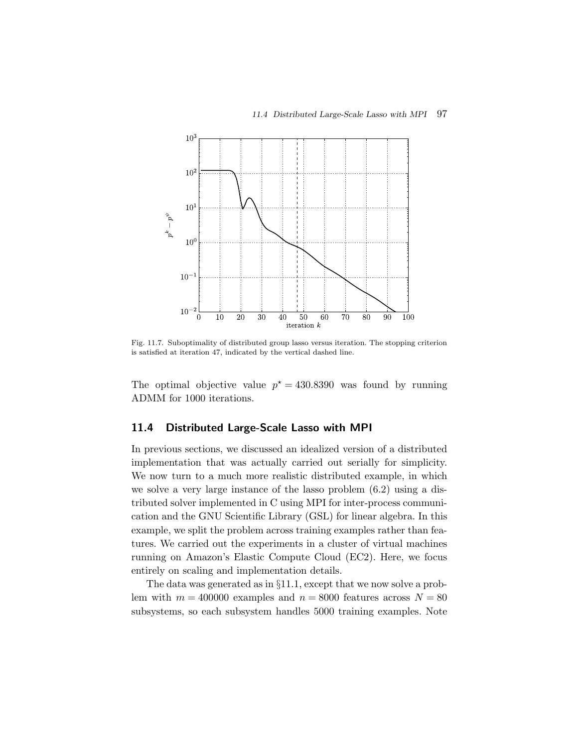

Fig. 11.7. Suboptimality of distributed group lasso versus iteration. The stopping criterion is satisfied at iteration 47, indicated by the vertical dashed line.

The optimal objective value  $p^* = 430.8390$  was found by running ADMM for 1000 iterations.

## 11.4 Distributed Large-Scale Lasso with MPI

In previous sections, we discussed an idealized version of a distributed implementation that was actually carried out serially for simplicity. We now turn to a much more realistic distributed example, in which we solve a very large instance of the lasso problem (6.2) using a distributed solver implemented in C using MPI for inter-process communication and the GNU Scientific Library (GSL) for linear algebra. In this example, we split the problem across training examples rather than features. We carried out the experiments in a cluster of virtual machines running on Amazon's Elastic Compute Cloud (EC2). Here, we focus entirely on scaling and implementation details.

The data was generated as in §11.1, except that we now solve a problem with  $m = 400000$  examples and  $n = 8000$  features across  $N = 80$ subsystems, so each subsystem handles 5000 training examples. Note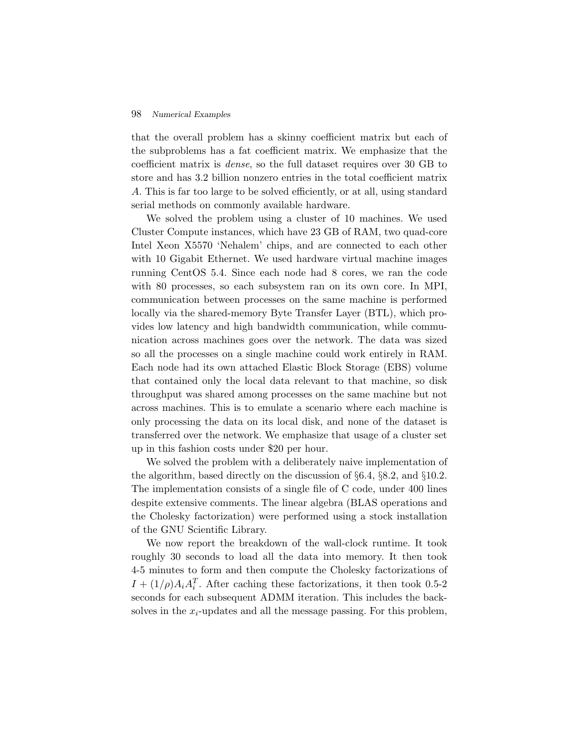that the overall problem has a skinny coefficient matrix but each of the subproblems has a fat coefficient matrix. We emphasize that the coefficient matrix is dense, so the full dataset requires over 30 GB to store and has 3.2 billion nonzero entries in the total coefficient matrix A. This is far too large to be solved efficiently, or at all, using standard serial methods on commonly available hardware.

We solved the problem using a cluster of 10 machines. We used Cluster Compute instances, which have 23 GB of RAM, two quad-core Intel Xeon X5570 'Nehalem' chips, and are connected to each other with 10 Gigabit Ethernet. We used hardware virtual machine images running CentOS 5.4. Since each node had 8 cores, we ran the code with 80 processes, so each subsystem ran on its own core. In MPI, communication between processes on the same machine is performed locally via the shared-memory Byte Transfer Layer (BTL), which provides low latency and high bandwidth communication, while communication across machines goes over the network. The data was sized so all the processes on a single machine could work entirely in RAM. Each node had its own attached Elastic Block Storage (EBS) volume that contained only the local data relevant to that machine, so disk throughput was shared among processes on the same machine but not across machines. This is to emulate a scenario where each machine is only processing the data on its local disk, and none of the dataset is transferred over the network. We emphasize that usage of a cluster set up in this fashion costs under \$20 per hour.

We solved the problem with a deliberately naive implementation of the algorithm, based directly on the discussion of §6.4, §8.2, and §10.2. The implementation consists of a single file of C code, under 400 lines despite extensive comments. The linear algebra (BLAS operations and the Cholesky factorization) were performed using a stock installation of the GNU Scientific Library.

We now report the breakdown of the wall-clock runtime. It took roughly 30 seconds to load all the data into memory. It then took 4-5 minutes to form and then compute the Cholesky factorizations of  $I + (1/\rho)A_iA_i^T$ . After caching these factorizations, it then took 0.5-2 seconds for each subsequent ADMM iteration. This includes the backsolves in the  $x_i$ -updates and all the message passing. For this problem,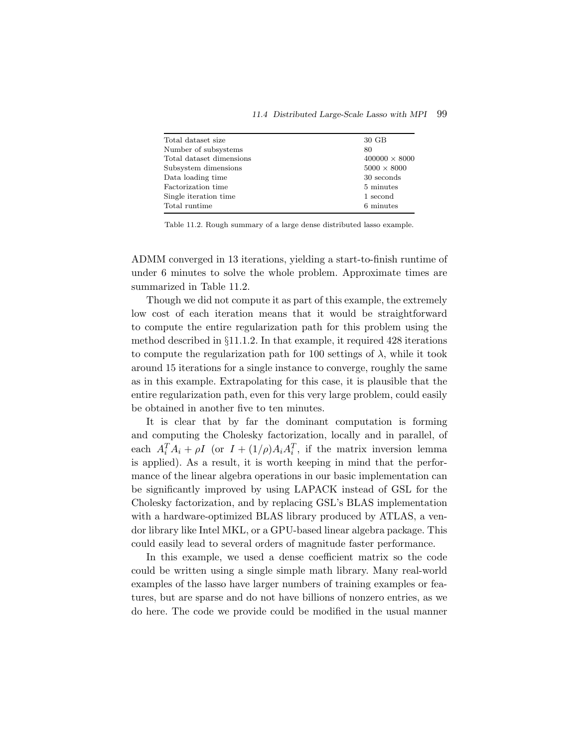| Total dataset size       | 30 GB                |
|--------------------------|----------------------|
| Number of subsystems     | 80                   |
| Total dataset dimensions | $400000 \times 8000$ |
| Subsystem dimensions     | $5000 \times 8000$   |
| Data loading time        | 30 seconds           |
| Factorization time       | 5 minutes            |
| Single iteration time    | 1 second             |
| Total runtime            | 6 minutes            |
|                          |                      |

Table 11.2. Rough summary of a large dense distributed lasso example.

ADMM converged in 13 iterations, yielding a start-to-finish runtime of under 6 minutes to solve the whole problem. Approximate times are summarized in Table 11.2.

Though we did not compute it as part of this example, the extremely low cost of each iteration means that it would be straightforward to compute the entire regularization path for this problem using the method described in §11.1.2. In that example, it required 428 iterations to compute the regularization path for 100 settings of  $\lambda$ , while it took around 15 iterations for a single instance to converge, roughly the same as in this example. Extrapolating for this case, it is plausible that the entire regularization path, even for this very large problem, could easily be obtained in another five to ten minutes.

It is clear that by far the dominant computation is forming and computing the Cholesky factorization, locally and in parallel, of each  $A_i^T A_i + \rho I$  (or  $I + (1/\rho) A_i A_i^T$ , if the matrix inversion lemma is applied). As a result, it is worth keeping in mind that the performance of the linear algebra operations in our basic implementation can be significantly improved by using LAPACK instead of GSL for the Cholesky factorization, and by replacing GSL's BLAS implementation with a hardware-optimized BLAS library produced by ATLAS, a vendor library like Intel MKL, or a GPU-based linear algebra package. This could easily lead to several orders of magnitude faster performance.

In this example, we used a dense coefficient matrix so the code could be written using a single simple math library. Many real-world examples of the lasso have larger numbers of training examples or features, but are sparse and do not have billions of nonzero entries, as we do here. The code we provide could be modified in the usual manner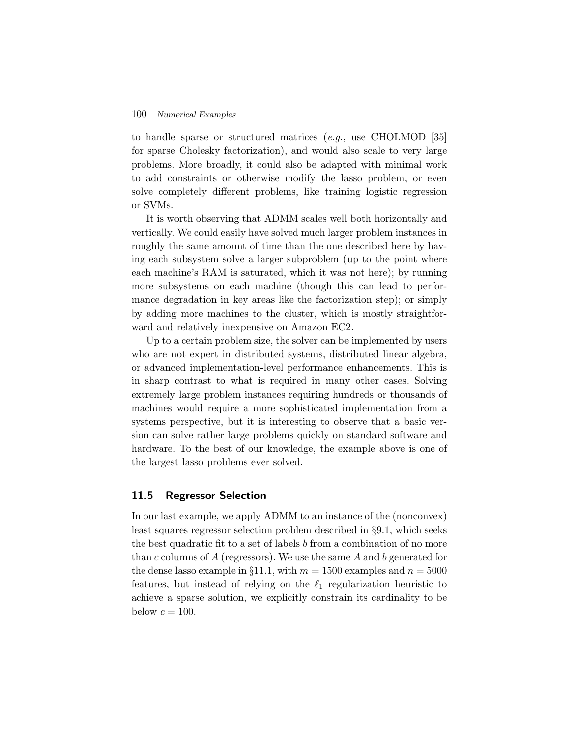to handle sparse or structured matrices (e.g., use CHOLMOD [35] for sparse Cholesky factorization), and would also scale to very large problems. More broadly, it could also be adapted with minimal work to add constraints or otherwise modify the lasso problem, or even solve completely different problems, like training logistic regression or SVMs.

It is worth observing that ADMM scales well both horizontally and vertically. We could easily have solved much larger problem instances in roughly the same amount of time than the one described here by having each subsystem solve a larger subproblem (up to the point where each machine's RAM is saturated, which it was not here); by running more subsystems on each machine (though this can lead to performance degradation in key areas like the factorization step); or simply by adding more machines to the cluster, which is mostly straightforward and relatively inexpensive on Amazon EC2.

Up to a certain problem size, the solver can be implemented by users who are not expert in distributed systems, distributed linear algebra, or advanced implementation-level performance enhancements. This is in sharp contrast to what is required in many other cases. Solving extremely large problem instances requiring hundreds or thousands of machines would require a more sophisticated implementation from a systems perspective, but it is interesting to observe that a basic version can solve rather large problems quickly on standard software and hardware. To the best of our knowledge, the example above is one of the largest lasso problems ever solved.

## 11.5 Regressor Selection

In our last example, we apply ADMM to an instance of the (nonconvex) least squares regressor selection problem described in §9.1, which seeks the best quadratic fit to a set of labels  $b$  from a combination of no more than c columns of A (regressors). We use the same A and b generated for the dense lasso example in §11.1, with  $m = 1500$  examples and  $n = 5000$ features, but instead of relying on the  $\ell_1$  regularization heuristic to achieve a sparse solution, we explicitly constrain its cardinality to be below  $c = 100$ .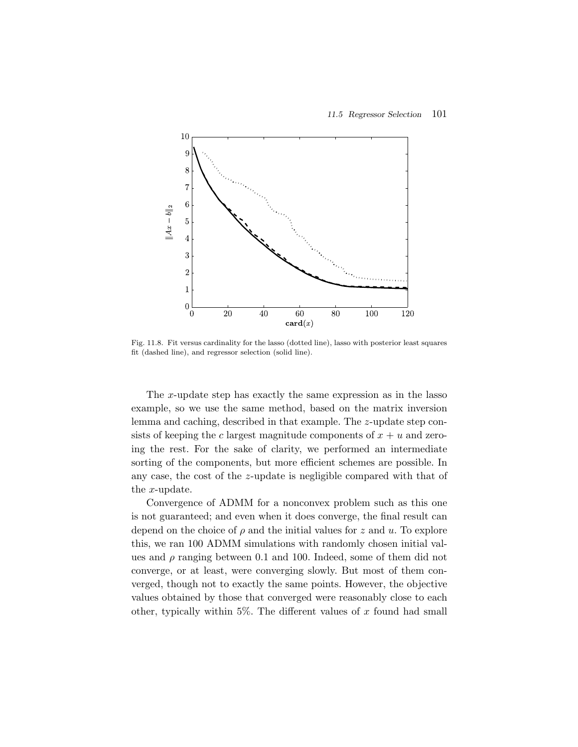

Fig. 11.8. Fit versus cardinality for the lasso (dotted line), lasso with posterior least squares fit (dashed line), and regressor selection (solid line).

The x-update step has exactly the same expression as in the lasso example, so we use the same method, based on the matrix inversion lemma and caching, described in that example. The z-update step consists of keeping the c largest magnitude components of  $x + u$  and zeroing the rest. For the sake of clarity, we performed an intermediate sorting of the components, but more efficient schemes are possible. In any case, the cost of the z-update is negligible compared with that of the x-update.

Convergence of ADMM for a nonconvex problem such as this one is not guaranteed; and even when it does converge, the final result can depend on the choice of  $\rho$  and the initial values for z and u. To explore this, we ran 100 ADMM simulations with randomly chosen initial values and  $\rho$  ranging between 0.1 and 100. Indeed, some of them did not converge, or at least, were converging slowly. But most of them converged, though not to exactly the same points. However, the objective values obtained by those that converged were reasonably close to each other, typically within 5%. The different values of  $x$  found had small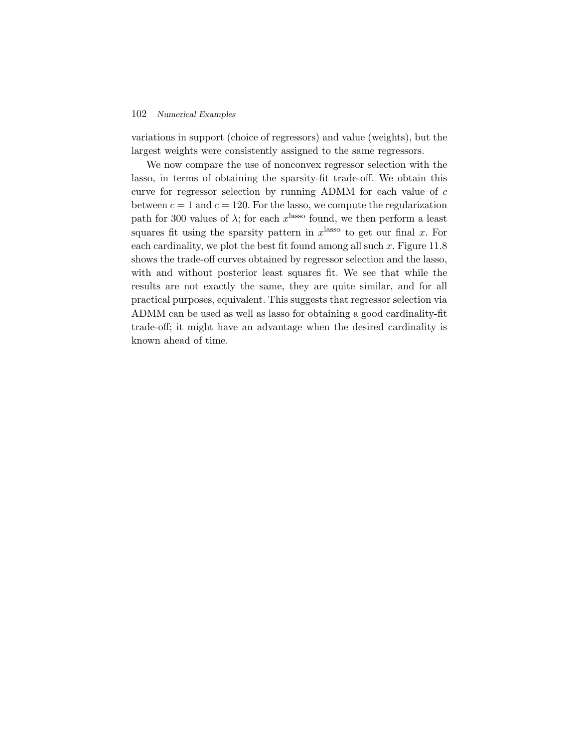variations in support (choice of regressors) and value (weights), but the largest weights were consistently assigned to the same regressors.

We now compare the use of nonconvex regressor selection with the lasso, in terms of obtaining the sparsity-fit trade-off. We obtain this curve for regressor selection by running ADMM for each value of c between  $c = 1$  and  $c = 120$ . For the lasso, we compute the regularization path for 300 values of  $\lambda$ ; for each  $x^{\text{lasso}}$  found, we then perform a least squares fit using the sparsity pattern in  $x^{\text{lasso}}$  to get our final x. For each cardinality, we plot the best fit found among all such  $x$ . Figure 11.8 shows the trade-off curves obtained by regressor selection and the lasso, with and without posterior least squares fit. We see that while the results are not exactly the same, they are quite similar, and for all practical purposes, equivalent. This suggests that regressor selection via ADMM can be used as well as lasso for obtaining a good cardinality-fit trade-off; it might have an advantage when the desired cardinality is known ahead of time.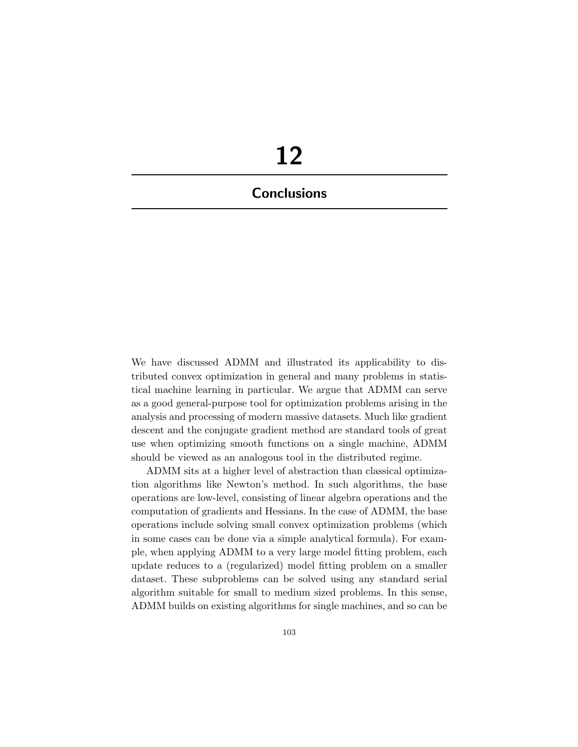# 12

## **Conclusions**

We have discussed ADMM and illustrated its applicability to distributed convex optimization in general and many problems in statistical machine learning in particular. We argue that ADMM can serve as a good general-purpose tool for optimization problems arising in the analysis and processing of modern massive datasets. Much like gradient descent and the conjugate gradient method are standard tools of great use when optimizing smooth functions on a single machine, ADMM should be viewed as an analogous tool in the distributed regime.

ADMM sits at a higher level of abstraction than classical optimization algorithms like Newton's method. In such algorithms, the base operations are low-level, consisting of linear algebra operations and the computation of gradients and Hessians. In the case of ADMM, the base operations include solving small convex optimization problems (which in some cases can be done via a simple analytical formula). For example, when applying ADMM to a very large model fitting problem, each update reduces to a (regularized) model fitting problem on a smaller dataset. These subproblems can be solved using any standard serial algorithm suitable for small to medium sized problems. In this sense, ADMM builds on existing algorithms for single machines, and so can be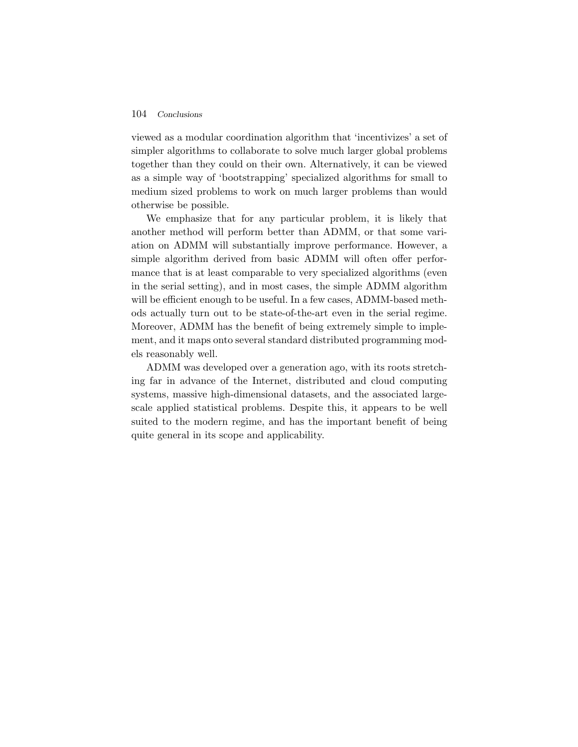### 104 Conclusions

viewed as a modular coordination algorithm that 'incentivizes' a set of simpler algorithms to collaborate to solve much larger global problems together than they could on their own. Alternatively, it can be viewed as a simple way of 'bootstrapping' specialized algorithms for small to medium sized problems to work on much larger problems than would otherwise be possible.

We emphasize that for any particular problem, it is likely that another method will perform better than ADMM, or that some variation on ADMM will substantially improve performance. However, a simple algorithm derived from basic ADMM will often offer performance that is at least comparable to very specialized algorithms (even in the serial setting), and in most cases, the simple ADMM algorithm will be efficient enough to be useful. In a few cases, ADMM-based methods actually turn out to be state-of-the-art even in the serial regime. Moreover, ADMM has the benefit of being extremely simple to implement, and it maps onto several standard distributed programming models reasonably well.

ADMM was developed over a generation ago, with its roots stretching far in advance of the Internet, distributed and cloud computing systems, massive high-dimensional datasets, and the associated largescale applied statistical problems. Despite this, it appears to be well suited to the modern regime, and has the important benefit of being quite general in its scope and applicability.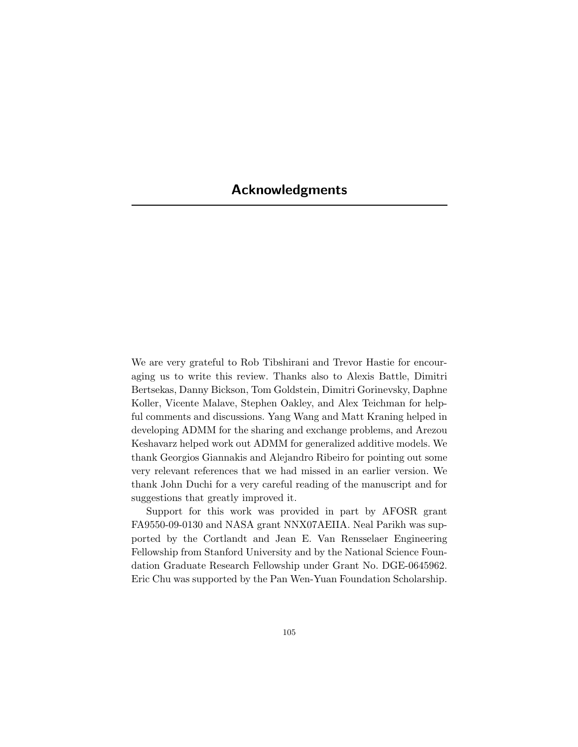## Acknowledgments

We are very grateful to Rob Tibshirani and Trevor Hastie for encouraging us to write this review. Thanks also to Alexis Battle, Dimitri Bertsekas, Danny Bickson, Tom Goldstein, Dimitri Gorinevsky, Daphne Koller, Vicente Malave, Stephen Oakley, and Alex Teichman for helpful comments and discussions. Yang Wang and Matt Kraning helped in developing ADMM for the sharing and exchange problems, and Arezou Keshavarz helped work out ADMM for generalized additive models. We thank Georgios Giannakis and Alejandro Ribeiro for pointing out some very relevant references that we had missed in an earlier version. We thank John Duchi for a very careful reading of the manuscript and for suggestions that greatly improved it.

Support for this work was provided in part by AFOSR grant FA9550-09-0130 and NASA grant NNX07AEIIA. Neal Parikh was supported by the Cortlandt and Jean E. Van Rensselaer Engineering Fellowship from Stanford University and by the National Science Foundation Graduate Research Fellowship under Grant No. DGE-0645962. Eric Chu was supported by the Pan Wen-Yuan Foundation Scholarship.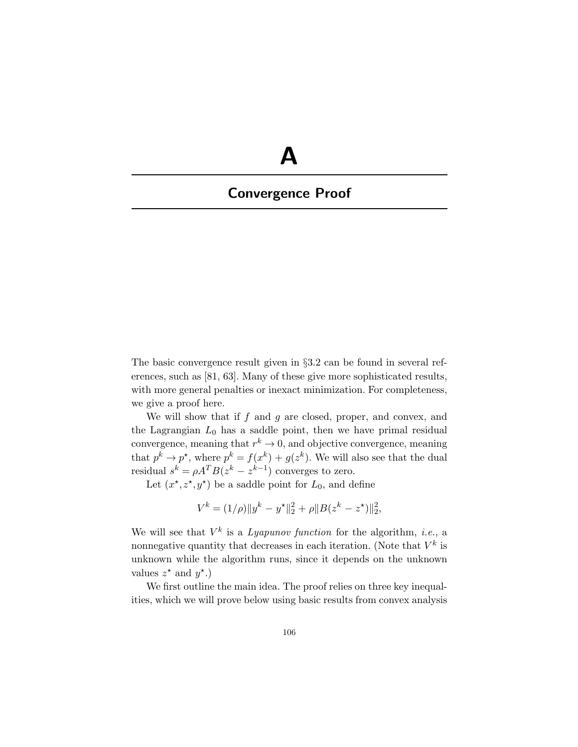# A

# Convergence Proof

The basic convergence result given in §3.2 can be found in several references, such as [81, 63]. Many of these give more sophisticated results, with more general penalties or inexact minimization. For completeness, we give a proof here.

We will show that if  $f$  and  $g$  are closed, proper, and convex, and the Lagrangian  $L_0$  has a saddle point, then we have primal residual convergence, meaning that  $r^k \to 0$ , and objective convergence, meaning that  $p^k \to p^*$ , where  $p^k = f(x^k) + g(z^k)$ . We will also see that the dual residual  $s^k = \rho A^T B(z^k - z^{k-1})$  converges to zero.

Let  $(x^*, z^*, y^*)$  be a saddle point for  $L_0$ , and define

$$
V^k = (1/\rho) \|y^k - y^\star\|_2^2 + \rho \|B(z^k - z^\star)\|_2^2,
$$

We will see that  $V^k$  is a *Lyapunov function* for the algorithm, *i.e.*, a nonnegative quantity that decreases in each iteration. (Note that  $V^k$  is unknown while the algorithm runs, since it depends on the unknown values  $z^*$  and  $y^*$ .)

We first outline the main idea. The proof relies on three key inequalities, which we will prove below using basic results from convex analysis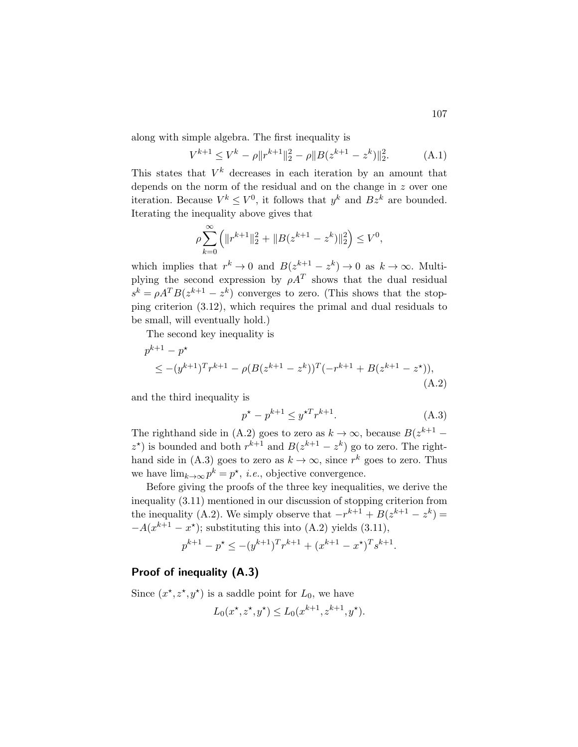along with simple algebra. The first inequality is

$$
V^{k+1} \le V^k - \rho \|r^{k+1}\|_2^2 - \rho \|B(z^{k+1} - z^k)\|_2^2. \tag{A.1}
$$

This states that  $V^k$  decreases in each iteration by an amount that depends on the norm of the residual and on the change in  $z$  over one iteration. Because  $V^k \n\t\leq V^0$ , it follows that  $y^k$  and  $Bz^k$  are bounded. Iterating the inequality above gives that

$$
\rho \sum_{k=0}^{\infty} \left( \|r^{k+1}\|_2^2 + \|B(z^{k+1} - z^k)\|_2^2 \right) \le V^0,
$$

which implies that  $r^k \to 0$  and  $B(z^{k+1} - z^k) \to 0$  as  $k \to \infty$ . Multiplying the second expression by  $\rho A^T$  shows that the dual residual  $s^k = \rho A^T B (z^{k+1} - z^k)$  converges to zero. (This shows that the stopping criterion (3.12), which requires the primal and dual residuals to be small, will eventually hold.)

The second key inequality is

$$
p^{k+1} - p^{\star}
$$
  
\n
$$
\leq -(y^{k+1})^T r^{k+1} - \rho (B(z^{k+1} - z^k))^T (-r^{k+1} + B(z^{k+1} - z^{\star})),
$$
  
\n(A.2)

and the third inequality is

$$
p^* - p^{k+1} \le y^{\star T} r^{k+1}.
$$
\n(A.3)

The righthand side in (A.2) goes to zero as  $k \to \infty$ , because  $B(z^{k+1}$  $z^*$ ) is bounded and both  $r^{k+1}$  and  $B(z^{k+1} - z^k)$  go to zero. The righthand side in (A.3) goes to zero as  $k \to \infty$ , since  $r^k$  goes to zero. Thus we have  $\lim_{k\to\infty} p^k = p^*$ , *i.e.*, objective convergence.

Before giving the proofs of the three key inequalities, we derive the inequality (3.11) mentioned in our discussion of stopping criterion from the inequality (A.2). We simply observe that  $-r^{k+1} + B(z^{k+1} - z^k) =$  $-A(x^{k+1}-x^*)$ ; substituting this into (A.2) yields (3.11),

$$
p^{k+1} - p^* \le -(y^{k+1})^T r^{k+1} + (x^{k+1} - x^*)^T s^{k+1}.
$$

## Proof of inequality (A.3)

Since  $(x^*, z^*, y^*)$  is a saddle point for  $L_0$ , we have

$$
L_0(x^*, z^*, y^*) \le L_0(x^{k+1}, z^{k+1}, y^*).
$$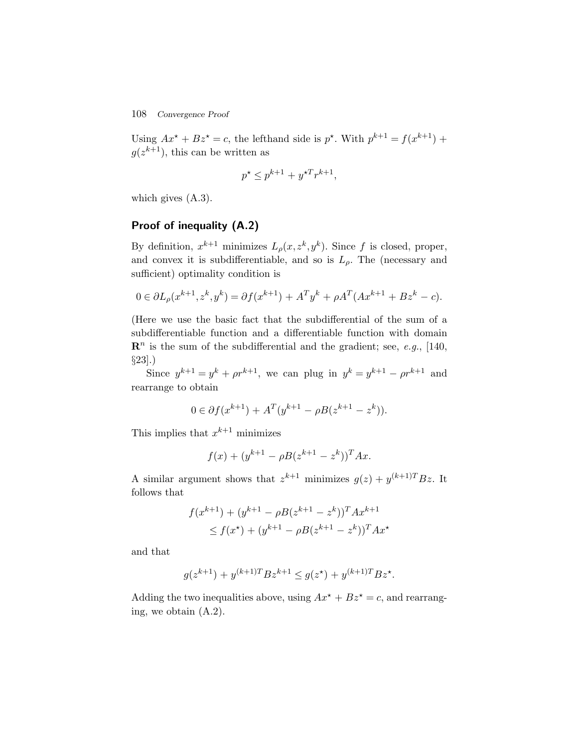108 Convergence Proof

Using  $Ax^* + Bz^* = c$ , the lefthand side is  $p^*$ . With  $p^{k+1} = f(x^{k+1}) +$  $g(z^{k+1})$ , this can be written as

$$
p^\star \le p^{k+1} + y^{\star T} r^{k+1},
$$

which gives (A.3).

# Proof of inequality (A.2)

By definition,  $x^{k+1}$  minimizes  $L_{\rho}(x, z^k, y^k)$ . Since f is closed, proper, and convex it is subdifferentiable, and so is  $L_{\rho}$ . The (necessary and sufficient) optimality condition is

$$
0 \in \partial L_{\rho}(x^{k+1}, z^k, y^k) = \partial f(x^{k+1}) + A^T y^k + \rho A^T (Ax^{k+1} + Bz^k - c).
$$

(Here we use the basic fact that the subdifferential of the sum of a subdifferentiable function and a differentiable function with domain  $\mathbb{R}^n$  is the sum of the subdifferential and the gradient; see, e.g., [140, §23].)

Since  $y^{k+1} = y^k + \rho r^{k+1}$ , we can plug in  $y^k = y^{k+1} - \rho r^{k+1}$  and rearrange to obtain

$$
0 \in \partial f(x^{k+1}) + A^T(y^{k+1} - \rho B(z^{k+1} - z^k)).
$$

This implies that  $x^{k+1}$  minimizes

$$
f(x) + (y^{k+1} - \rho B(z^{k+1} - z^k))^T A x.
$$

A similar argument shows that  $z^{k+1}$  minimizes  $g(z) + y^{(k+1)T}Bz$ . It follows that

$$
f(x^{k+1}) + (y^{k+1} - \rho B(z^{k+1} - z^k))^T A x^{k+1}
$$
  
\n
$$
\leq f(x^*) + (y^{k+1} - \rho B(z^{k+1} - z^k))^T A x^*
$$

and that

$$
g(z^{k+1}) + y^{(k+1)T} B z^{k+1} \le g(z^*) + y^{(k+1)T} B z^*.
$$

Adding the two inequalities above, using  $Ax^* + Bz^* = c$ , and rearranging, we obtain (A.2).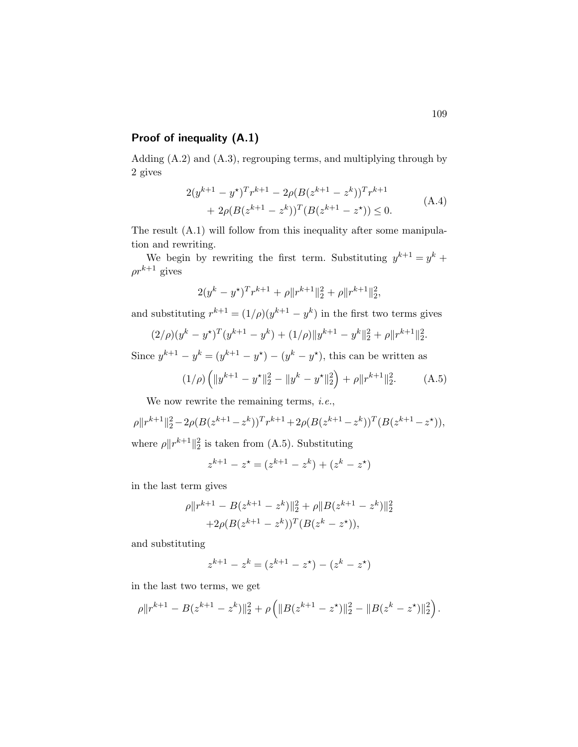# Proof of inequality (A.1)

Adding (A.2) and (A.3), regrouping terms, and multiplying through by 2 gives

$$
2(y^{k+1} - y^*)^T r^{k+1} - 2\rho (B(z^{k+1} - z^k))^T r^{k+1}
$$
  
+ 
$$
2\rho (B(z^{k+1} - z^k))^T (B(z^{k+1} - z^*) ) \leq 0.
$$
 (A.4)

The result (A.1) will follow from this inequality after some manipulation and rewriting.

We begin by rewriting the first term. Substituting  $y^{k+1} = y^k +$  $\rho r^{k+1}$  gives

$$
2(y^{k} - y^{\star})^{T} r^{k+1} + \rho \| r^{k+1} \|_{2}^{2} + \rho \| r^{k+1} \|_{2}^{2},
$$

and substituting  $r^{k+1} = (1/\rho)(y^{k+1} - y^k)$  in the first two terms gives

$$
(2/\rho)(y^k - y^*)^T(y^{k+1} - y^k) + (1/\rho)\|y^{k+1} - y^k\|_2^2 + \rho\|r^{k+1}\|_2^2.
$$

Since  $y^{k+1} - y^k = (y^{k+1} - y^*) - (y^k - y^*)$ , this can be written as

$$
(1/\rho)\left(\|y^{k+1} - y^{\star}\|_{2}^{2} - \|y^{k} - y^{\star}\|_{2}^{2}\right) + \rho\|r^{k+1}\|_{2}^{2}.\tag{A.5}
$$

We now rewrite the remaining terms, *i.e.*,

$$
\rho \|r^{k+1}\|_2^2 - 2\rho (B(z^{k+1} - z^k))^T r^{k+1} + 2\rho (B(z^{k+1} - z^k))^T (B(z^{k+1} - z^k)),
$$

where  $\rho ||r^{k+1}||_2^2$  is taken from (A.5). Substituting

$$
z^{k+1} - z^* = (z^{k+1} - z^k) + (z^k - z^*)
$$

in the last term gives

$$
\rho \|r^{k+1} - B(z^{k+1} - z^k)\|_2^2 + \rho \|B(z^{k+1} - z^k)\|_2^2
$$
  
+2 $\rho (B(z^{k+1} - z^k))^T (B(z^k - z^k)),$ 

and substituting

$$
z^{k+1} - z^k = (z^{k+1} - z^*) - (z^k - z^*)
$$

in the last two terms, we get

$$
\rho \|r^{k+1} - B(z^{k+1} - z^k)\|_2^2 + \rho \left( \|B(z^{k+1} - z^{\star})\|_2^2 - \|B(z^k - z^{\star})\|_2^2 \right).
$$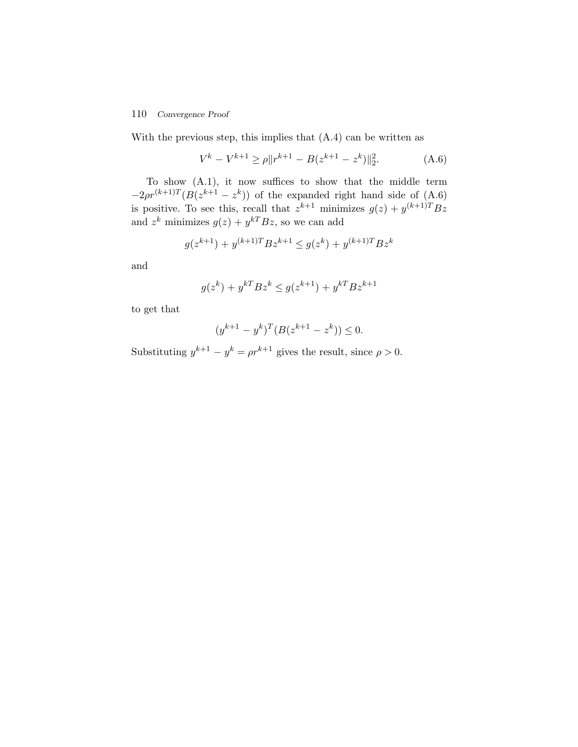### 110 Convergence Proof

With the previous step, this implies that (A.4) can be written as

$$
V^k - V^{k+1} \ge \rho \|r^{k+1} - B(z^{k+1} - z^k)\|_2^2.
$$
 (A.6)

To show (A.1), it now suffices to show that the middle term  $-2\rho r^{(k+1)T}(B(z^{k+1} - z^k))$  of the expanded right hand side of (A.6) is positive. To see this, recall that  $z^{k+1}$  minimizes  $g(z) + y^{(k+1)T} B z$ and  $z^k$  minimizes  $g(z) + y^{kT} Bz$ , so we can add

$$
g(z^{k+1}) + y^{(k+1)T} B z^{k+1} \le g(z^k) + y^{(k+1)T} B z^k
$$

and

$$
g(z^k) + y^{kT} B z^k \le g(z^{k+1}) + y^{kT} B z^{k+1}
$$

to get that

$$
(y^{k+1} - y^k)^T (B(z^{k+1} - z^k)) \le 0.
$$

Substituting  $y^{k+1} - y^k = \rho r^{k+1}$  gives the result, since  $\rho > 0$ .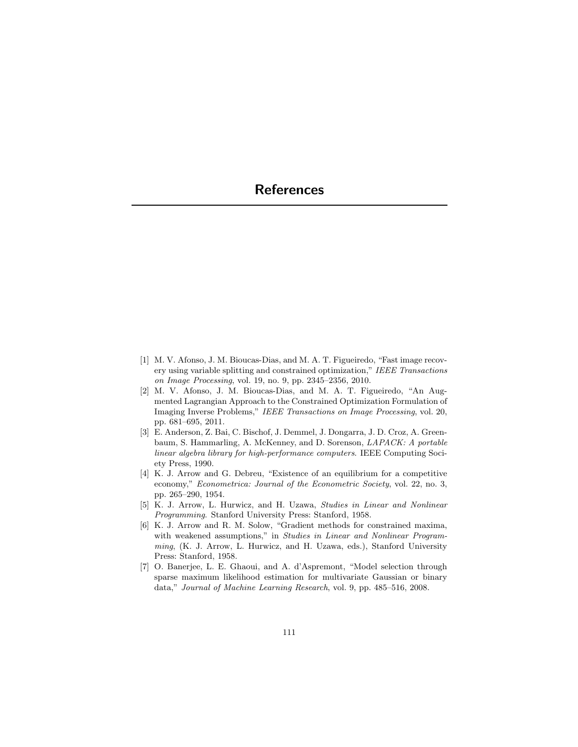- [1] M. V. Afonso, J. M. Bioucas-Dias, and M. A. T. Figueiredo, "Fast image recovery using variable splitting and constrained optimization," IEEE Transactions on Image Processing, vol. 19, no. 9, pp. 2345–2356, 2010.
- [2] M. V. Afonso, J. M. Bioucas-Dias, and M. A. T. Figueiredo, "An Augmented Lagrangian Approach to the Constrained Optimization Formulation of Imaging Inverse Problems," IEEE Transactions on Image Processing, vol. 20, pp. 681–695, 2011.
- [3] E. Anderson, Z. Bai, C. Bischof, J. Demmel, J. Dongarra, J. D. Croz, A. Greenbaum, S. Hammarling, A. McKenney, and D. Sorenson, LAPACK: A portable linear algebra library for high-performance computers. IEEE Computing Society Press, 1990.
- [4] K. J. Arrow and G. Debreu, "Existence of an equilibrium for a competitive economy," Econometrica: Journal of the Econometric Society, vol. 22, no. 3, pp. 265–290, 1954.
- [5] K. J. Arrow, L. Hurwicz, and H. Uzawa, Studies in Linear and Nonlinear Programming. Stanford University Press: Stanford, 1958.
- [6] K. J. Arrow and R. M. Solow, "Gradient methods for constrained maxima, with weakened assumptions," in Studies in Linear and Nonlinear Programming, (K. J. Arrow, L. Hurwicz, and H. Uzawa, eds.), Stanford University Press: Stanford, 1958.
- [7] O. Banerjee, L. E. Ghaoui, and A. d'Aspremont, "Model selection through sparse maximum likelihood estimation for multivariate Gaussian or binary data," Journal of Machine Learning Research, vol. 9, pp. 485–516, 2008.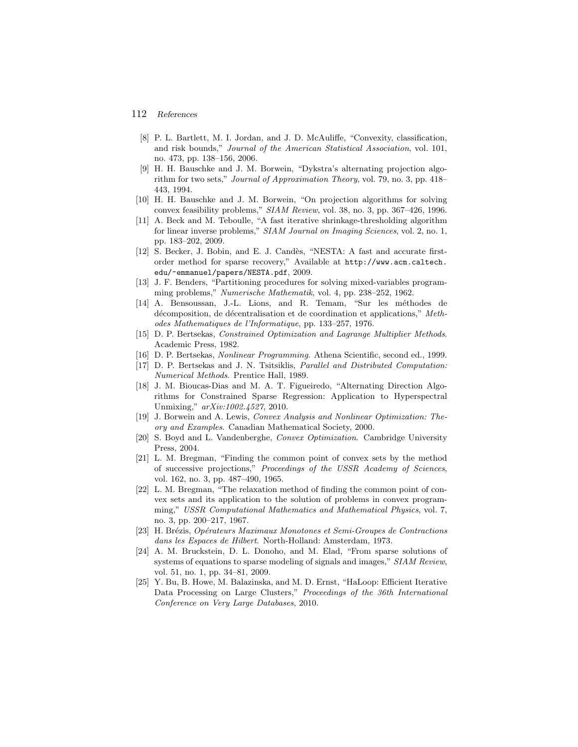- [8] P. L. Bartlett, M. I. Jordan, and J. D. McAuliffe, "Convexity, classification, and risk bounds," Journal of the American Statistical Association, vol. 101, no. 473, pp. 138–156, 2006.
- [9] H. H. Bauschke and J. M. Borwein, "Dykstra's alternating projection algorithm for two sets," Journal of Approximation Theory, vol. 79, no. 3, pp. 418– 443, 1994.
- [10] H. H. Bauschke and J. M. Borwein, "On projection algorithms for solving convex feasibility problems," SIAM Review, vol. 38, no. 3, pp. 367–426, 1996.
- [11] A. Beck and M. Teboulle, "A fast iterative shrinkage-thresholding algorithm for linear inverse problems," SIAM Journal on Imaging Sciences, vol. 2, no. 1, pp. 183–202, 2009.
- [12] S. Becker, J. Bobin, and E. J. Candès, "NESTA: A fast and accurate firstorder method for sparse recovery," Available at http://www.acm.caltech. edu/˜emmanuel/papers/NESTA.pdf, 2009.
- [13] J. F. Benders, "Partitioning procedures for solving mixed-variables programming problems," Numerische Mathematik, vol. 4, pp. 238–252, 1962.
- [14] A. Bensoussan, J.-L. Lions, and R. Temam, "Sur les m´ethodes de décomposition, de décentralisation et de coordination et applications," Methodes Mathematiques de l'Informatique, pp. 133–257, 1976.
- [15] D. P. Bertsekas, Constrained Optimization and Lagrange Multiplier Methods. Academic Press, 1982.
- [16] D. P. Bertsekas, Nonlinear Programming. Athena Scientific, second ed., 1999.
- [17] D. P. Bertsekas and J. N. Tsitsiklis, Parallel and Distributed Computation: Numerical Methods. Prentice Hall, 1989.
- [18] J. M. Bioucas-Dias and M. A. T. Figueiredo, "Alternating Direction Algorithms for Constrained Sparse Regression: Application to Hyperspectral Unmixing," arXiv:1002.4527, 2010.
- [19] J. Borwein and A. Lewis, Convex Analysis and Nonlinear Optimization: Theory and Examples. Canadian Mathematical Society, 2000.
- [20] S. Boyd and L. Vandenberghe, Convex Optimization. Cambridge University Press, 2004.
- [21] L. M. Bregman, "Finding the common point of convex sets by the method of successive projections," Proceedings of the USSR Academy of Sciences, vol. 162, no. 3, pp. 487–490, 1965.
- [22] L. M. Bregman, "The relaxation method of finding the common point of convex sets and its application to the solution of problems in convex programming," USSR Computational Mathematics and Mathematical Physics, vol. 7, no. 3, pp. 200–217, 1967.
- [23] H. Br´ezis, Op´erateurs Maximaux Monotones et Semi-Groupes de Contractions dans les Espaces de Hilbert. North-Holland: Amsterdam, 1973.
- [24] A. M. Bruckstein, D. L. Donoho, and M. Elad, "From sparse solutions of systems of equations to sparse modeling of signals and images," SIAM Review, vol. 51, no. 1, pp. 34–81, 2009.
- [25] Y. Bu, B. Howe, M. Balazinska, and M. D. Ernst, "HaLoop: Efficient Iterative Data Processing on Large Clusters," Proceedings of the 36th International Conference on Very Large Databases, 2010.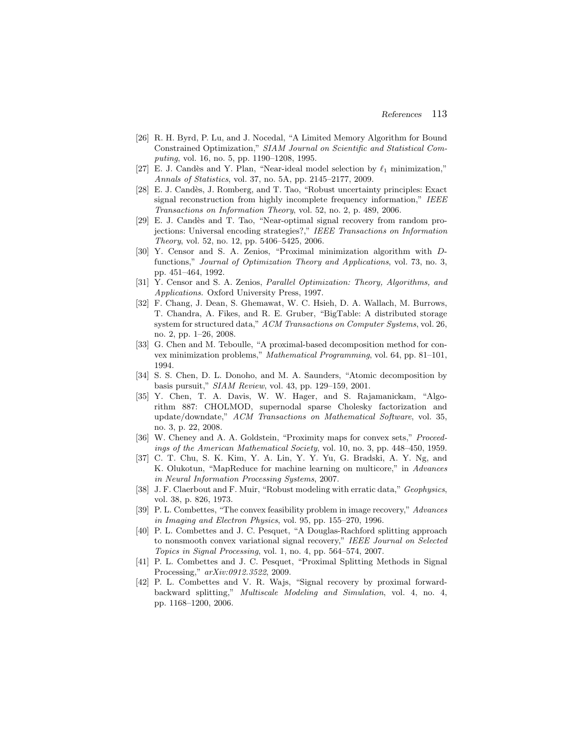- [26] R. H. Byrd, P. Lu, and J. Nocedal, "A Limited Memory Algorithm for Bound Constrained Optimization," SIAM Journal on Scientific and Statistical Computing, vol. 16, no. 5, pp. 1190–1208, 1995.
- [27] E. J. Candès and Y. Plan, "Near-ideal model selection by  $\ell_1$  minimization," Annals of Statistics, vol. 37, no. 5A, pp. 2145–2177, 2009.
- [28] E. J. Candès, J. Romberg, and T. Tao, "Robust uncertainty principles: Exact signal reconstruction from highly incomplete frequency information," IEEE Transactions on Information Theory, vol. 52, no. 2, p. 489, 2006.
- [29] E. J. Cand`es and T. Tao, "Near-optimal signal recovery from random projections: Universal encoding strategies?," IEEE Transactions on Information Theory, vol. 52, no. 12, pp. 5406–5425, 2006.
- [30] Y. Censor and S. A. Zenios, "Proximal minimization algorithm with Dfunctions," Journal of Optimization Theory and Applications, vol. 73, no. 3, pp. 451–464, 1992.
- [31] Y. Censor and S. A. Zenios, Parallel Optimization: Theory, Algorithms, and Applications. Oxford University Press, 1997.
- [32] F. Chang, J. Dean, S. Ghemawat, W. C. Hsieh, D. A. Wallach, M. Burrows, T. Chandra, A. Fikes, and R. E. Gruber, "BigTable: A distributed storage system for structured data," ACM Transactions on Computer Systems, vol. 26, no. 2, pp. 1–26, 2008.
- [33] G. Chen and M. Teboulle, "A proximal-based decomposition method for convex minimization problems," Mathematical Programming, vol. 64, pp. 81–101, 1994.
- [34] S. S. Chen, D. L. Donoho, and M. A. Saunders, "Atomic decomposition by basis pursuit," SIAM Review, vol. 43, pp. 129–159, 2001.
- [35] Y. Chen, T. A. Davis, W. W. Hager, and S. Rajamanickam, "Algorithm 887: CHOLMOD, supernodal sparse Cholesky factorization and update/downdate," ACM Transactions on Mathematical Software, vol. 35, no. 3, p. 22, 2008.
- [36] W. Cheney and A. A. Goldstein, "Proximity maps for convex sets," Proceedings of the American Mathematical Society, vol. 10, no. 3, pp. 448–450, 1959.
- [37] C. T. Chu, S. K. Kim, Y. A. Lin, Y. Y. Yu, G. Bradski, A. Y. Ng, and K. Olukotun, "MapReduce for machine learning on multicore," in Advances in Neural Information Processing Systems, 2007.
- [38] J. F. Claerbout and F. Muir, "Robust modeling with erratic data," Geophysics, vol. 38, p. 826, 1973.
- [39] P. L. Combettes, "The convex feasibility problem in image recovery," Advances in Imaging and Electron Physics, vol. 95, pp. 155–270, 1996.
- [40] P. L. Combettes and J. C. Pesquet, "A Douglas-Rachford splitting approach to nonsmooth convex variational signal recovery," IEEE Journal on Selected Topics in Signal Processing, vol. 1, no. 4, pp. 564–574, 2007.
- [41] P. L. Combettes and J. C. Pesquet, "Proximal Splitting Methods in Signal Processing," arXiv:0912.3522, 2009.
- [42] P. L. Combettes and V. R. Wajs, "Signal recovery by proximal forwardbackward splitting," Multiscale Modeling and Simulation, vol. 4, no. 4, pp. 1168–1200, 2006.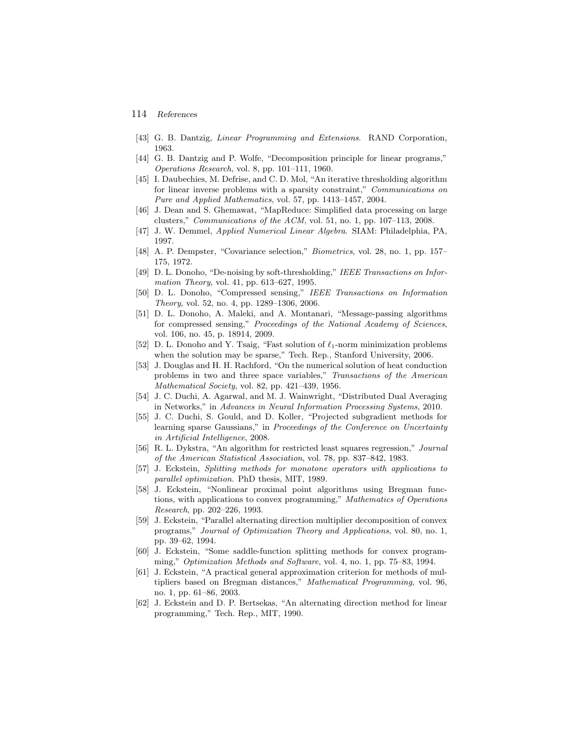- [43] G. B. Dantzig, Linear Programming and Extensions. RAND Corporation, 1963.
- [44] G. B. Dantzig and P. Wolfe, "Decomposition principle for linear programs," Operations Research, vol. 8, pp. 101–111, 1960.
- [45] I. Daubechies, M. Defrise, and C. D. Mol, "An iterative thresholding algorithm for linear inverse problems with a sparsity constraint," Communications on Pure and Applied Mathematics, vol. 57, pp. 1413–1457, 2004.
- [46] J. Dean and S. Ghemawat, "MapReduce: Simplified data processing on large clusters," Communications of the ACM, vol. 51, no. 1, pp. 107–113, 2008.
- [47] J. W. Demmel, Applied Numerical Linear Algebra. SIAM: Philadelphia, PA, 1997.
- [48] A. P. Dempster, "Covariance selection," Biometrics, vol. 28, no. 1, pp. 157– 175, 1972.
- [49] D. L. Donoho, "De-noising by soft-thresholding," IEEE Transactions on Information Theory, vol. 41, pp. 613–627, 1995.
- [50] D. L. Donoho, "Compressed sensing," IEEE Transactions on Information Theory, vol. 52, no. 4, pp. 1289–1306, 2006.
- [51] D. L. Donoho, A. Maleki, and A. Montanari, "Message-passing algorithms for compressed sensing," Proceedings of the National Academy of Sciences, vol. 106, no. 45, p. 18914, 2009.
- [52] D. L. Donoho and Y. Tsaig, "Fast solution of  $\ell_1$ -norm minimization problems when the solution may be sparse," Tech. Rep., Stanford University, 2006.
- [53] J. Douglas and H. H. Rachford, "On the numerical solution of heat conduction problems in two and three space variables," Transactions of the American Mathematical Society, vol. 82, pp. 421–439, 1956.
- [54] J. C. Duchi, A. Agarwal, and M. J. Wainwright, "Distributed Dual Averaging in Networks," in Advances in Neural Information Processing Systems, 2010.
- [55] J. C. Duchi, S. Gould, and D. Koller, "Projected subgradient methods for learning sparse Gaussians," in Proceedings of the Conference on Uncertainty in Artificial Intelligence, 2008.
- [56] R. L. Dykstra, "An algorithm for restricted least squares regression," Journal of the American Statistical Association, vol. 78, pp. 837–842, 1983.
- [57] J. Eckstein, Splitting methods for monotone operators with applications to parallel optimization. PhD thesis, MIT, 1989.
- [58] J. Eckstein, "Nonlinear proximal point algorithms using Bregman functions, with applications to convex programming," Mathematics of Operations Research, pp. 202–226, 1993.
- [59] J. Eckstein, "Parallel alternating direction multiplier decomposition of convex programs," Journal of Optimization Theory and Applications, vol. 80, no. 1, pp. 39–62, 1994.
- [60] J. Eckstein, "Some saddle-function splitting methods for convex programming," Optimization Methods and Software, vol. 4, no. 1, pp. 75–83, 1994.
- [61] J. Eckstein, "A practical general approximation criterion for methods of multipliers based on Bregman distances," Mathematical Programming, vol. 96, no. 1, pp. 61–86, 2003.
- [62] J. Eckstein and D. P. Bertsekas, "An alternating direction method for linear programming," Tech. Rep., MIT, 1990.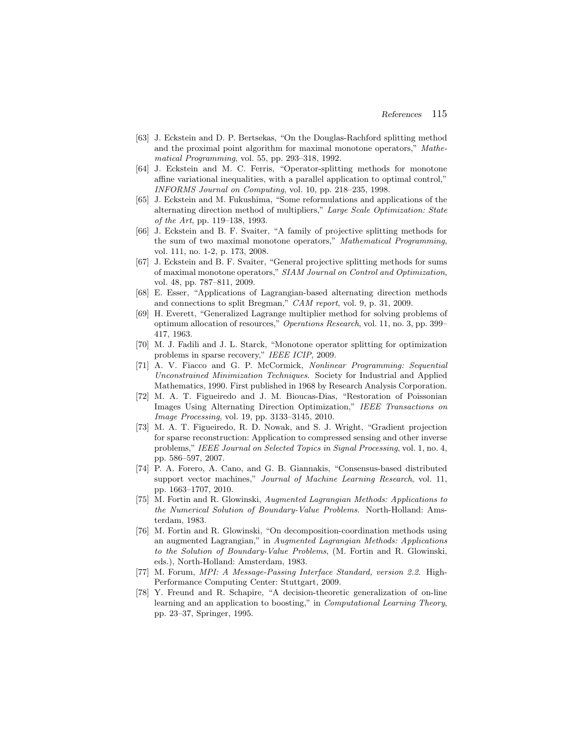- [63] J. Eckstein and D. P. Bertsekas, "On the Douglas-Rachford splitting method and the proximal point algorithm for maximal monotone operators," Mathematical Programming, vol. 55, pp. 293–318, 1992.
- [64] J. Eckstein and M. C. Ferris, "Operator-splitting methods for monotone affine variational inequalities, with a parallel application to optimal control," INFORMS Journal on Computing, vol. 10, pp. 218–235, 1998.
- [65] J. Eckstein and M. Fukushima, "Some reformulations and applications of the alternating direction method of multipliers," Large Scale Optimization: State of the Art, pp. 119–138, 1993.
- [66] J. Eckstein and B. F. Svaiter, "A family of projective splitting methods for the sum of two maximal monotone operators," Mathematical Programming, vol. 111, no. 1-2, p. 173, 2008.
- [67] J. Eckstein and B. F. Svaiter, "General projective splitting methods for sums of maximal monotone operators," SIAM Journal on Control and Optimization, vol. 48, pp. 787–811, 2009.
- [68] E. Esser, "Applications of Lagrangian-based alternating direction methods and connections to split Bregman," CAM report, vol. 9, p. 31, 2009.
- [69] H. Everett, "Generalized Lagrange multiplier method for solving problems of optimum allocation of resources," Operations Research, vol. 11, no. 3, pp. 399– 417, 1963.
- [70] M. J. Fadili and J. L. Starck, "Monotone operator splitting for optimization problems in sparse recovery," IEEE ICIP, 2009.
- [71] A. V. Fiacco and G. P. McCormick, Nonlinear Programming: Sequential Unconstrained Minimization Techniques. Society for Industrial and Applied Mathematics, 1990. First published in 1968 by Research Analysis Corporation.
- [72] M. A. T. Figueiredo and J. M. Bioucas-Dias, "Restoration of Poissonian Images Using Alternating Direction Optimization," IEEE Transactions on Image Processing, vol. 19, pp. 3133–3145, 2010.
- [73] M. A. T. Figueiredo, R. D. Nowak, and S. J. Wright, "Gradient projection for sparse reconstruction: Application to compressed sensing and other inverse problems," IEEE Journal on Selected Topics in Signal Processing, vol. 1, no. 4, pp. 586–597, 2007.
- [74] P. A. Forero, A. Cano, and G. B. Giannakis, "Consensus-based distributed support vector machines," Journal of Machine Learning Research, vol. 11, pp. 1663–1707, 2010.
- [75] M. Fortin and R. Glowinski, Augmented Lagrangian Methods: Applications to the Numerical Solution of Boundary-Value Problems. North-Holland: Amsterdam, 1983.
- [76] M. Fortin and R. Glowinski, "On decomposition-coordination methods using an augmented Lagrangian," in Augmented Lagrangian Methods: Applications to the Solution of Boundary-Value Problems, (M. Fortin and R. Glowinski, eds.), North-Holland: Amsterdam, 1983.
- [77] M. Forum, MPI: A Message-Passing Interface Standard, version 2.2. High-Performance Computing Center: Stuttgart, 2009.
- [78] Y. Freund and R. Schapire, "A decision-theoretic generalization of on-line learning and an application to boosting," in Computational Learning Theory, pp. 23–37, Springer, 1995.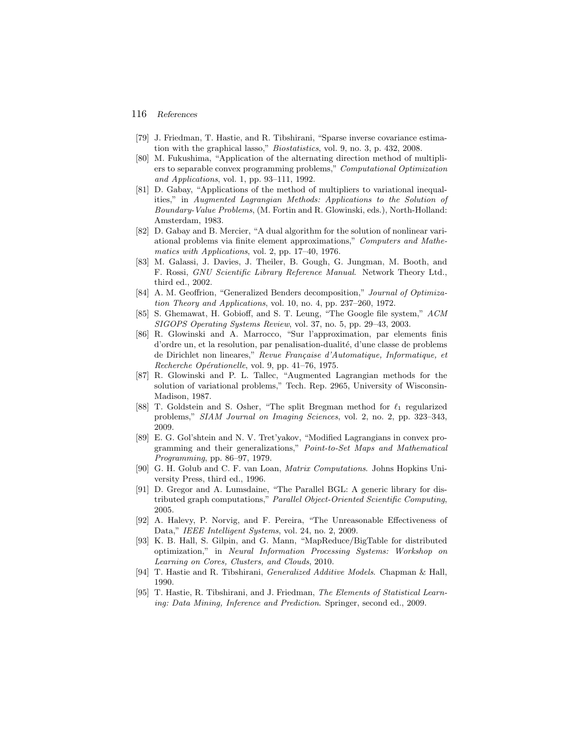- [79] J. Friedman, T. Hastie, and R. Tibshirani, "Sparse inverse covariance estimation with the graphical lasso," Biostatistics, vol. 9, no. 3, p. 432, 2008.
- [80] M. Fukushima, "Application of the alternating direction method of multipliers to separable convex programming problems," Computational Optimization and Applications, vol. 1, pp. 93–111, 1992.
- [81] D. Gabay, "Applications of the method of multipliers to variational inequalities," in Augmented Lagrangian Methods: Applications to the Solution of Boundary-Value Problems, (M. Fortin and R. Glowinski, eds.), North-Holland: Amsterdam, 1983.
- [82] D. Gabay and B. Mercier, "A dual algorithm for the solution of nonlinear variational problems via finite element approximations," Computers and Mathematics with Applications, vol. 2, pp. 17–40, 1976.
- [83] M. Galassi, J. Davies, J. Theiler, B. Gough, G. Jungman, M. Booth, and F. Rossi, GNU Scientific Library Reference Manual. Network Theory Ltd., third ed., 2002.
- [84] A. M. Geoffrion, "Generalized Benders decomposition," Journal of Optimization Theory and Applications, vol. 10, no. 4, pp. 237–260, 1972.
- [85] S. Ghemawat, H. Gobioff, and S. T. Leung, "The Google file system," ACM SIGOPS Operating Systems Review, vol. 37, no. 5, pp. 29–43, 2003.
- [86] R. Glowinski and A. Marrocco, "Sur l'approximation, par elements finis d'ordre un, et la resolution, par penalisation-dualité, d'une classe de problems de Dirichlet non lineares," Revue Française d'Automatique, Informatique, et Recherche Opérationelle, vol. 9, pp. 41–76, 1975.
- [87] R. Glowinski and P. L. Tallec, "Augmented Lagrangian methods for the solution of variational problems," Tech. Rep. 2965, University of Wisconsin-Madison, 1987.
- [88] T. Goldstein and S. Osher, "The split Bregman method for  $\ell_1$  regularized problems," SIAM Journal on Imaging Sciences, vol. 2, no. 2, pp. 323–343, 2009.
- [89] E. G. Gol'shtein and N. V. Tret'yakov, "Modified Lagrangians in convex programming and their generalizations," Point-to-Set Maps and Mathematical Programming, pp. 86–97, 1979.
- [90] G. H. Golub and C. F. van Loan, Matrix Computations. Johns Hopkins University Press, third ed., 1996.
- [91] D. Gregor and A. Lumsdaine, "The Parallel BGL: A generic library for distributed graph computations," Parallel Object-Oriented Scientific Computing, 2005.
- [92] A. Halevy, P. Norvig, and F. Pereira, "The Unreasonable Effectiveness of Data," IEEE Intelligent Systems, vol. 24, no. 2, 2009.
- [93] K. B. Hall, S. Gilpin, and G. Mann, "MapReduce/BigTable for distributed optimization," in Neural Information Processing Systems: Workshop on Learning on Cores, Clusters, and Clouds, 2010.
- [94] T. Hastie and R. Tibshirani, Generalized Additive Models. Chapman & Hall, 1990.
- [95] T. Hastie, R. Tibshirani, and J. Friedman, The Elements of Statistical Learning: Data Mining, Inference and Prediction. Springer, second ed., 2009.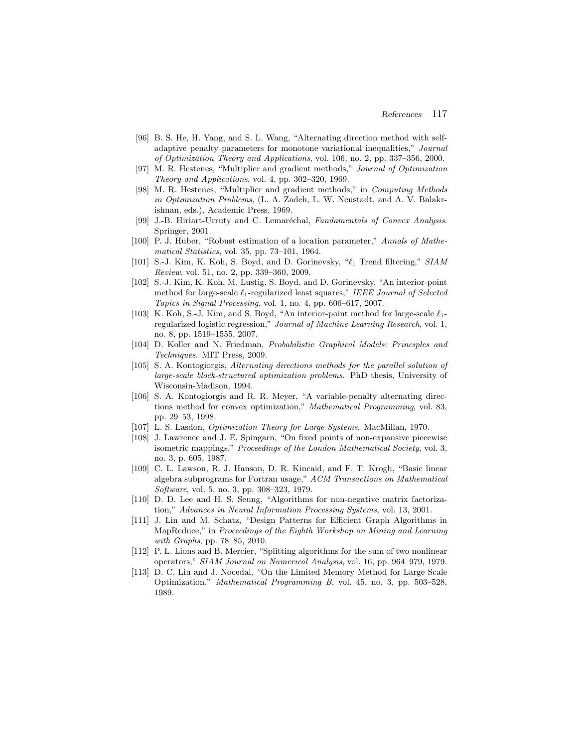- [96] B. S. He, H. Yang, and S. L. Wang, "Alternating direction method with selfadaptive penalty parameters for monotone variational inequalities," Journal of Optimization Theory and Applications, vol. 106, no. 2, pp. 337–356, 2000.
- [97] M. R. Hestenes, "Multiplier and gradient methods," Journal of Optimization Theory and Applications, vol. 4, pp. 302–320, 1969.
- [98] M. R. Hestenes, "Multiplier and gradient methods," in Computing Methods in Optimization Problems, (L. A. Zadeh, L. W. Neustadt, and A. V. Balakrishnan, eds.), Academic Press, 1969.
- [99] J.-B. Hiriart-Urruty and C. Lemaréchal, Fundamentals of Convex Analysis. Springer, 2001.
- [100] P. J. Huber, "Robust estimation of a location parameter," Annals of Mathematical Statistics, vol. 35, pp. 73–101, 1964.
- [101] S.-J. Kim, K. Koh, S. Boyd, and D. Gorinevsky, " $\ell_1$  Trend filtering," SIAM Review, vol. 51, no. 2, pp. 339–360, 2009.
- [102] S.-J. Kim, K. Koh, M. Lustig, S. Boyd, and D. Gorinevsky, "An interior-point method for large-scale  $\ell_1$ -regularized least squares," IEEE Journal of Selected Topics in Signal Processing, vol. 1, no. 4, pp. 606–617, 2007.
- [103] K. Koh, S.-J. Kim, and S. Boyd, "An interior-point method for large-scale  $\ell_1$ regularized logistic regression," Journal of Machine Learning Research, vol. 1, no. 8, pp. 1519–1555, 2007.
- [104] D. Koller and N. Friedman, Probabilistic Graphical Models: Principles and Techniques. MIT Press, 2009.
- [105] S. A. Kontogiorgis, Alternating directions methods for the parallel solution of large-scale block-structured optimization problems. PhD thesis, University of Wisconsin-Madison, 1994.
- [106] S. A. Kontogiorgis and R. R. Meyer, "A variable-penalty alternating directions method for convex optimization," Mathematical Programming, vol. 83, pp. 29–53, 1998.
- [107] L. S. Lasdon, Optimization Theory for Large Systems. MacMillan, 1970.
- [108] J. Lawrence and J. E. Spingarn, "On fixed points of non-expansive piecewise isometric mappings," Proceedings of the London Mathematical Society, vol. 3, no. 3, p. 605, 1987.
- [109] C. L. Lawson, R. J. Hanson, D. R. Kincaid, and F. T. Krogh, "Basic linear algebra subprograms for Fortran usage," ACM Transactions on Mathematical Software, vol. 5, no. 3, pp. 308–323, 1979.
- [110] D. D. Lee and H. S. Seung, "Algorithms for non-negative matrix factorization," Advances in Neural Information Processing Systems, vol. 13, 2001.
- [111] J. Lin and M. Schatz, "Design Patterns for Efficient Graph Algorithms in MapReduce," in Proceedings of the Eighth Workshop on Mining and Learning with Graphs, pp. 78–85, 2010.
- [112] P. L. Lions and B. Mercier, "Splitting algorithms for the sum of two nonlinear operators," SIAM Journal on Numerical Analysis, vol. 16, pp. 964–979, 1979.
- [113] D. C. Liu and J. Nocedal, "On the Limited Memory Method for Large Scale Optimization," Mathematical Programming B, vol. 45, no. 3, pp. 503–528, 1989.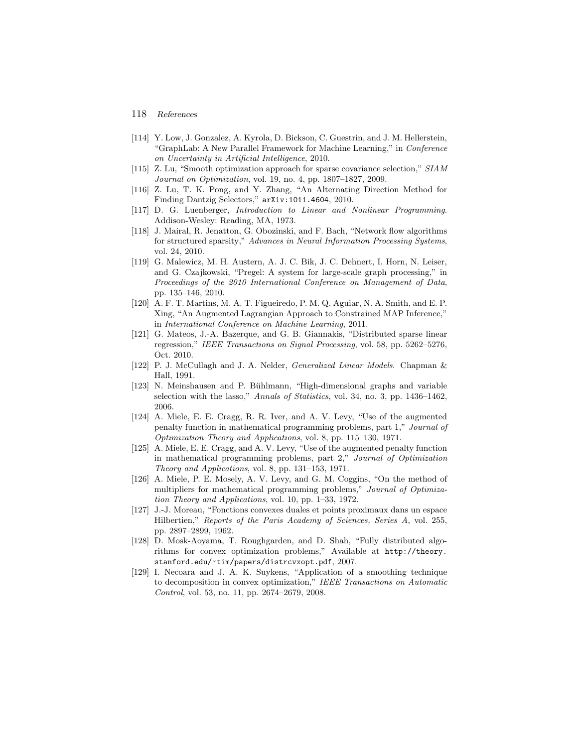- [114] Y. Low, J. Gonzalez, A. Kyrola, D. Bickson, C. Guestrin, and J. M. Hellerstein, "GraphLab: A New Parallel Framework for Machine Learning," in Conference on Uncertainty in Artificial Intelligence, 2010.
- [115] Z. Lu, "Smooth optimization approach for sparse covariance selection," SIAM Journal on Optimization, vol. 19, no. 4, pp. 1807–1827, 2009.
- [116] Z. Lu, T. K. Pong, and Y. Zhang, "An Alternating Direction Method for Finding Dantzig Selectors," arXiv:1011.4604, 2010.
- [117] D. G. Luenberger, Introduction to Linear and Nonlinear Programming. Addison-Wesley: Reading, MA, 1973.
- [118] J. Mairal, R. Jenatton, G. Obozinski, and F. Bach, "Network flow algorithms for structured sparsity," Advances in Neural Information Processing Systems, vol. 24, 2010.
- [119] G. Malewicz, M. H. Austern, A. J. C. Bik, J. C. Dehnert, I. Horn, N. Leiser, and G. Czajkowski, "Pregel: A system for large-scale graph processing," in Proceedings of the 2010 International Conference on Management of Data, pp. 135–146, 2010.
- [120] A. F. T. Martins, M. A. T. Figueiredo, P. M. Q. Aguiar, N. A. Smith, and E. P. Xing, "An Augmented Lagrangian Approach to Constrained MAP Inference," in International Conference on Machine Learning, 2011.
- [121] G. Mateos, J.-A. Bazerque, and G. B. Giannakis, "Distributed sparse linear regression," IEEE Transactions on Signal Processing, vol. 58, pp. 5262–5276, Oct. 2010.
- [122] P. J. McCullagh and J. A. Nelder, *Generalized Linear Models*. Chapman & Hall, 1991.
- [123] N. Meinshausen and P. Bühlmann, "High-dimensional graphs and variable selection with the lasso," Annals of Statistics, vol. 34, no. 3, pp. 1436–1462, 2006.
- [124] A. Miele, E. E. Cragg, R. R. Iver, and A. V. Levy, "Use of the augmented penalty function in mathematical programming problems, part 1," Journal of Optimization Theory and Applications, vol. 8, pp. 115–130, 1971.
- [125] A. Miele, E. E. Cragg, and A. V. Levy, "Use of the augmented penalty function in mathematical programming problems, part 2," Journal of Optimization Theory and Applications, vol. 8, pp. 131–153, 1971.
- [126] A. Miele, P. E. Mosely, A. V. Levy, and G. M. Coggins, "On the method of multipliers for mathematical programming problems," Journal of Optimization Theory and Applications, vol. 10, pp. 1–33, 1972.
- [127] J.-J. Moreau, "Fonctions convexes duales et points proximaux dans un espace Hilbertien," Reports of the Paris Academy of Sciences, Series A, vol. 255, pp. 2897–2899, 1962.
- [128] D. Mosk-Aoyama, T. Roughgarden, and D. Shah, "Fully distributed algorithms for convex optimization problems," Available at http://theory. stanford.edu/~tim/papers/distrcvxopt.pdf, 2007.
- [129] I. Necoara and J. A. K. Suykens, "Application of a smoothing technique to decomposition in convex optimization," IEEE Transactions on Automatic Control, vol. 53, no. 11, pp. 2674–2679, 2008.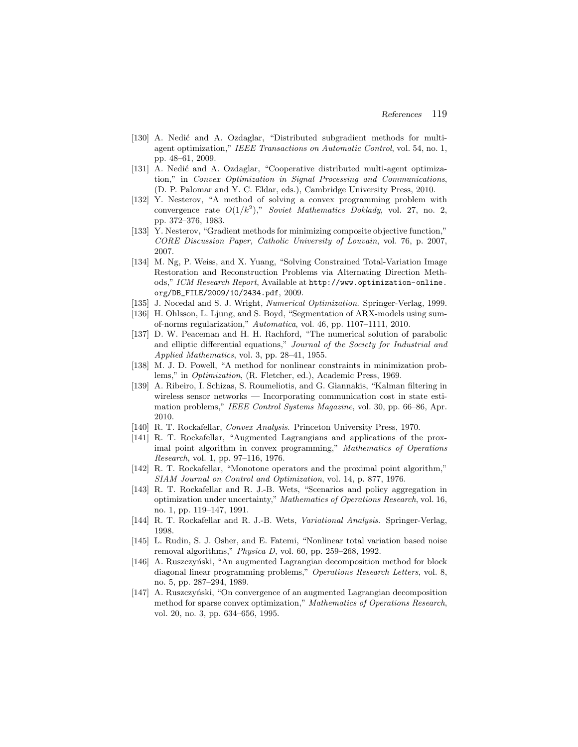- [130] A. Nedić and A. Ozdaglar, "Distributed subgradient methods for multiagent optimization," IEEE Transactions on Automatic Control, vol. 54, no. 1, pp. 48–61, 2009.
- [131] A. Nedić and A. Ozdaglar, "Cooperative distributed multi-agent optimization," in Convex Optimization in Signal Processing and Communications, (D. P. Palomar and Y. C. Eldar, eds.), Cambridge University Press, 2010.
- [132] Y. Nesterov, "A method of solving a convex programming problem with convergence rate  $O(1/k^2)$ ," Soviet Mathematics Doklady, vol. 27, no. 2, pp. 372–376, 1983.
- [133] Y. Nesterov, "Gradient methods for minimizing composite objective function," CORE Discussion Paper, Catholic University of Louvain, vol. 76, p. 2007, 2007.
- [134] M. Ng, P. Weiss, and X. Yuang, "Solving Constrained Total-Variation Image Restoration and Reconstruction Problems via Alternating Direction Methods," ICM Research Report, Available at http://www.optimization-online. org/DB\_FILE/2009/10/2434.pdf, 2009.
- [135] J. Nocedal and S. J. Wright, Numerical Optimization. Springer-Verlag, 1999.
- [136] H. Ohlsson, L. Ljung, and S. Boyd, "Segmentation of ARX-models using sumof-norms regularization," Automatica, vol. 46, pp. 1107–1111, 2010.
- [137] D. W. Peaceman and H. H. Rachford, "The numerical solution of parabolic and elliptic differential equations," Journal of the Society for Industrial and Applied Mathematics, vol. 3, pp. 28–41, 1955.
- [138] M. J. D. Powell, "A method for nonlinear constraints in minimization problems," in Optimization, (R. Fletcher, ed.), Academic Press, 1969.
- [139] A. Ribeiro, I. Schizas, S. Roumeliotis, and G. Giannakis, "Kalman filtering in wireless sensor networks — Incorporating communication cost in state estimation problems," IEEE Control Systems Magazine, vol. 30, pp. 66–86, Apr. 2010.
- [140] R. T. Rockafellar, Convex Analysis. Princeton University Press, 1970.
- [141] R. T. Rockafellar, "Augmented Lagrangians and applications of the proximal point algorithm in convex programming," Mathematics of Operations Research, vol. 1, pp. 97–116, 1976.
- [142] R. T. Rockafellar, "Monotone operators and the proximal point algorithm," SIAM Journal on Control and Optimization, vol. 14, p. 877, 1976.
- [143] R. T. Rockafellar and R. J.-B. Wets, "Scenarios and policy aggregation in optimization under uncertainty," Mathematics of Operations Research, vol. 16, no. 1, pp. 119–147, 1991.
- [144] R. T. Rockafellar and R. J.-B. Wets, *Variational Analysis*. Springer-Verlag, 1998.
- [145] L. Rudin, S. J. Osher, and E. Fatemi, "Nonlinear total variation based noise removal algorithms," Physica D, vol. 60, pp. 259–268, 1992.
- [146] A. Ruszczyński, "An augmented Lagrangian decomposition method for block diagonal linear programming problems," Operations Research Letters, vol. 8, no. 5, pp. 287–294, 1989.
- [147] A. Ruszczyński, "On convergence of an augmented Lagrangian decomposition method for sparse convex optimization," Mathematics of Operations Research, vol. 20, no. 3, pp. 634–656, 1995.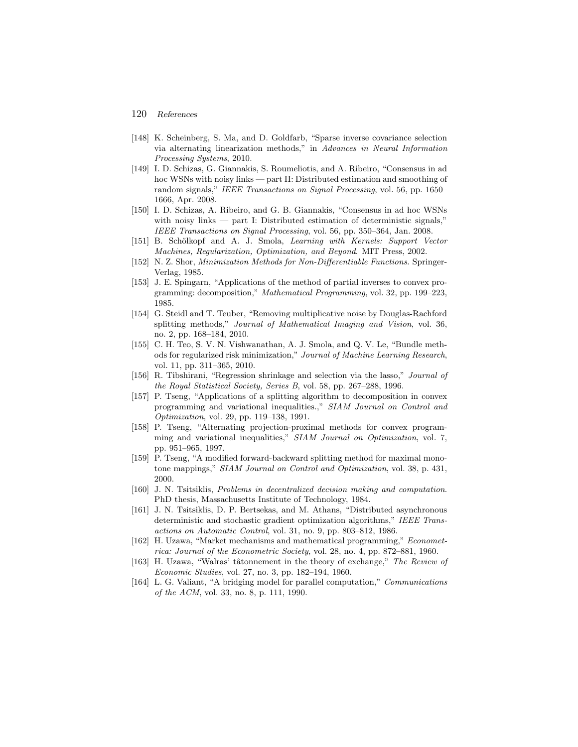- [148] K. Scheinberg, S. Ma, and D. Goldfarb, "Sparse inverse covariance selection via alternating linearization methods," in Advances in Neural Information Processing Systems, 2010.
- [149] I. D. Schizas, G. Giannakis, S. Roumeliotis, and A. Ribeiro, "Consensus in ad hoc WSNs with noisy links — part II: Distributed estimation and smoothing of random signals," IEEE Transactions on Signal Processing, vol. 56, pp. 1650– 1666, Apr. 2008.
- [150] I. D. Schizas, A. Ribeiro, and G. B. Giannakis, "Consensus in ad hoc WSNs with noisy links  $-$  part I: Distributed estimation of deterministic signals," IEEE Transactions on Signal Processing, vol. 56, pp. 350–364, Jan. 2008.
- [151] B. Schölkopf and A. J. Smola, *Learning with Kernels: Support Vector* Machines, Regularization, Optimization, and Beyond. MIT Press, 2002.
- [152] N. Z. Shor, Minimization Methods for Non-Differentiable Functions. Springer-Verlag, 1985.
- [153] J. E. Spingarn, "Applications of the method of partial inverses to convex programming: decomposition," Mathematical Programming, vol. 32, pp. 199–223, 1985.
- [154] G. Steidl and T. Teuber, "Removing multiplicative noise by Douglas-Rachford splitting methods," Journal of Mathematical Imaging and Vision, vol. 36, no. 2, pp. 168–184, 2010.
- [155] C. H. Teo, S. V. N. Vishwanathan, A. J. Smola, and Q. V. Le, "Bundle methods for regularized risk minimization," Journal of Machine Learning Research, vol. 11, pp. 311–365, 2010.
- [156] R. Tibshirani, "Regression shrinkage and selection via the lasso," Journal of the Royal Statistical Society, Series B, vol. 58, pp. 267–288, 1996.
- [157] P. Tseng, "Applications of a splitting algorithm to decomposition in convex programming and variational inequalities.," SIAM Journal on Control and Optimization, vol. 29, pp. 119–138, 1991.
- [158] P. Tseng, "Alternating projection-proximal methods for convex programming and variational inequalities," SIAM Journal on Optimization, vol. 7, pp. 951–965, 1997.
- [159] P. Tseng, "A modified forward-backward splitting method for maximal monotone mappings," SIAM Journal on Control and Optimization, vol. 38, p. 431, 2000.
- [160] J. N. Tsitsiklis, Problems in decentralized decision making and computation. PhD thesis, Massachusetts Institute of Technology, 1984.
- [161] J. N. Tsitsiklis, D. P. Bertsekas, and M. Athans, "Distributed asynchronous deterministic and stochastic gradient optimization algorithms," IEEE Transactions on Automatic Control, vol. 31, no. 9, pp. 803–812, 1986.
- [162] H. Uzawa, "Market mechanisms and mathematical programming," Econometrica: Journal of the Econometric Society, vol. 28, no. 4, pp. 872–881, 1960.
- [163] H. Uzawa, "Walras' tâtonnement in the theory of exchange," The Review of Economic Studies, vol. 27, no. 3, pp. 182–194, 1960.
- [164] L. G. Valiant, "A bridging model for parallel computation," Communications of the ACM, vol. 33, no. 8, p. 111, 1990.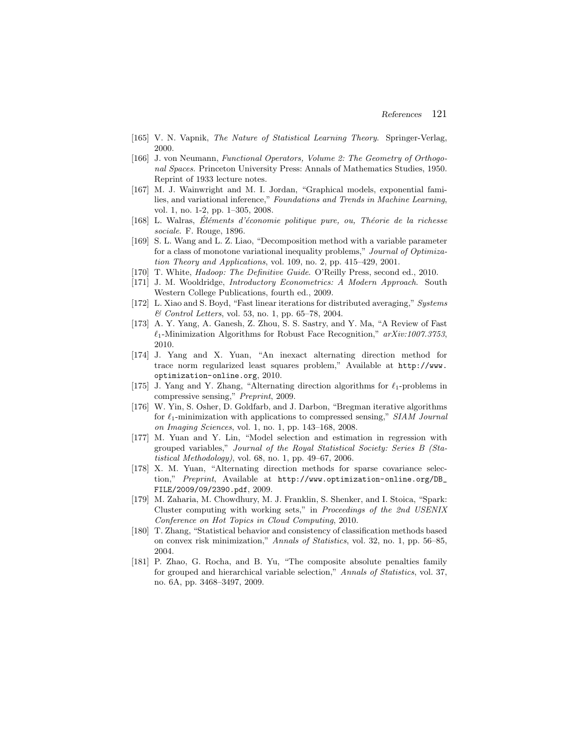- [165] V. N. Vapnik, The Nature of Statistical Learning Theory. Springer-Verlag, 2000.
- [166] J. von Neumann, Functional Operators, Volume 2: The Geometry of Orthogonal Spaces. Princeton University Press: Annals of Mathematics Studies, 1950. Reprint of 1933 lecture notes.
- [167] M. J. Wainwright and M. I. Jordan, "Graphical models, exponential families, and variational inference," Foundations and Trends in Machine Learning, vol. 1, no. 1-2, pp. 1–305, 2008.
- $[168]$  L. Walras, *Eléments d'économie politique pure, ou, Théorie de la richesse* sociale. F. Rouge, 1896.
- [169] S. L. Wang and L. Z. Liao, "Decomposition method with a variable parameter for a class of monotone variational inequality problems," Journal of Optimization Theory and Applications, vol. 109, no. 2, pp. 415–429, 2001.
- [170] T. White, Hadoop: The Definitive Guide. O'Reilly Press, second ed., 2010.
- [171] J. M. Wooldridge, Introductory Econometrics: A Modern Approach. South Western College Publications, fourth ed., 2009.
- [172] L. Xiao and S. Boyd, "Fast linear iterations for distributed averaging," Systems & Control Letters, vol. 53, no. 1, pp. 65–78, 2004.
- [173] A. Y. Yang, A. Ganesh, Z. Zhou, S. S. Sastry, and Y. Ma, "A Review of Fast  $\ell_1$ -Minimization Algorithms for Robust Face Recognition,"  $arXiv:1007.3753$ . 2010.
- [174] J. Yang and X. Yuan, "An inexact alternating direction method for trace norm regularized least squares problem," Available at http://www. optimization-online.org, 2010.
- [175] J. Yang and Y. Zhang, "Alternating direction algorithms for  $\ell_1$ -problems in compressive sensing," Preprint, 2009.
- [176] W. Yin, S. Osher, D. Goldfarb, and J. Darbon, "Bregman iterative algorithms for  $\ell_1$ -minimization with applications to compressed sensing," SIAM Journal on Imaging Sciences, vol. 1, no. 1, pp. 143–168, 2008.
- [177] M. Yuan and Y. Lin, "Model selection and estimation in regression with grouped variables," Journal of the Royal Statistical Society: Series B (Statistical Methodology), vol. 68, no. 1, pp. 49–67, 2006.
- [178] X. M. Yuan, "Alternating direction methods for sparse covariance selection," Preprint, Available at http://www.optimization-online.org/DB\_ FILE/2009/09/2390.pdf, 2009.
- [179] M. Zaharia, M. Chowdhury, M. J. Franklin, S. Shenker, and I. Stoica, "Spark: Cluster computing with working sets," in Proceedings of the 2nd USENIX Conference on Hot Topics in Cloud Computing, 2010.
- [180] T. Zhang, "Statistical behavior and consistency of classification methods based on convex risk minimization," Annals of Statistics, vol. 32, no. 1, pp. 56–85, 2004.
- [181] P. Zhao, G. Rocha, and B. Yu, "The composite absolute penalties family for grouped and hierarchical variable selection," Annals of Statistics, vol. 37, no. 6A, pp. 3468–3497, 2009.